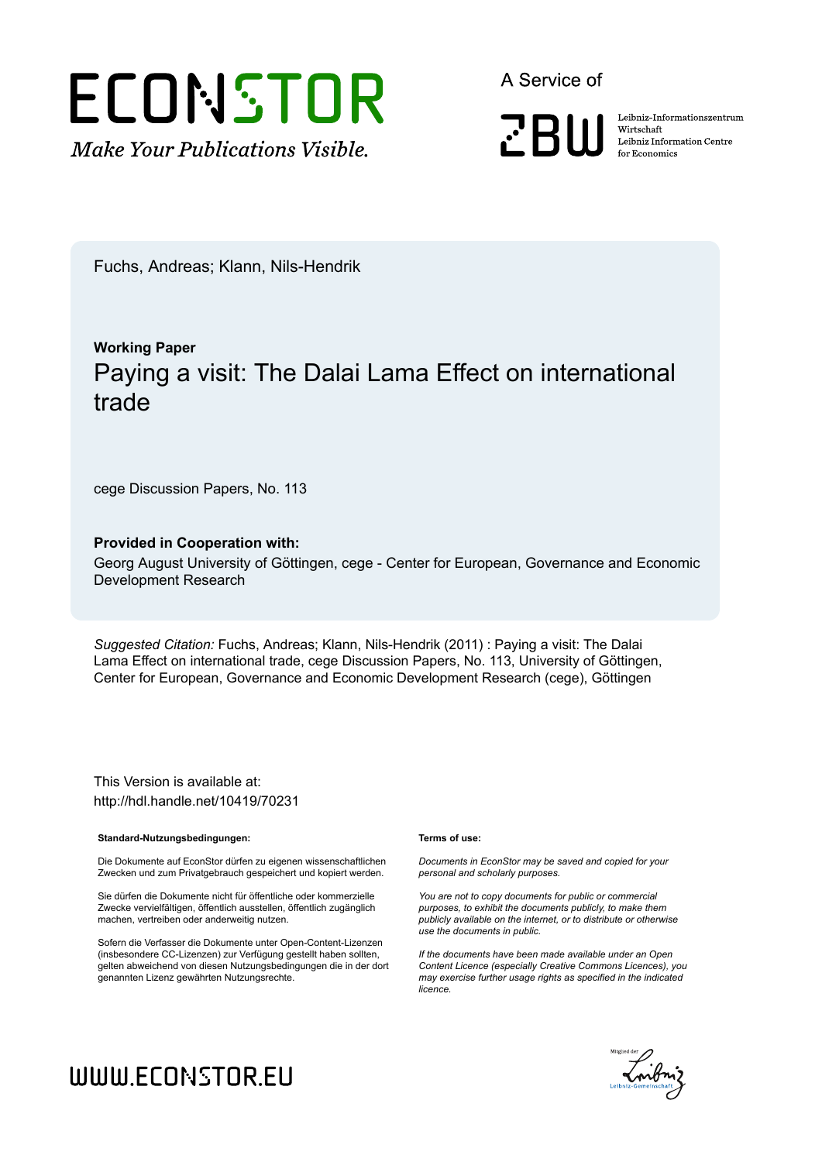

A Service of

**PRIII** 

Leibniz-Informationszentrum Wirtschaft Leibniz Information Centre for Economics

Fuchs, Andreas; Klann, Nils-Hendrik

## **Working Paper** Paying a visit: The Dalai Lama Effect on international trade

cege Discussion Papers, No. 113

#### **Provided in Cooperation with:**

Georg August University of Göttingen, cege - Center for European, Governance and Economic Development Research

*Suggested Citation:* Fuchs, Andreas; Klann, Nils-Hendrik (2011) : Paying a visit: The Dalai Lama Effect on international trade, cege Discussion Papers, No. 113, University of Göttingen, Center for European, Governance and Economic Development Research (cege), Göttingen

This Version is available at: http://hdl.handle.net/10419/70231

#### **Standard-Nutzungsbedingungen:**

Die Dokumente auf EconStor dürfen zu eigenen wissenschaftlichen Zwecken und zum Privatgebrauch gespeichert und kopiert werden.

Sie dürfen die Dokumente nicht für öffentliche oder kommerzielle Zwecke vervielfältigen, öffentlich ausstellen, öffentlich zugänglich machen, vertreiben oder anderweitig nutzen.

Sofern die Verfasser die Dokumente unter Open-Content-Lizenzen (insbesondere CC-Lizenzen) zur Verfügung gestellt haben sollten, gelten abweichend von diesen Nutzungsbedingungen die in der dort genannten Lizenz gewährten Nutzungsrechte.

#### **Terms of use:**

*Documents in EconStor may be saved and copied for your personal and scholarly purposes.*

*You are not to copy documents for public or commercial purposes, to exhibit the documents publicly, to make them publicly available on the internet, or to distribute or otherwise use the documents in public.*

*If the documents have been made available under an Open Content Licence (especially Creative Commons Licences), you may exercise further usage rights as specified in the indicated licence.*



## WWW.ECONSTOR.EU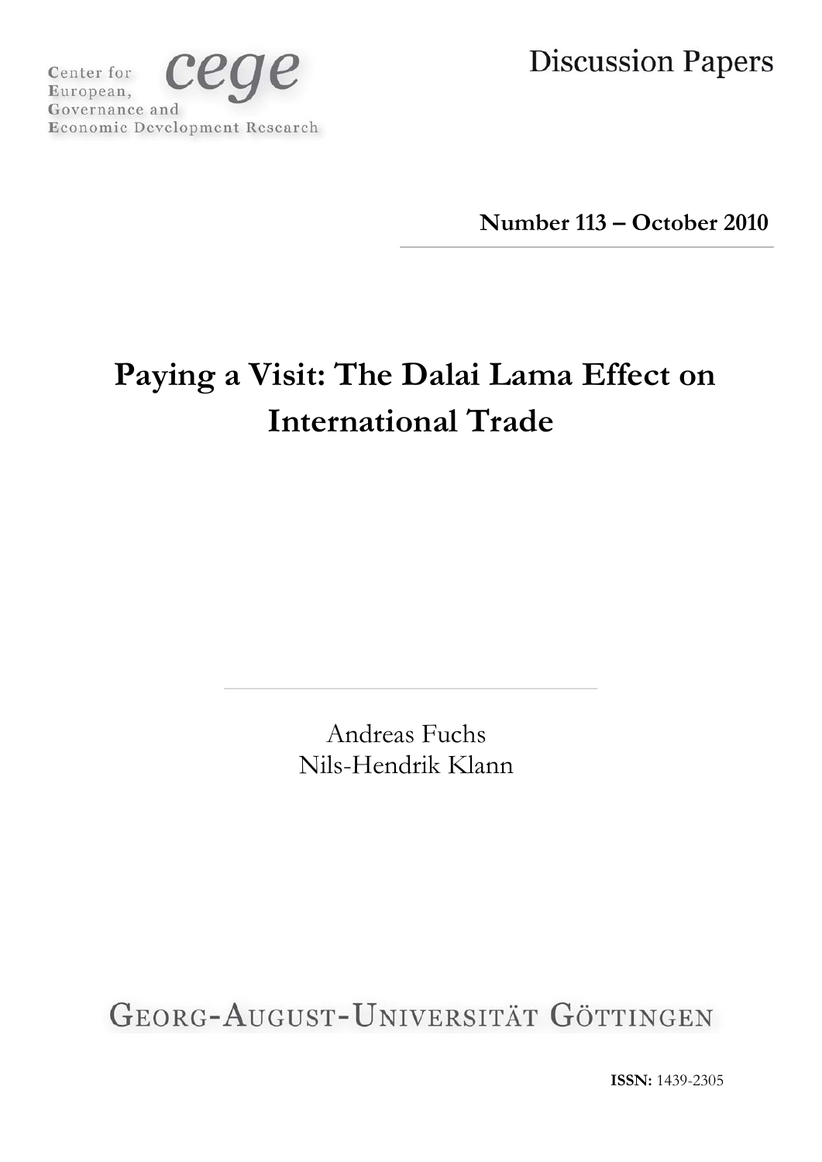ceq Center for European, Governance and Economic Development Research **Discussion Papers** 

**Number 113 – October 2010**

# **Paying a Visit: The Dalai Lama Effect on International Trade**

Andreas Fuchs Nils-Hendrik Klann

GEORG-AUGUST-UNIVERSITÄT GÖTTINGEN

**ISSN:** 1439-2305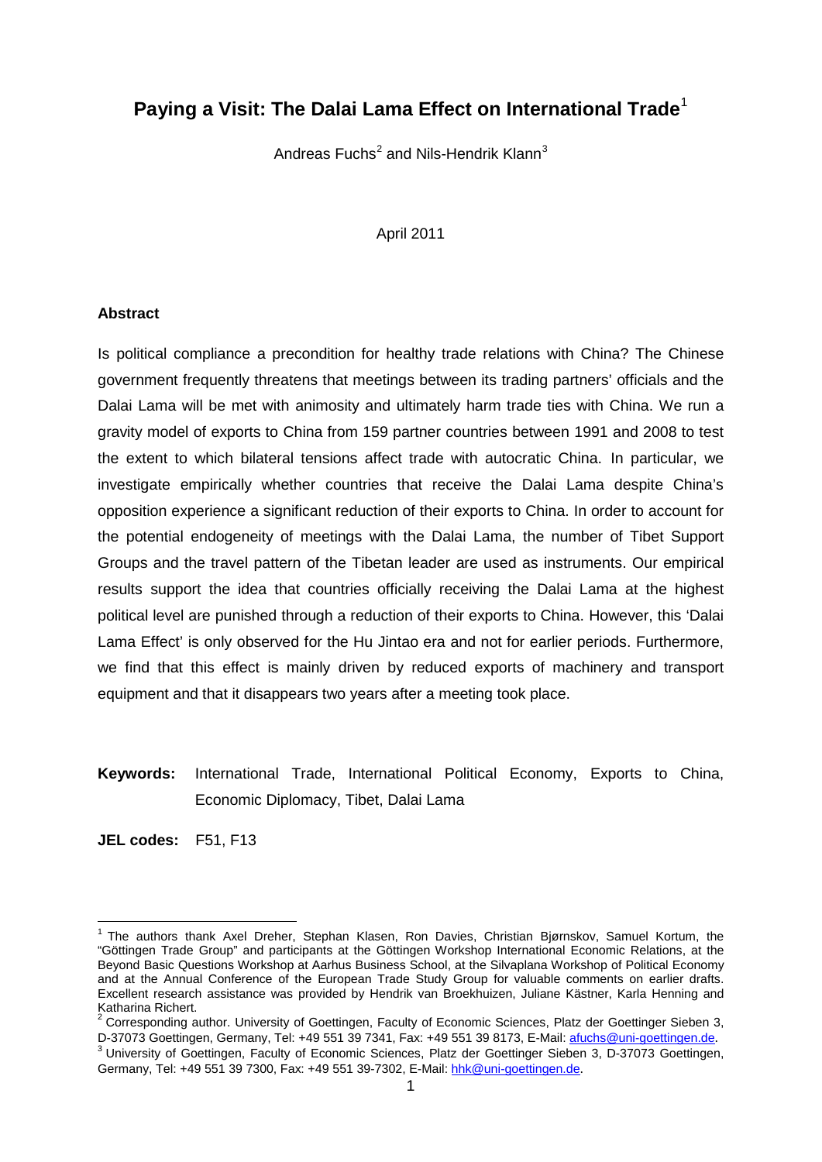## **Paying a Visit: The Dalai Lama Effect on International Trade**[1](#page-2-0)

Andreas Fuchs<sup>[2](#page-2-1)</sup> and Nils-Hendrik Klann<sup>[3](#page-2-2)</sup>

#### April 2011

#### **Abstract**

Is political compliance a precondition for healthy trade relations with China? The Chinese government frequently threatens that meetings between its trading partners' officials and the Dalai Lama will be met with animosity and ultimately harm trade ties with China. We run a gravity model of exports to China from 159 partner countries between 1991 and 2008 to test the extent to which bilateral tensions affect trade with autocratic China. In particular, we investigate empirically whether countries that receive the Dalai Lama despite China's opposition experience a significant reduction of their exports to China. In order to account for the potential endogeneity of meetings with the Dalai Lama, the number of Tibet Support Groups and the travel pattern of the Tibetan leader are used as instruments. Our empirical results support the idea that countries officially receiving the Dalai Lama at the highest political level are punished through a reduction of their exports to China. However, this 'Dalai Lama Effect' is only observed for the Hu Jintao era and not for earlier periods. Furthermore, we find that this effect is mainly driven by reduced exports of machinery and transport equipment and that it disappears two years after a meeting took place.

**Keywords:** International Trade, International Political Economy, Exports to China, Economic Diplomacy, Tibet, Dalai Lama

**JEL codes:** F51, F13

<span id="page-2-0"></span><sup>&</sup>lt;sup>1</sup> The authors thank Axel Dreher, Stephan Klasen, Ron Davies, Christian Bjørnskov, Samuel Kortum, the "Göttingen Trade Group" and participants at the Göttingen Workshop International Economic Relations, at the Beyond Basic Questions Workshop at Aarhus Business School, at the Silvaplana Workshop of Political Economy and at the Annual Conference of the European Trade Study Group for valuable comments on earlier drafts. Excellent research assistance was provided by Hendrik van Broekhuizen, Juliane Kästner, Karla Henning and

<span id="page-2-1"></span><sup>&</sup>lt;sup>2</sup> Corresponding author. University of Goettingen, Faculty of Economic Sciences, Platz der Goettinger Sieben 3,<br>D-37073 Goettingen. Germany. Tel: +49 551 39 7341. Fax: +49 551 39 8173. E-Mail: afuchs@uni-goettingen.de.

<span id="page-2-2"></span><sup>&</sup>lt;sup>3</sup> University of Goettingen, Faculty of Economic Sciences, Platz der Goettinger Sieben 3, D-37073 Goettingen, Germany, Tel: +49 551 39 7300, Fax: +49 551 39-7302, E-Mail: [hhk@uni-goettingen.de](mailto:hhk@uni-goettingen.de).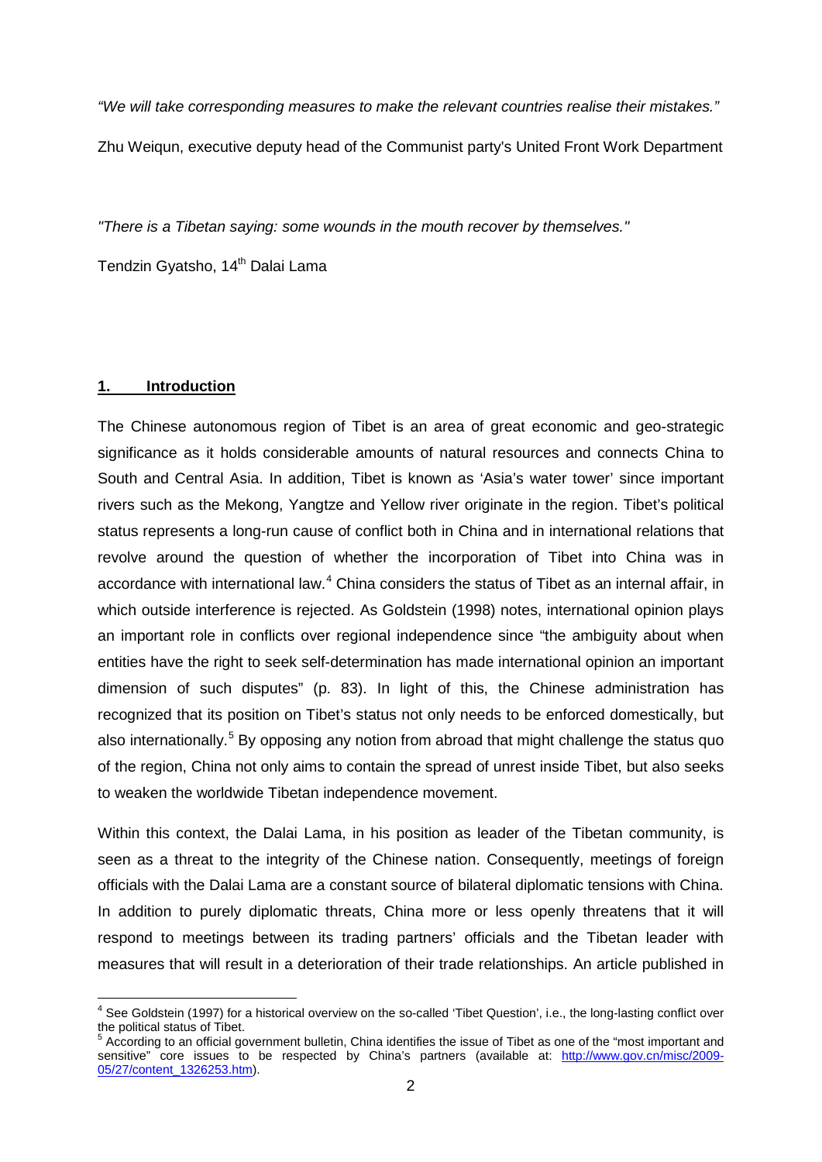*"We will take corresponding measures to make the relevant countries realise their mistakes."* Zhu Weiqun, executive deputy head of the Communist party's United Front Work Department

*"There is a Tibetan saying: some wounds in the mouth recover by themselves."*

Tendzin Gyatsho, 14<sup>th</sup> Dalai Lama

#### **1. Introduction**

The Chinese autonomous region of Tibet is an area of great economic and geo-strategic significance as it holds considerable amounts of natural resources and connects China to South and Central Asia. In addition, Tibet is known as 'Asia's water tower' since important rivers such as the Mekong, Yangtze and Yellow river originate in the region. Tibet's political status represents a long-run cause of conflict both in China and in international relations that revolve around the question of whether the incorporation of Tibet into China was in accordance with international law.<sup>[4](#page-3-0)</sup> China considers the status of Tibet as an internal affair, in which outside interference is rejected. As Goldstein (1998) notes, international opinion plays an important role in conflicts over regional independence since "the ambiguity about when entities have the right to seek self-determination has made international opinion an important dimension of such disputes" (p. 83). In light of this, the Chinese administration has recognized that its position on Tibet's status not only needs to be enforced domestically, but also internationally.<sup>[5](#page-3-1)</sup> By opposing any notion from abroad that might challenge the status quo of the region, China not only aims to contain the spread of unrest inside Tibet, but also seeks to weaken the worldwide Tibetan independence movement.

Within this context, the Dalai Lama, in his position as leader of the Tibetan community, is seen as a threat to the integrity of the Chinese nation. Consequently, meetings of foreign officials with the Dalai Lama are a constant source of bilateral diplomatic tensions with China. In addition to purely diplomatic threats, China more or less openly threatens that it will respond to meetings between its trading partners' officials and the Tibetan leader with measures that will result in a deterioration of their trade relationships. An article published in

<span id="page-3-0"></span><sup>&</sup>lt;sup>4</sup> See Goldstein (1997) for a historical overview on the so-called 'Tibet Question', i.e., the long-lasting conflict over the political status of Tibet.

<span id="page-3-1"></span> $5$  According to an official government bulletin, China identifies the issue of Tibet as one of the "most important and sensitive" core issues to be respected by China's partners (available at: [http://www.gov.cn/misc/2009-](http://www.gov.cn/misc/2009-05/27/content_1326253.htm) [05/27/content\\_1326253.htm\)](http://www.gov.cn/misc/2009-05/27/content_1326253.htm).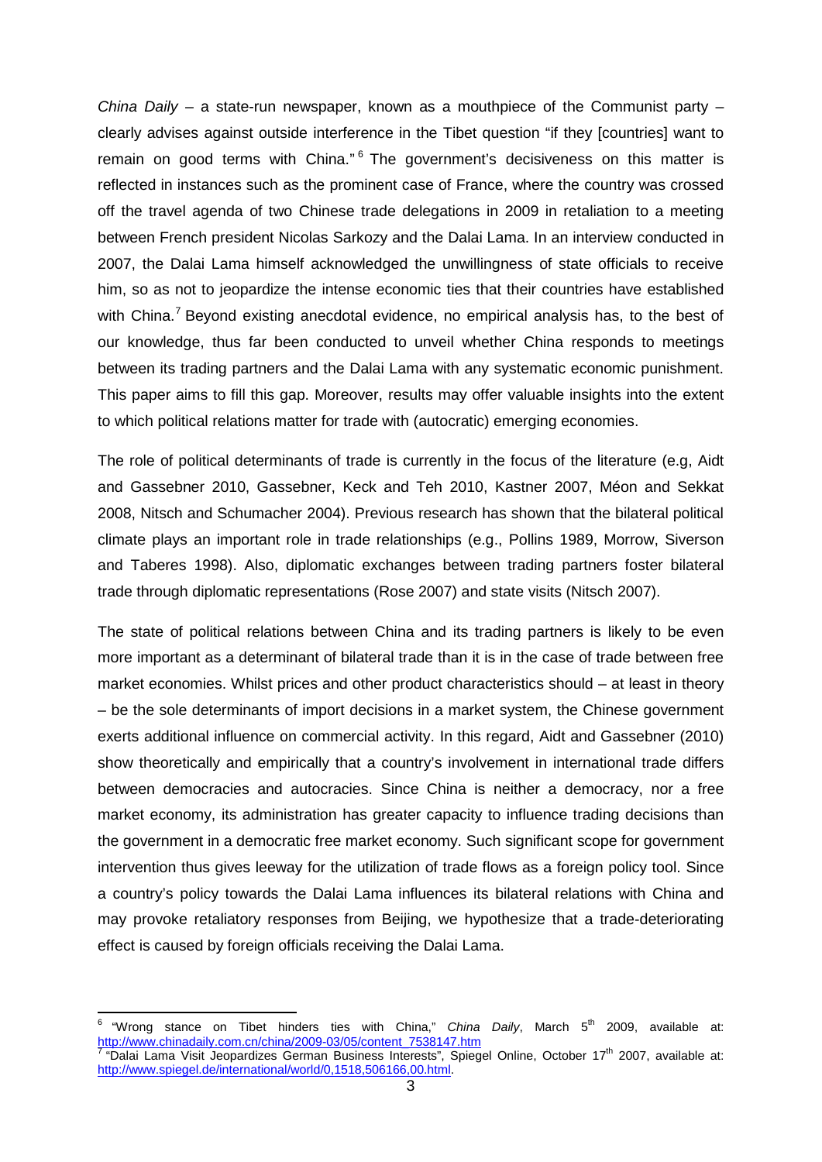*China Daily* – a state-run newspaper, known as a mouthpiece of the Communist party – clearly advises against outside interference in the Tibet question "if they [countries] want to remain on good terms with China."<sup>[6](#page-4-0)</sup> The government's decisiveness on this matter is reflected in instances such as the prominent case of France, where the country was crossed off the travel agenda of two Chinese trade delegations in 2009 in retaliation to a meeting between French president Nicolas Sarkozy and the Dalai Lama. In an interview conducted in 2007, the Dalai Lama himself acknowledged the unwillingness of state officials to receive him, so as not to jeopardize the intense economic ties that their countries have established with China.<sup>[7](#page-4-1)</sup> Beyond existing anecdotal evidence, no empirical analysis has, to the best of our knowledge, thus far been conducted to unveil whether China responds to meetings between its trading partners and the Dalai Lama with any systematic economic punishment. This paper aims to fill this gap. Moreover, results may offer valuable insights into the extent to which political relations matter for trade with (autocratic) emerging economies.

The role of political determinants of trade is currently in the focus of the literature (e.g, Aidt and Gassebner 2010, Gassebner, Keck and Teh 2010, Kastner 2007, Méon and Sekkat 2008, Nitsch and Schumacher 2004). Previous research has shown that the bilateral political climate plays an important role in trade relationships (e.g., Pollins 1989, Morrow, Siverson and Taberes 1998). Also, diplomatic exchanges between trading partners foster bilateral trade through diplomatic representations (Rose 2007) and state visits (Nitsch 2007).

The state of political relations between China and its trading partners is likely to be even more important as a determinant of bilateral trade than it is in the case of trade between free market economies. Whilst prices and other product characteristics should – at least in theory – be the sole determinants of import decisions in a market system, the Chinese government exerts additional influence on commercial activity. In this regard, Aidt and Gassebner (2010) show theoretically and empirically that a country's involvement in international trade differs between democracies and autocracies. Since China is neither a democracy, nor a free market economy, its administration has greater capacity to influence trading decisions than the government in a democratic free market economy. Such significant scope for government intervention thus gives leeway for the utilization of trade flows as a foreign policy tool. Since a country's policy towards the Dalai Lama influences its bilateral relations with China and may provoke retaliatory responses from Beijing, we hypothesize that a trade-deteriorating effect is caused by foreign officials receiving the Dalai Lama.

<span id="page-4-1"></span><span id="page-4-0"></span> $6$  "Wrong stance on Tibet hinders ties with China," *China Daily*, March  $5^{\text{th}}$  2009, available at:<br>http://www.chinadaily.com.cn/china/2009-03/05/content 7538147.htm "Dalai Lama Visit Jeopardizes German Business Interests", Spiegel Online, October 17<sup>th</sup> 2007, available at: [http://www.spiegel.de/international/world/0,1518,506166,00.html.](http://www.spiegel.de/international/world/0,1518,506166,00.html)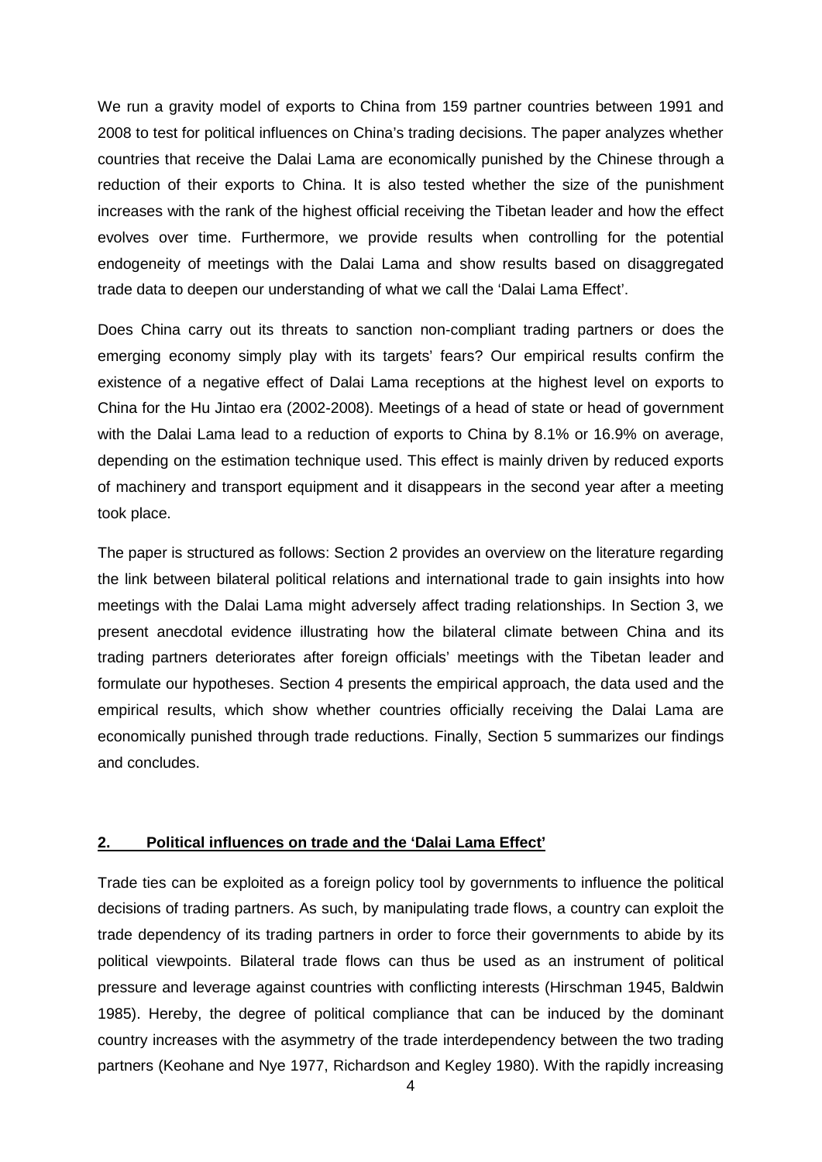We run a gravity model of exports to China from 159 partner countries between 1991 and 2008 to test for political influences on China's trading decisions. The paper analyzes whether countries that receive the Dalai Lama are economically punished by the Chinese through a reduction of their exports to China. It is also tested whether the size of the punishment increases with the rank of the highest official receiving the Tibetan leader and how the effect evolves over time. Furthermore, we provide results when controlling for the potential endogeneity of meetings with the Dalai Lama and show results based on disaggregated trade data to deepen our understanding of what we call the 'Dalai Lama Effect'.

Does China carry out its threats to sanction non-compliant trading partners or does the emerging economy simply play with its targets' fears? Our empirical results confirm the existence of a negative effect of Dalai Lama receptions at the highest level on exports to China for the Hu Jintao era (2002-2008). Meetings of a head of state or head of government with the Dalai Lama lead to a reduction of exports to China by 8.1% or 16.9% on average, depending on the estimation technique used. This effect is mainly driven by reduced exports of machinery and transport equipment and it disappears in the second year after a meeting took place.

The paper is structured as follows: Section 2 provides an overview on the literature regarding the link between bilateral political relations and international trade to gain insights into how meetings with the Dalai Lama might adversely affect trading relationships. In Section 3, we present anecdotal evidence illustrating how the bilateral climate between China and its trading partners deteriorates after foreign officials' meetings with the Tibetan leader and formulate our hypotheses. Section 4 presents the empirical approach, the data used and the empirical results, which show whether countries officially receiving the Dalai Lama are economically punished through trade reductions. Finally, Section 5 summarizes our findings and concludes.

#### **2. Political influences on trade and the 'Dalai Lama Effect'**

Trade ties can be exploited as a foreign policy tool by governments to influence the political decisions of trading partners. As such, by manipulating trade flows, a country can exploit the trade dependency of its trading partners in order to force their governments to abide by its political viewpoints. Bilateral trade flows can thus be used as an instrument of political pressure and leverage against countries with conflicting interests (Hirschman 1945, Baldwin 1985). Hereby, the degree of political compliance that can be induced by the dominant country increases with the asymmetry of the trade interdependency between the two trading partners (Keohane and Nye 1977, Richardson and Kegley 1980). With the rapidly increasing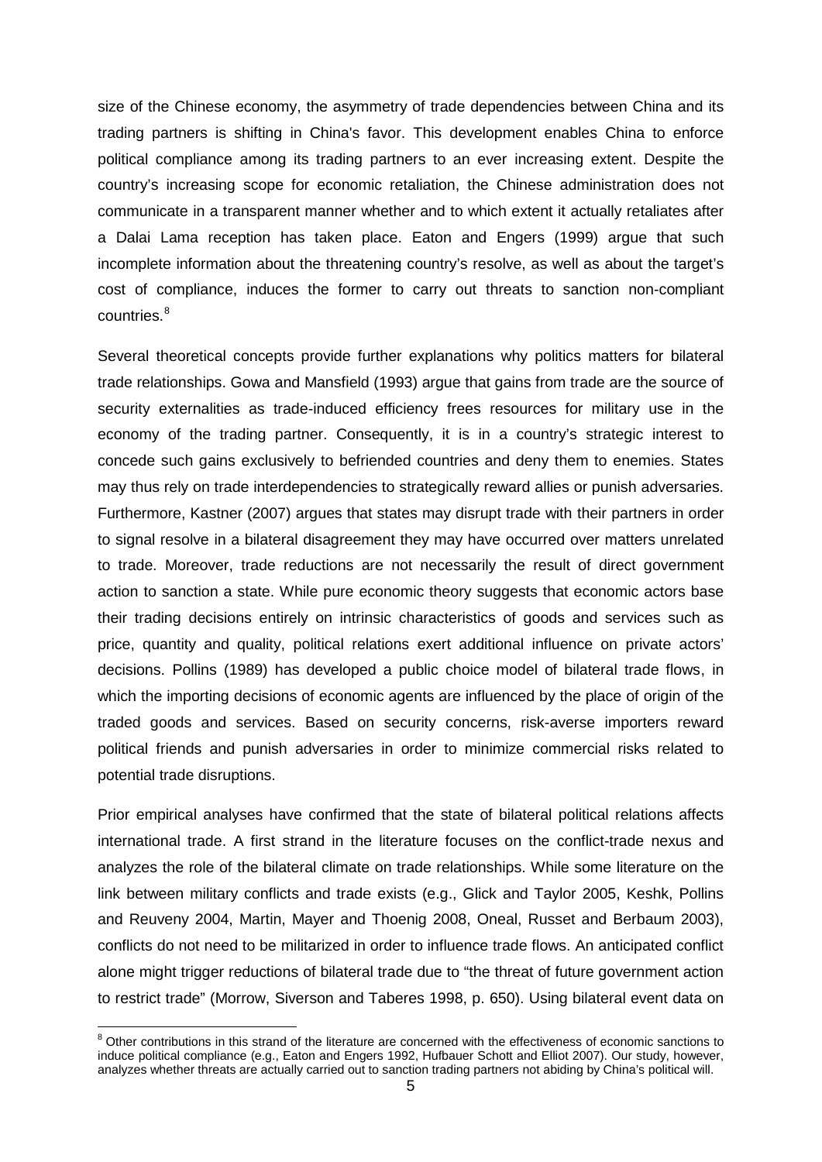size of the Chinese economy, the asymmetry of trade dependencies between China and its trading partners is shifting in China's favor. This development enables China to enforce political compliance among its trading partners to an ever increasing extent. Despite the country's increasing scope for economic retaliation, the Chinese administration does not communicate in a transparent manner whether and to which extent it actually retaliates after a Dalai Lama reception has taken place. Eaton and Engers (1999) argue that such incomplete information about the threatening country's resolve, as well as about the target's cost of compliance, induces the former to carry out threats to sanction non-compliant countries. [8](#page-6-0)

Several theoretical concepts provide further explanations why politics matters for bilateral trade relationships. Gowa and Mansfield (1993) argue that gains from trade are the source of security externalities as trade-induced efficiency frees resources for military use in the economy of the trading partner. Consequently, it is in a country's strategic interest to concede such gains exclusively to befriended countries and deny them to enemies. States may thus rely on trade interdependencies to strategically reward allies or punish adversaries. Furthermore, Kastner (2007) argues that states may disrupt trade with their partners in order to signal resolve in a bilateral disagreement they may have occurred over matters unrelated to trade. Moreover, trade reductions are not necessarily the result of direct government action to sanction a state. While pure economic theory suggests that economic actors base their trading decisions entirely on intrinsic characteristics of goods and services such as price, quantity and quality, political relations exert additional influence on private actors' decisions. Pollins (1989) has developed a public choice model of bilateral trade flows, in which the importing decisions of economic agents are influenced by the place of origin of the traded goods and services. Based on security concerns, risk-averse importers reward political friends and punish adversaries in order to minimize commercial risks related to potential trade disruptions.

Prior empirical analyses have confirmed that the state of bilateral political relations affects international trade. A first strand in the literature focuses on the conflict-trade nexus and analyzes the role of the bilateral climate on trade relationships. While some literature on the link between military conflicts and trade exists (e.g., Glick and Taylor 2005, Keshk, Pollins and Reuveny 2004, Martin, Mayer and Thoenig 2008, Oneal, Russet and Berbaum 2003), conflicts do not need to be militarized in order to influence trade flows. An anticipated conflict alone might trigger reductions of bilateral trade due to "the threat of future government action to restrict trade" (Morrow, Siverson and Taberes 1998, p. 650). Using bilateral event data on

<span id="page-6-0"></span><sup>&</sup>lt;sup>8</sup> Other contributions in this strand of the literature are concerned with the effectiveness of economic sanctions to induce political compliance (e.g., Eaton and Engers 1992, Hufbauer Schott and Elliot 2007). Our study, however, analyzes whether threats are actually carried out to sanction trading partners not abiding by China's political will.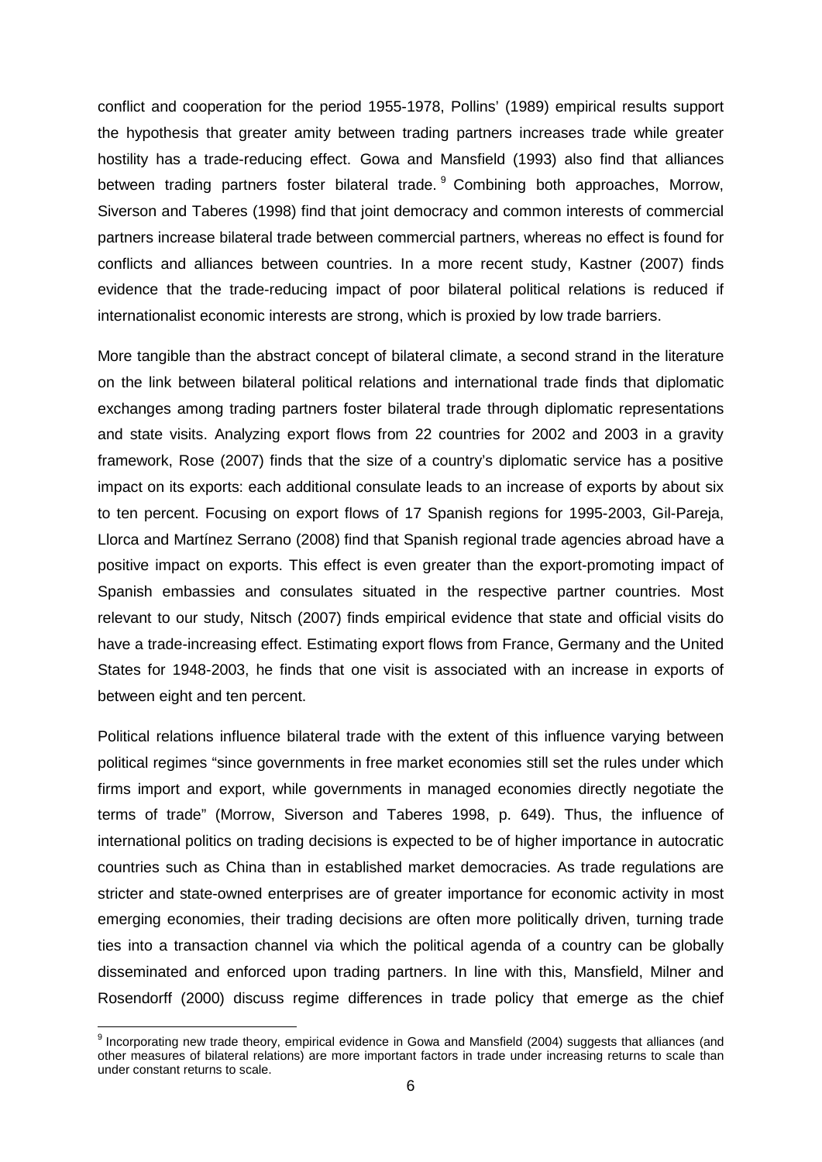conflict and cooperation for the period 1955-1978, Pollins' (1989) empirical results support the hypothesis that greater amity between trading partners increases trade while greater hostility has a trade-reducing effect. Gowa and Mansfield (1993) also find that alliances between trading partners foster bilateral trade. <sup>[9](#page-7-0)</sup> Combining both approaches, Morrow, Siverson and Taberes (1998) find that joint democracy and common interests of commercial partners increase bilateral trade between commercial partners, whereas no effect is found for conflicts and alliances between countries. In a more recent study, Kastner (2007) finds evidence that the trade-reducing impact of poor bilateral political relations is reduced if internationalist economic interests are strong, which is proxied by low trade barriers.

More tangible than the abstract concept of bilateral climate, a second strand in the literature on the link between bilateral political relations and international trade finds that diplomatic exchanges among trading partners foster bilateral trade through diplomatic representations and state visits. Analyzing export flows from 22 countries for 2002 and 2003 in a gravity framework, Rose (2007) finds that the size of a country's diplomatic service has a positive impact on its exports: each additional consulate leads to an increase of exports by about six to ten percent. Focusing on export flows of 17 Spanish regions for 1995-2003, Gil-Pareja, Llorca and Martínez Serrano (2008) find that Spanish regional trade agencies abroad have a positive impact on exports. This effect is even greater than the export-promoting impact of Spanish embassies and consulates situated in the respective partner countries. Most relevant to our study, Nitsch (2007) finds empirical evidence that state and official visits do have a trade-increasing effect. Estimating export flows from France, Germany and the United States for 1948-2003, he finds that one visit is associated with an increase in exports of between eight and ten percent.

Political relations influence bilateral trade with the extent of this influence varying between political regimes "since governments in free market economies still set the rules under which firms import and export, while governments in managed economies directly negotiate the terms of trade" (Morrow, Siverson and Taberes 1998, p. 649). Thus, the influence of international politics on trading decisions is expected to be of higher importance in autocratic countries such as China than in established market democracies. As trade regulations are stricter and state-owned enterprises are of greater importance for economic activity in most emerging economies, their trading decisions are often more politically driven, turning trade ties into a transaction channel via which the political agenda of a country can be globally disseminated and enforced upon trading partners. In line with this, Mansfield, Milner and Rosendorff (2000) discuss regime differences in trade policy that emerge as the chief

<span id="page-7-0"></span><sup>&</sup>lt;sup>9</sup> Incorporating new trade theory, empirical evidence in Gowa and Mansfield (2004) suggests that alliances (and other measures of bilateral relations) are more important factors in trade under increasing returns to scale than under constant returns to scale.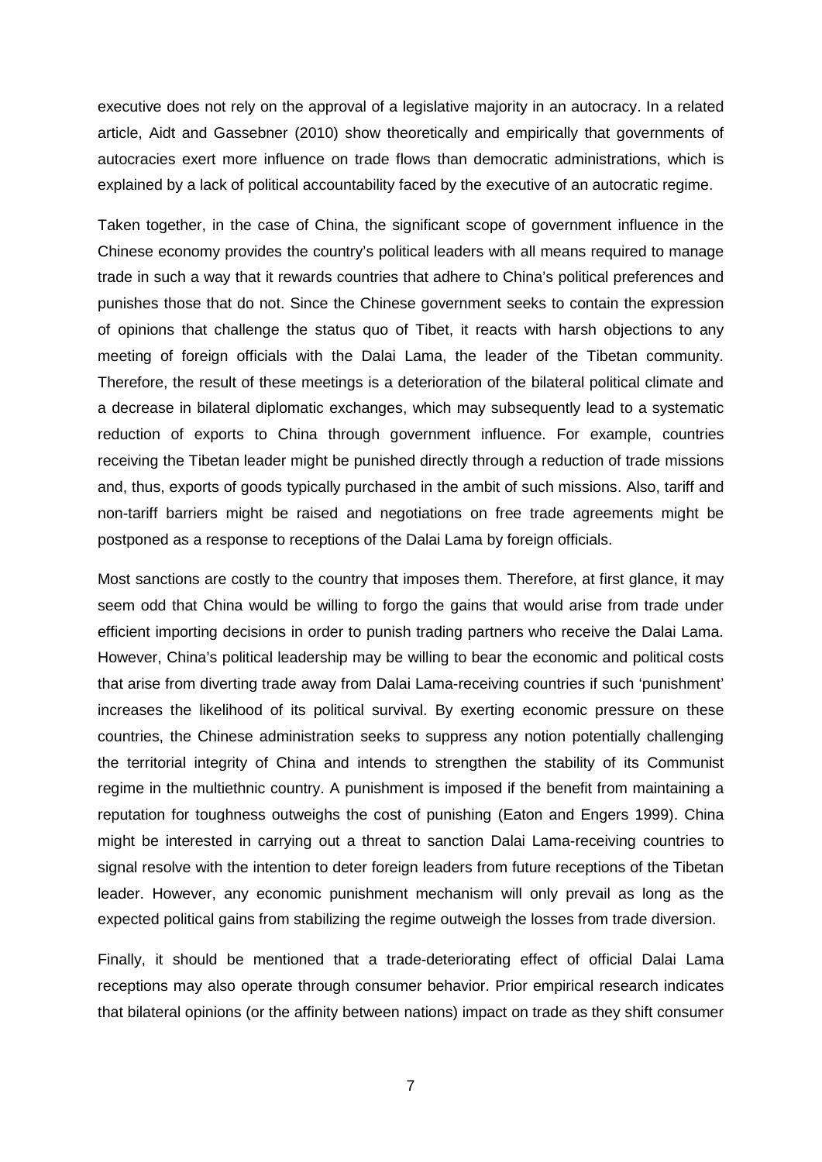executive does not rely on the approval of a legislative majority in an autocracy. In a related article, Aidt and Gassebner (2010) show theoretically and empirically that governments of autocracies exert more influence on trade flows than democratic administrations, which is explained by a lack of political accountability faced by the executive of an autocratic regime.

Taken together, in the case of China, the significant scope of government influence in the Chinese economy provides the country's political leaders with all means required to manage trade in such a way that it rewards countries that adhere to China's political preferences and punishes those that do not. Since the Chinese government seeks to contain the expression of opinions that challenge the status quo of Tibet, it reacts with harsh objections to any meeting of foreign officials with the Dalai Lama, the leader of the Tibetan community. Therefore, the result of these meetings is a deterioration of the bilateral political climate and a decrease in bilateral diplomatic exchanges, which may subsequently lead to a systematic reduction of exports to China through government influence. For example, countries receiving the Tibetan leader might be punished directly through a reduction of trade missions and, thus, exports of goods typically purchased in the ambit of such missions. Also, tariff and non-tariff barriers might be raised and negotiations on free trade agreements might be postponed as a response to receptions of the Dalai Lama by foreign officials.

Most sanctions are costly to the country that imposes them. Therefore, at first glance, it may seem odd that China would be willing to forgo the gains that would arise from trade under efficient importing decisions in order to punish trading partners who receive the Dalai Lama. However, China's political leadership may be willing to bear the economic and political costs that arise from diverting trade away from Dalai Lama-receiving countries if such 'punishment' increases the likelihood of its political survival. By exerting economic pressure on these countries, the Chinese administration seeks to suppress any notion potentially challenging the territorial integrity of China and intends to strengthen the stability of its Communist regime in the multiethnic country. A punishment is imposed if the benefit from maintaining a reputation for toughness outweighs the cost of punishing (Eaton and Engers 1999). China might be interested in carrying out a threat to sanction Dalai Lama-receiving countries to signal resolve with the intention to deter foreign leaders from future receptions of the Tibetan leader. However, any economic punishment mechanism will only prevail as long as the expected political gains from stabilizing the regime outweigh the losses from trade diversion.

Finally, it should be mentioned that a trade-deteriorating effect of official Dalai Lama receptions may also operate through consumer behavior. Prior empirical research indicates that bilateral opinions (or the affinity between nations) impact on trade as they shift consumer

7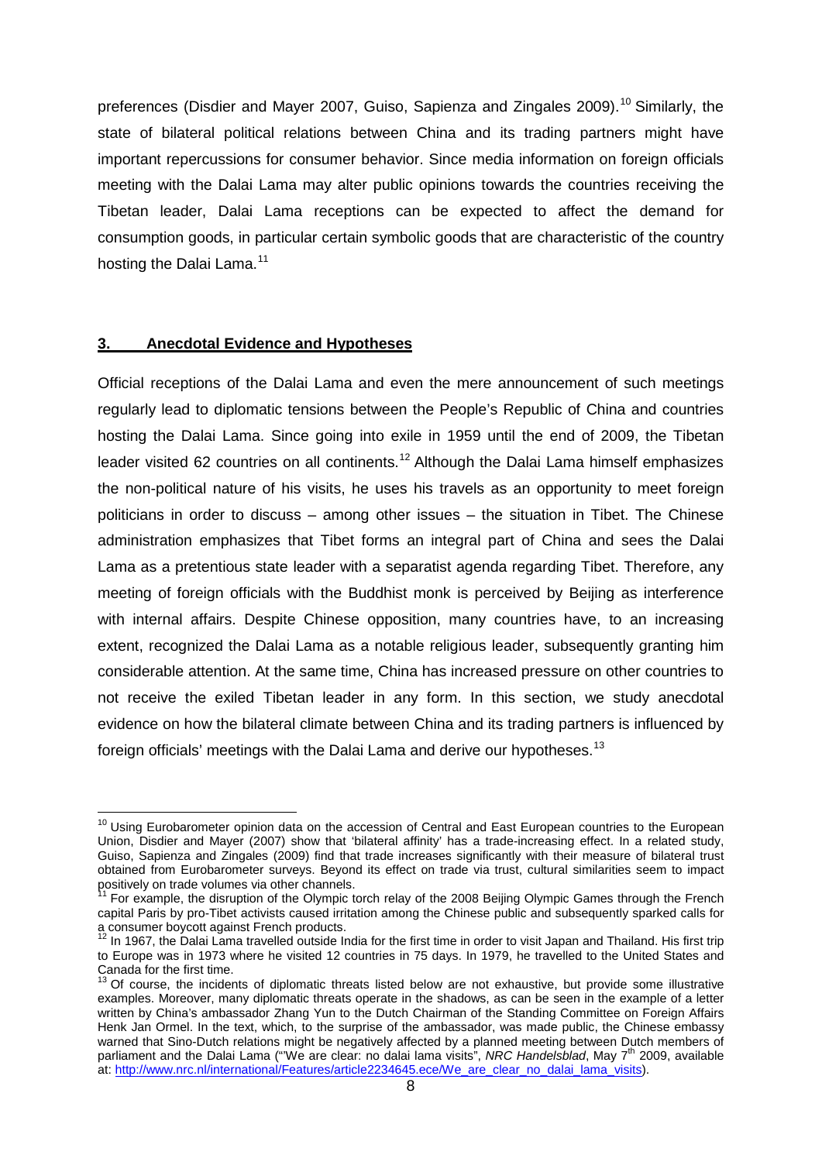preferences (Disdier and Mayer 2007, Guiso, Sapienza and Zingales 2009).<sup>[10](#page-9-0)</sup> Similarly. the state of bilateral political relations between China and its trading partners might have important repercussions for consumer behavior. Since media information on foreign officials meeting with the Dalai Lama may alter public opinions towards the countries receiving the Tibetan leader, Dalai Lama receptions can be expected to affect the demand for consumption goods, in particular certain symbolic goods that are characteristic of the country hosting the Dalai Lama.<sup>[11](#page-9-1)</sup>

#### **3. Anecdotal Evidence and Hypotheses**

Official receptions of the Dalai Lama and even the mere announcement of such meetings regularly lead to diplomatic tensions between the People's Republic of China and countries hosting the Dalai Lama. Since going into exile in 1959 until the end of 2009, the Tibetan leader visited 62 countries on all continents.<sup>[12](#page-9-2)</sup> Although the Dalai Lama himself emphasizes the non-political nature of his visits, he uses his travels as an opportunity to meet foreign politicians in order to discuss – among other issues – the situation in Tibet. The Chinese administration emphasizes that Tibet forms an integral part of China and sees the Dalai Lama as a pretentious state leader with a separatist agenda regarding Tibet. Therefore, any meeting of foreign officials with the Buddhist monk is perceived by Beijing as interference with internal affairs. Despite Chinese opposition, many countries have, to an increasing extent, recognized the Dalai Lama as a notable religious leader, subsequently granting him considerable attention. At the same time, China has increased pressure on other countries to not receive the exiled Tibetan leader in any form. In this section, we study anecdotal evidence on how the bilateral climate between China and its trading partners is influenced by foreign officials' meetings with the Dalai Lama and derive our hypotheses.<sup>[13](#page-9-3)</sup>

<span id="page-9-0"></span><sup>&</sup>lt;sup>10</sup> Using Eurobarometer opinion data on the accession of Central and East European countries to the European Union, Disdier and Mayer (2007) show that 'bilateral affinity' has a trade-increasing effect. In a related study, Guiso, Sapienza and Zingales (2009) find that trade increases significantly with their measure of bilateral trust obtained from Eurobarometer surveys. Beyond its effect on trade via trust, cultural similarities seem to impact<br>positively on trade volumes via other channels.

<span id="page-9-1"></span><sup>&</sup>lt;sup>1</sup> For example, the disruption of the Olympic torch relay of the 2008 Beijing Olympic Games through the French capital Paris by pro-Tibet activists caused irritation among the Chinese public and subsequently sparked calls for a consumer boycott against French products.

<span id="page-9-2"></span> $12$  In 1967, the Dalai Lama travelled outside India for the first time in order to visit Japan and Thailand. His first trip to Europe was in 1973 where he visited 12 countries in 75 days. In 1979, he travelled to the United States and Canada for the first time.

<span id="page-9-3"></span><sup>13</sup> Of course, the incidents of diplomatic threats listed below are not exhaustive, but provide some illustrative examples. Moreover, many diplomatic threats operate in the shadows, as can be seen in the example of a letter written by China's ambassador Zhang Yun to the Dutch Chairman of the Standing Committee on Foreign Affairs Henk Jan Ormel. In the text, which, to the surprise of the ambassador, was made public, the Chinese embassy warned that Sino-Dutch relations might be negatively affected by a planned meeting between Dutch members of parliament and the Dalai Lama ("'We are clear: no dalai lama visits", *NRC Handelsblad*, May 7th 2009, available at: [http://www.nrc.nl/international/Features/article2234645.ece/We\\_are\\_clear\\_no\\_dalai\\_lama\\_visits\)](http://www.nrc.nl/international/Features/article2234645.ece/We_are_clear_no_dalai_lama_visits).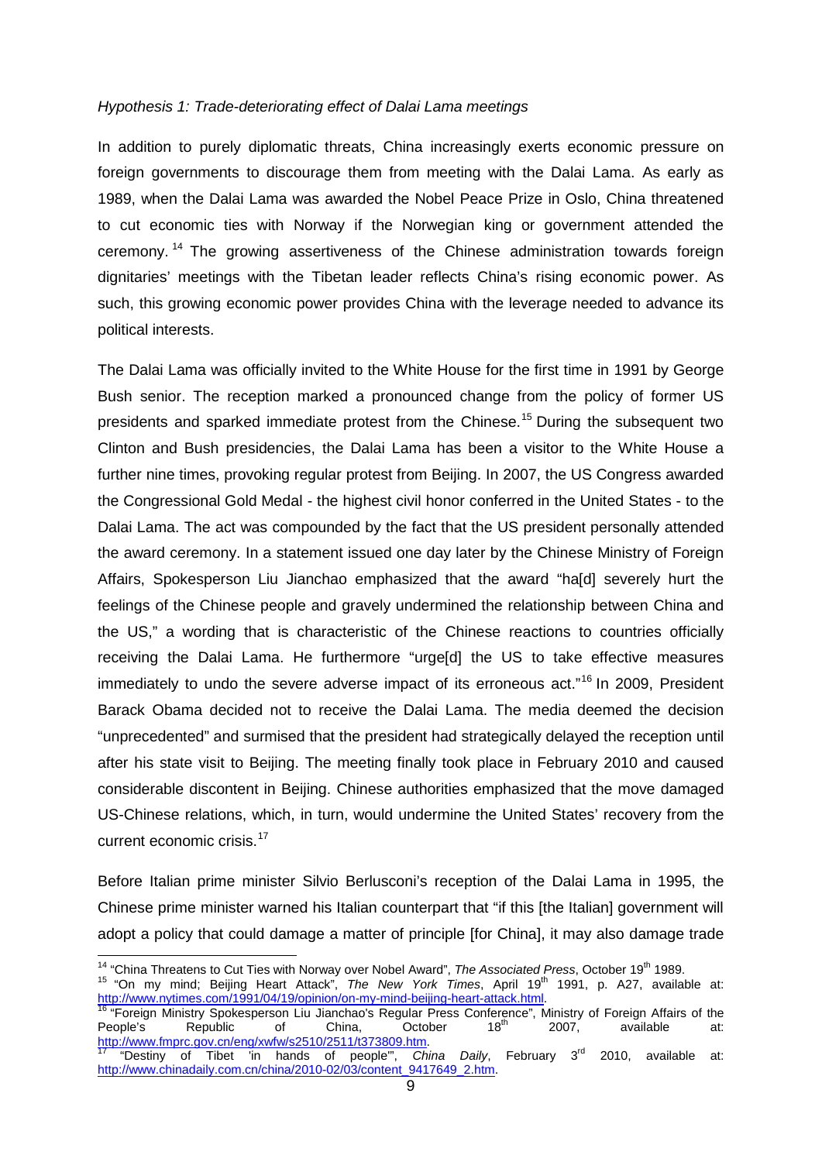#### *Hypothesis 1: Trade-deteriorating effect of Dalai Lama meetings*

In addition to purely diplomatic threats, China increasingly exerts economic pressure on foreign governments to discourage them from meeting with the Dalai Lama. As early as 1989, when the Dalai Lama was awarded the Nobel Peace Prize in Oslo, China threatened to cut economic ties with Norway if the Norwegian king or government attended the ceremony.<sup>[14](#page-10-0)</sup> The growing assertiveness of the Chinese administration towards foreign dignitaries' meetings with the Tibetan leader reflects China's rising economic power. As such, this growing economic power provides China with the leverage needed to advance its political interests.

The Dalai Lama was officially invited to the White House for the first time in 1991 by George Bush senior. The reception marked a pronounced change from the policy of former US presidents and sparked immediate protest from the Chinese. [15](#page-10-1) During the subsequent two Clinton and Bush presidencies, the Dalai Lama has been a visitor to the White House a further nine times, provoking regular protest from Beijing. In 2007, the US Congress awarded the Congressional Gold Medal - the highest civil honor conferred in the United States - to the Dalai Lama. The act was compounded by the fact that the US president personally attended the award ceremony. In a statement issued one day later by the Chinese Ministry of Foreign Affairs, Spokesperson Liu Jianchao emphasized that the award "ha[d] severely hurt the feelings of the Chinese people and gravely undermined the relationship between China and the US," a wording that is characteristic of the Chinese reactions to countries officially receiving the Dalai Lama. He furthermore "urge[d] the US to take effective measures immediately to undo the severe adverse impact of its erroneous act."<sup>[16](#page-10-2)</sup> In 2009, President Barack Obama decided not to receive the Dalai Lama. The media deemed the decision "unprecedented" and surmised that the president had strategically delayed the reception until after his state visit to Beijing. The meeting finally took place in February 2010 and caused considerable discontent in Beijing. Chinese authorities emphasized that the move damaged US-Chinese relations, which, in turn, would undermine the United States' recovery from the current economic crisis.<sup>[17](#page-10-3)</sup>

Before Italian prime minister Silvio Berlusconi's reception of the Dalai Lama in 1995, the Chinese prime minister warned his Italian counterpart that "if this [the Italian] government will adopt a policy that could damage a matter of principle [for China], it may also damage trade

<span id="page-10-1"></span><span id="page-10-0"></span><sup>14</sup> "China Threatens to Cut Ties with Norway over Nobel Award", *The Associated Press*, October 19<sup>th</sup> 1989.<br><sup>15</sup> "On my mind; Beijing Heart Attack", *The New York Times*, April 19<sup>th</sup> 1991, p. A27, available at:<br>http://w

<span id="page-10-2"></span><sup>16</sup> "Foreign Ministry Spokesperson Liu Jianchao's Regular Press Conference", Ministry of Foreign Affairs of the<br>People's Republic of China, October 18<sup>th</sup> 2007, available at: People's Republic of China, October 18<sup>th</sup> 2007, available at: <u>http://www.fmprc.gov.cn/eng/xwfw/s2510/2511/t373809.htm</u>.<br><sup>17</sup> "Destiny of Tibet 'in hands of people'", *China Daily*, February 3<sup>rd</sup> 2010, available at:

<span id="page-10-3"></span>[http://www.chinadaily.com.cn/china/2010-02/03/content\\_9417649\\_2.htm.](http://www.chinadaily.com.cn/china/2010-02/03/content_9417649_2.htm)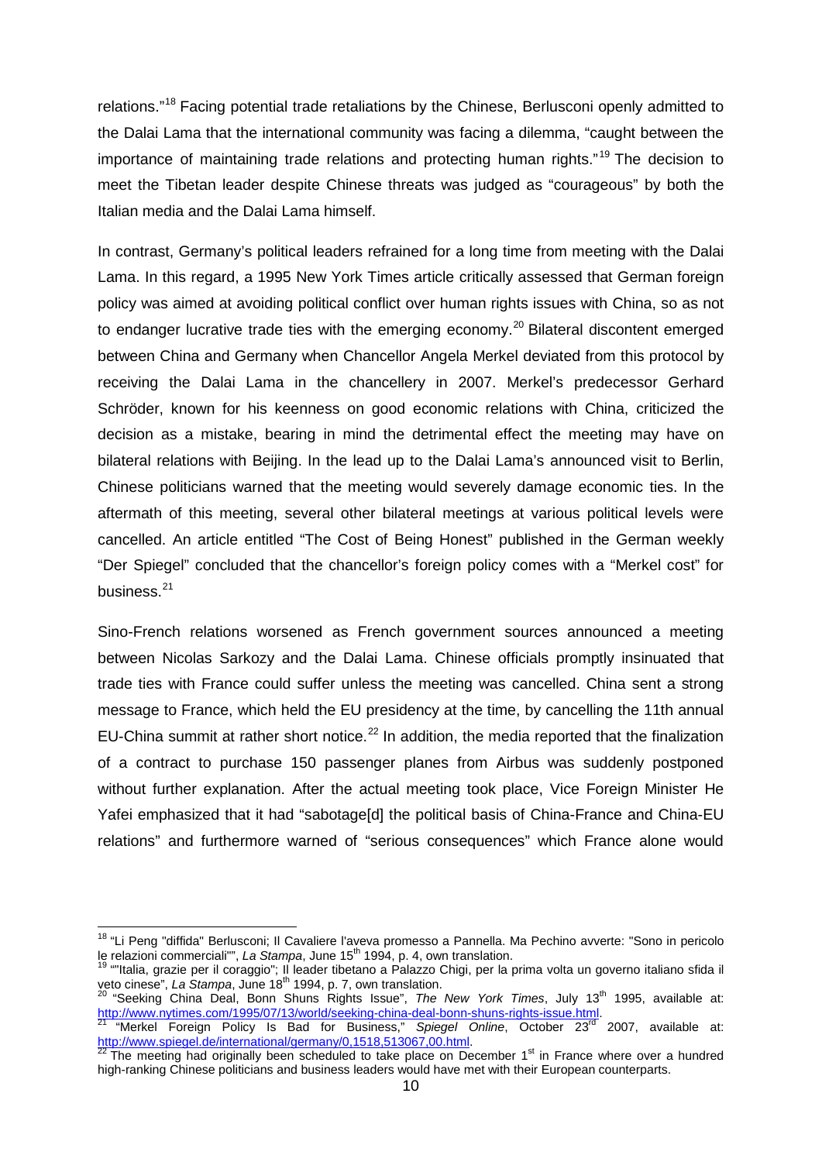relations."[18](#page-11-0) Facing potential trade retaliations by the Chinese, Berlusconi openly admitted to the Dalai Lama that the international community was facing a dilemma, "caught between the importance of maintaining trade relations and protecting human rights."<sup>[19](#page-11-1)</sup> The decision to meet the Tibetan leader despite Chinese threats was judged as "courageous" by both the Italian media and the Dalai Lama himself.

In contrast, Germany's political leaders refrained for a long time from meeting with the Dalai Lama. In this regard, a 1995 New York Times article critically assessed that German foreign policy was aimed at avoiding political conflict over human rights issues with China, so as not to endanger lucrative trade ties with the emerging economy.<sup>[20](#page-11-2)</sup> Bilateral discontent emerged between China and Germany when Chancellor Angela Merkel deviated from this protocol by receiving the Dalai Lama in the chancellery in 2007. Merkel's predecessor Gerhard Schröder, known for his keenness on good economic relations with China, criticized the decision as a mistake, bearing in mind the detrimental effect the meeting may have on bilateral relations with Beijing. In the lead up to the Dalai Lama's announced visit to Berlin, Chinese politicians warned that the meeting would severely damage economic ties. In the aftermath of this meeting, several other bilateral meetings at various political levels were cancelled. An article entitled "The Cost of Being Honest" published in the German weekly "Der Spiegel" concluded that the chancellor's foreign policy comes with a "Merkel cost" for business.<sup>[21](#page-11-3)</sup>

Sino-French relations worsened as French government sources announced a meeting between Nicolas Sarkozy and the Dalai Lama. Chinese officials promptly insinuated that trade ties with France could suffer unless the meeting was cancelled. China sent a strong message to France, which held the EU presidency at the time, by cancelling the 11th annual EU-China summit at rather short notice. $^{22}$  $^{22}$  $^{22}$  In addition, the media reported that the finalization of a contract to purchase 150 passenger planes from Airbus was suddenly postponed without further explanation. After the actual meeting took place, Vice Foreign Minister He Yafei emphasized that it had "sabotage[d] the political basis of China-France and China-EU relations" and furthermore warned of "serious consequences" which France alone would

<span id="page-11-2"></span>

<span id="page-11-3"></span>[http://www.nytimes.com/1995/07/13/world/seeking-china-deal-bonn-shuns-rights-issue.html.](http://www.nytimes.com/1995/07/13/world/seeking-china-deal-bonn-shuns-rights-issue.html)<br><sup>21</sup> "Merkel Foreign Policy Is Bad for Business," *Spiegel Online*, October 23<sup>rd</sup> 2007, available at:<br>http://www.spiegel.de/internat

<span id="page-11-0"></span><sup>&</sup>lt;sup>18</sup> "Li Peng "diffida" Berlusconi; Il Cavaliere l'aveva promesso a Pannella. Ma Pechino avverte: "Sono in pericolo le relazioni commerciali"", *La Stampa*, June 15<sup>th</sup> 1994, p. 4, own translation.

<span id="page-11-1"></span><sup>&</sup>lt;sup>19</sup> ""Italia, grazie per il coraggio"; Il leader tibetano a Palazzo Chigi, per la prima volta un governo italiano sfida il veto cinese", *La Stampa*, June 18<sup>th</sup> 1994, p. 7, own translation.<br><sup>20</sup> "Seeking China Deal, Bonn Shuns Rights Issue", *The New York Times*, July 13<sup>th</sup> 1995, available at:

<span id="page-11-4"></span>The meeting had originally been scheduled to take place on December 1st in France where over a hundred high-ranking Chinese politicians and business leaders would have met with their European counterparts.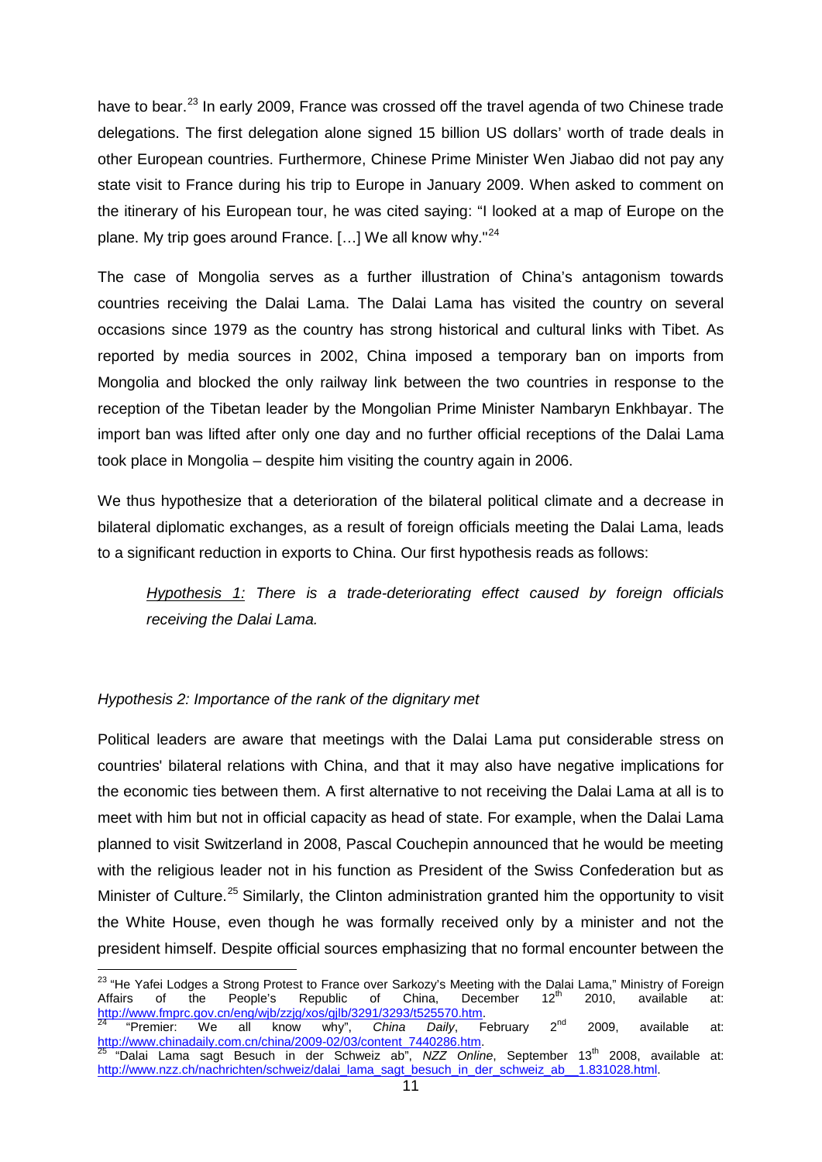have to bear.<sup>[23](#page-12-0)</sup> In early 2009, France was crossed off the travel agenda of two Chinese trade delegations. The first delegation alone signed 15 billion US dollars' worth of trade deals in other European countries. Furthermore, Chinese Prime Minister Wen Jiabao did not pay any state visit to France during his trip to Europe in January 2009. When asked to comment on the itinerary of his European tour, he was cited saying: "I looked at a map of Europe on the plane. My trip goes around France. [...] We all know why."<sup>[24](#page-12-1)</sup>

The case of Mongolia serves as a further illustration of China's antagonism towards countries receiving the Dalai Lama. The Dalai Lama has visited the country on several occasions since 1979 as the country has strong historical and cultural links with Tibet. As reported by media sources in 2002, China imposed a temporary ban on imports from Mongolia and blocked the only railway link between the two countries in response to the reception of the Tibetan leader by the Mongolian Prime Minister Nambaryn Enkhbayar. The import ban was lifted after only one day and no further official receptions of the Dalai Lama took place in Mongolia – despite him visiting the country again in 2006.

We thus hypothesize that a deterioration of the bilateral political climate and a decrease in bilateral diplomatic exchanges, as a result of foreign officials meeting the Dalai Lama, leads to a significant reduction in exports to China. Our first hypothesis reads as follows:

*Hypothesis 1: There is a trade-deteriorating effect caused by foreign officials receiving the Dalai Lama.*

#### *Hypothesis 2: Importance of the rank of the dignitary met*

Political leaders are aware that meetings with the Dalai Lama put considerable stress on countries' bilateral relations with China, and that it may also have negative implications for the economic ties between them. A first alternative to not receiving the Dalai Lama at all is to meet with him but not in official capacity as head of state. For example, when the Dalai Lama planned to visit Switzerland in 2008, Pascal Couchepin announced that he would be meeting with the religious leader not in his function as President of the Swiss Confederation but as Minister of Culture.<sup>[25](#page-12-2)</sup> Similarly, the Clinton administration granted him the opportunity to visit the White House, even though he was formally received only by a minister and not the president himself. Despite official sources emphasizing that no formal encounter between the

<span id="page-12-0"></span><sup>23</sup> "He Yafei Lodges a Strong Protest to France over Sarkozy's Meeting with the Dalai Lama," Ministry of Foreign Affairs of the People's Republic of China, December 12<sup>th</sup> 2010, available at: [http://www.fmprc.gov.cn/eng/wjb/zzjg/xos/gjlb/3291/3293/t525570.htm.](http://www.fmprc.gov.cn/eng/wjb/zzjg/xos/gjlb/3291/3293/t525570.htm) <sup>24</sup> "Premier: We all know why", *China Daily*, February 2nd 2009, available at:

<span id="page-12-2"></span><span id="page-12-1"></span>[http://www.chinadaily.com.cn/china/2009-02/03/content\\_7440286.htm.](http://www.chinadaily.com.cn/china/2009-02/03/content_7440286.htm)<br><sup>25</sup> "Dalai Lama sagt Besuch in der Schweiz ab", *NZZ Online*, September 13<sup>th</sup> 2008, available at:<br>http://www.nzz.ch/nachrichten/schweiz/dalai lama sagt b http://www.nzz.ch/nachrichten/schweiz/dalai\_lama\_sagt\_besuch\_in\_der\_schweiz\_ab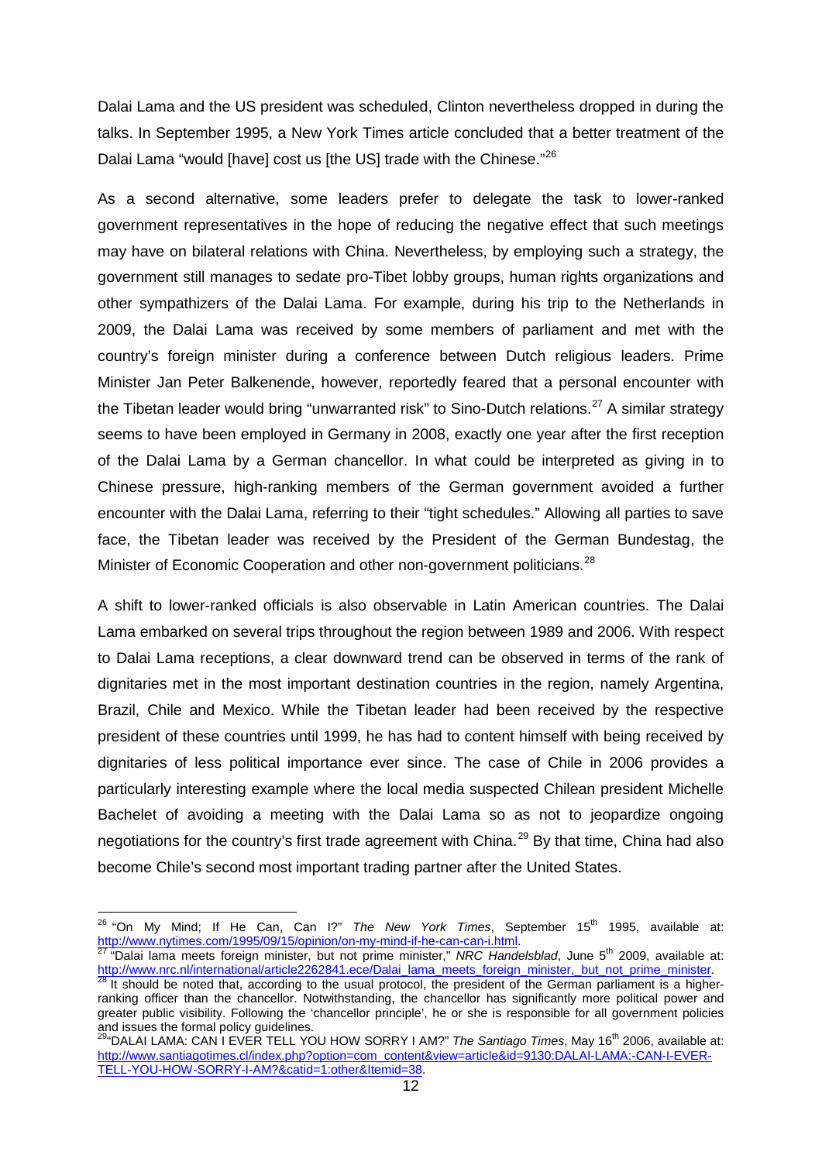Dalai Lama and the US president was scheduled, Clinton nevertheless dropped in during the talks. In September 1995, a New York Times article concluded that a better treatment of the Dalai Lama "would [have] cost us [the US] trade with the Chinese."<sup>[26](#page-13-0)</sup>

As a second alternative, some leaders prefer to delegate the task to lower-ranked government representatives in the hope of reducing the negative effect that such meetings may have on bilateral relations with China. Nevertheless, by employing such a strategy, the government still manages to sedate pro-Tibet lobby groups, human rights organizations and other sympathizers of the Dalai Lama. For example, during his trip to the Netherlands in 2009, the Dalai Lama was received by some members of parliament and met with the country's foreign minister during a conference between Dutch religious leaders. Prime Minister Jan Peter Balkenende, however, reportedly feared that a personal encounter with the Tibetan leader would bring "unwarranted risk" to Sino-Dutch relations.<sup>[27](#page-13-1)</sup> A similar strategy seems to have been employed in Germany in 2008, exactly one year after the first reception of the Dalai Lama by a German chancellor. In what could be interpreted as giving in to Chinese pressure, high-ranking members of the German government avoided a further encounter with the Dalai Lama, referring to their "tight schedules." Allowing all parties to save face, the Tibetan leader was received by the President of the German Bundestag, the Minister of Economic Cooperation and other non-government politicians.<sup>[28](#page-13-2)</sup>

A shift to lower-ranked officials is also observable in Latin American countries. The Dalai Lama embarked on several trips throughout the region between 1989 and 2006. With respect to Dalai Lama receptions, a clear downward trend can be observed in terms of the rank of dignitaries met in the most important destination countries in the region, namely Argentina, Brazil, Chile and Mexico. While the Tibetan leader had been received by the respective president of these countries until 1999, he has had to content himself with being received by dignitaries of less political importance ever since. The case of Chile in 2006 provides a particularly interesting example where the local media suspected Chilean president Michelle Bachelet of avoiding a meeting with the Dalai Lama so as not to jeopardize ongoing negotiations for the country's first trade agreement with China.<sup>[29](#page-13-3)</sup> By that time, China had also become Chile's second most important trading partner after the United States.

<span id="page-13-0"></span><sup>&</sup>lt;sup>26</sup> "On My Mind; If He Can, Can I?" *The New York Times*, September 15<sup>th</sup> 1995, available at: [http://www.nytimes.com/1995/09/15/opinion/on-my-mind-if-he-can-can-i.html.](http://www.nytimes.com/1995/09/15/opinion/on-my-mind-if-he-can-can-i.html)<br><sup>27</sup> "Dalai lama meets foreign minister, but not prime minister," *NRC Handelsblad*, June 5<sup>th</sup> 2009, available at:

<span id="page-13-1"></span>[http://www.nrc.nl/international/article2262841.ece/Dalai\\_lama\\_meets\\_foreign\\_minister,\\_but\\_not\\_prime\\_minister.](http://www.nrc.nl/international/article2262841.ece/Dalai_lama_meets_foreign_minister,_but_not_prime_minister) <sup>28</sup> It should be noted that, according to the usual protocol, the president of the German parliament is a highe

<span id="page-13-2"></span>ranking officer than the chancellor. Notwithstanding, the chancellor has significantly more political power and greater public visibility. Following the 'chancellor principle', he or she is responsible for all government policies and issues the formal policy guidelines.

<span id="page-13-3"></span><sup>&</sup>lt;sup>29</sup>"DALAI LAMA: CAN I EVER TELL YOU HOW SORRY I AM?" The Santiago Times, May 16<sup>th</sup> 2006, available at: [http://www.santiagotimes.cl/index.php?option=com\\_content&view=article&id=9130:DALAI-LAMA:-CAN-I-EVER-](http://www.santiagotimes.cl/index.php?option=com_content&view=article&id=9130:DALAI-LAMA:-CAN-I-EVER-TELL-YOU-HOW-SORRY-I-AM?&catid=1:other&Itemid=38)[TELL-YOU-HOW-SORRY-I-AM?&catid=1:other&Itemid=38.](http://www.santiagotimes.cl/index.php?option=com_content&view=article&id=9130:DALAI-LAMA:-CAN-I-EVER-TELL-YOU-HOW-SORRY-I-AM?&catid=1:other&Itemid=38)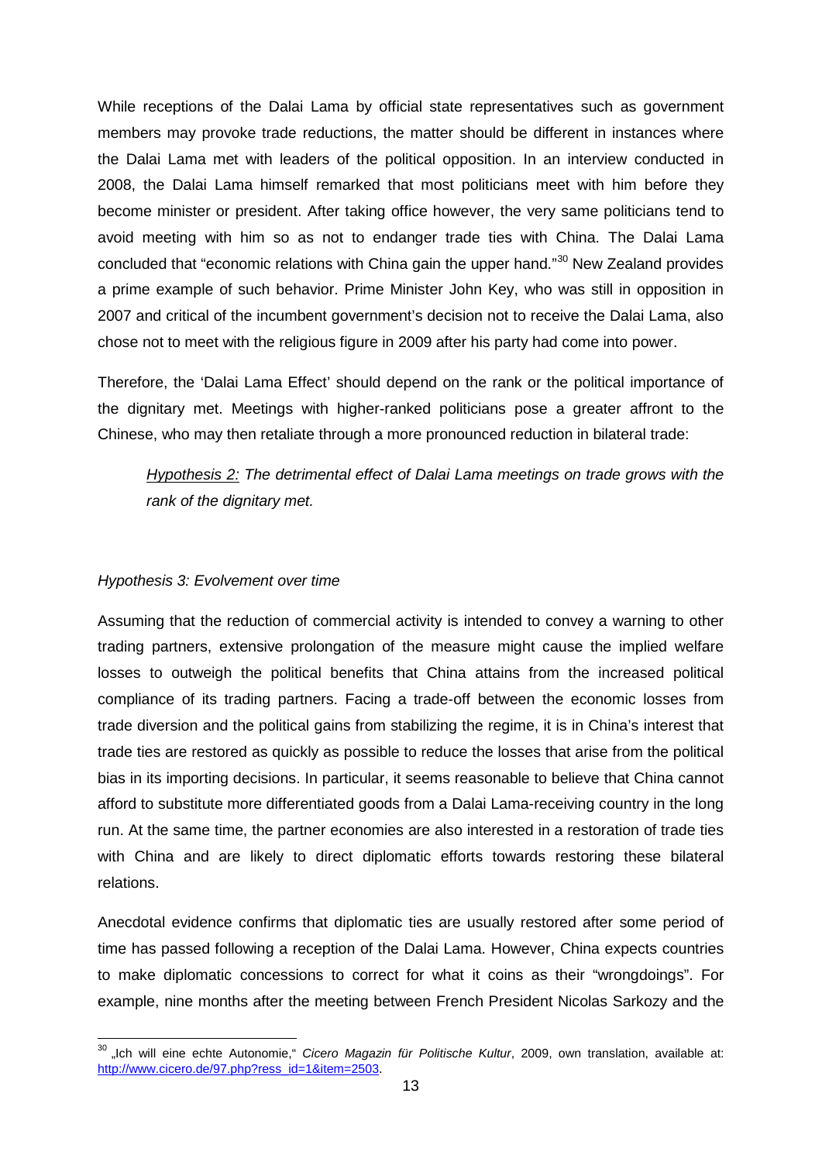While receptions of the Dalai Lama by official state representatives such as government members may provoke trade reductions, the matter should be different in instances where the Dalai Lama met with leaders of the political opposition. In an interview conducted in 2008, the Dalai Lama himself remarked that most politicians meet with him before they become minister or president. After taking office however, the very same politicians tend to avoid meeting with him so as not to endanger trade ties with China. The Dalai Lama concluded that "economic relations with China gain the upper hand."<sup>[30](#page-14-0)</sup> New Zealand provides a prime example of such behavior. Prime Minister John Key, who was still in opposition in 2007 and critical of the incumbent government's decision not to receive the Dalai Lama, also chose not to meet with the religious figure in 2009 after his party had come into power.

Therefore, the 'Dalai Lama Effect' should depend on the rank or the political importance of the dignitary met. Meetings with higher-ranked politicians pose a greater affront to the Chinese, who may then retaliate through a more pronounced reduction in bilateral trade:

*Hypothesis 2: The detrimental effect of Dalai Lama meetings on trade grows with the rank of the dignitary met.*

#### *Hypothesis 3: Evolvement over time*

Assuming that the reduction of commercial activity is intended to convey a warning to other trading partners, extensive prolongation of the measure might cause the implied welfare losses to outweigh the political benefits that China attains from the increased political compliance of its trading partners. Facing a trade-off between the economic losses from trade diversion and the political gains from stabilizing the regime, it is in China's interest that trade ties are restored as quickly as possible to reduce the losses that arise from the political bias in its importing decisions. In particular, it seems reasonable to believe that China cannot afford to substitute more differentiated goods from a Dalai Lama-receiving country in the long run. At the same time, the partner economies are also interested in a restoration of trade ties with China and are likely to direct diplomatic efforts towards restoring these bilateral relations.

Anecdotal evidence confirms that diplomatic ties are usually restored after some period of time has passed following a reception of the Dalai Lama. However, China expects countries to make diplomatic concessions to correct for what it coins as their "wrongdoings". For example, nine months after the meeting between French President Nicolas Sarkozy and the

<span id="page-14-0"></span><sup>&</sup>lt;sup>30</sup> "Ich will eine echte Autonomie," *Cicero Magazin für Politische Kultur*, 2009, own translation, available at: [http://www.cicero.de/97.php?ress\\_id=1&item=2503](http://www.cicero.de/97.php?ress_id=1&item=2503).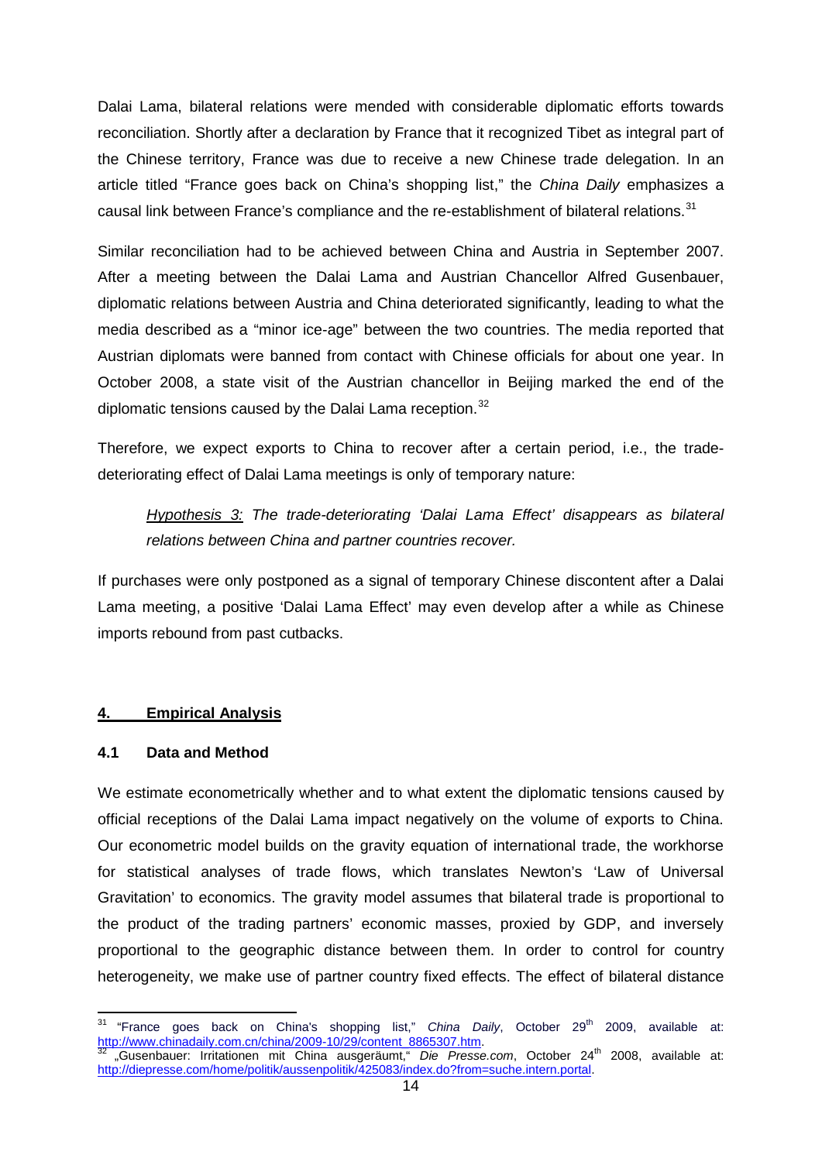Dalai Lama, bilateral relations were mended with considerable diplomatic efforts towards reconciliation. Shortly after a declaration by France that it recognized Tibet as integral part of the Chinese territory, France was due to receive a new Chinese trade delegation. In an article titled "France goes back on China's shopping list," the *China Daily* emphasizes a causal link between France's compliance and the re-establishment of bilateral relations.<sup>[31](#page-15-0)</sup>

Similar reconciliation had to be achieved between China and Austria in September 2007. After a meeting between the Dalai Lama and Austrian Chancellor Alfred Gusenbauer, diplomatic relations between Austria and China deteriorated significantly, leading to what the media described as a "minor ice-age" between the two countries. The media reported that Austrian diplomats were banned from contact with Chinese officials for about one year. In October 2008, a state visit of the Austrian chancellor in Beijing marked the end of the diplomatic tensions caused by the Dalai Lama reception. $32$ 

Therefore, we expect exports to China to recover after a certain period, i.e., the tradedeteriorating effect of Dalai Lama meetings is only of temporary nature:

*Hypothesis 3: The trade-deteriorating 'Dalai Lama Effect' disappears as bilateral relations between China and partner countries recover.*

If purchases were only postponed as a signal of temporary Chinese discontent after a Dalai Lama meeting, a positive 'Dalai Lama Effect' may even develop after a while as Chinese imports rebound from past cutbacks.

#### **4. Empirical Analysis**

#### **4.1 Data and Method**

We estimate econometrically whether and to what extent the diplomatic tensions caused by official receptions of the Dalai Lama impact negatively on the volume of exports to China. Our econometric model builds on the gravity equation of international trade, the workhorse for statistical analyses of trade flows, which translates Newton's 'Law of Universal Gravitation' to economics. The gravity model assumes that bilateral trade is proportional to the product of the trading partners' economic masses, proxied by GDP, and inversely proportional to the geographic distance between them. In order to control for country heterogeneity, we make use of partner country fixed effects. The effect of bilateral distance

<span id="page-15-1"></span><span id="page-15-0"></span><sup>&</sup>quot;France goes back on China's shopping list," *China Daily*, October 29<sup>th</sup> 2009, available at: <mark>http://www.chinadaily.com.cn/china/2009-10/29/content\_8865307.htm</mark>.<br><sup>32</sup> "Gusenbauer: Irritationen mit China ausgeräumt," *Die Presse.com*, October 24<sup>th</sup> 2008, available at: [http://diepresse.com/home/politik/aussenpolitik/425083/index.do?from=suche.intern.portal.](http://diepresse.com/home/politik/aussenpolitik/425083/index.do?from=suche.intern.portal)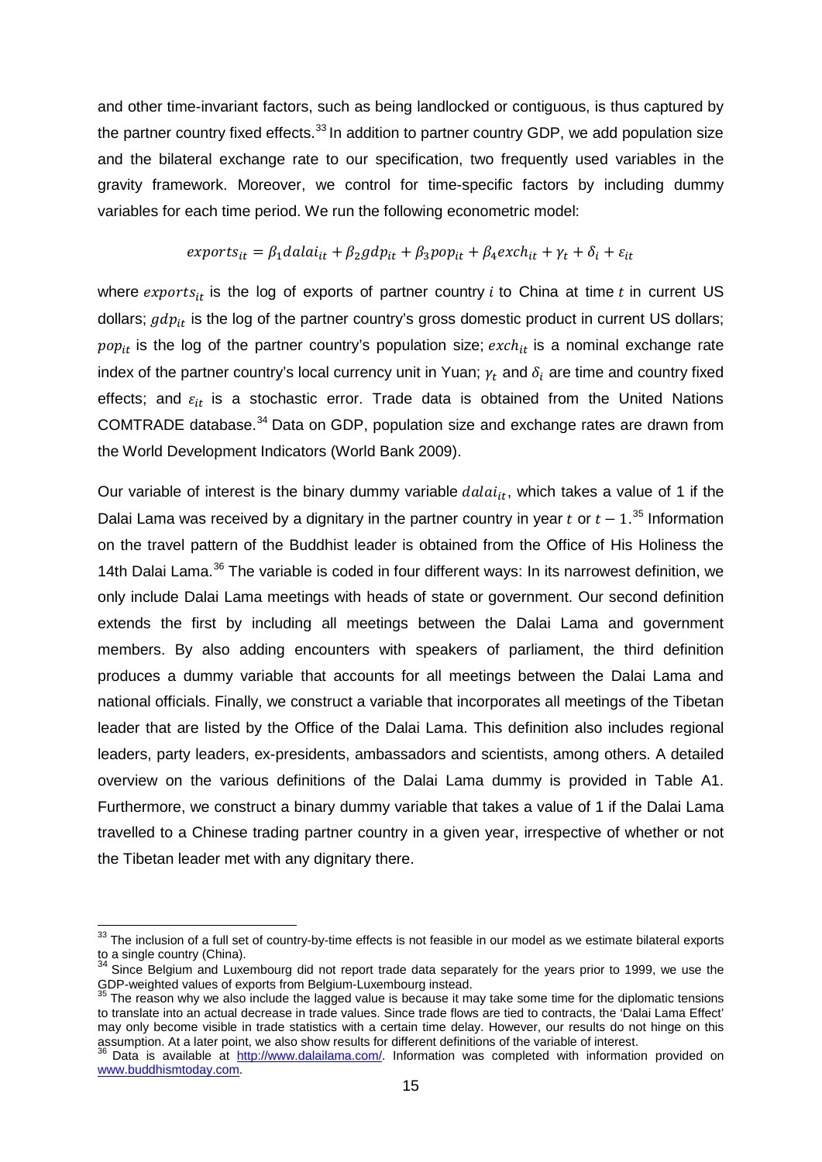and other time-invariant factors, such as being landlocked or contiguous, is thus captured by the partner country fixed effects.<sup>[33](#page-16-0)</sup> In addition to partner country GDP, we add population size and the bilateral exchange rate to our specification, two frequently used variables in the gravity framework. Moreover, we control for time-specific factors by including dummy variables for each time period. We run the following econometric model:

$$
exports_{it} = \beta_1 dala_{it} + \beta_2 gdp_{it} + \beta_3 pop_{it} + \beta_4 exch_{it} + \gamma_t + \delta_i + \varepsilon_{it}
$$

where  $exports_{it}$  is the log of exports of partner country  $i$  to China at time  $t$  in current US dollars;  $gdp_{it}$  is the log of the partner country's gross domestic product in current US dollars;  $pop_{it}$  is the log of the partner country's population size;  $exch_{it}$  is a nominal exchange rate index of the partner country's local currency unit in Yuan;  $\gamma_t$  and  $\delta_i$  are time and country fixed effects; and  $\varepsilon_{it}$  is a stochastic error. Trade data is obtained from the United Nations COMTRADE database.<sup>[34](#page-16-1)</sup> Data on GDP, population size and exchange rates are drawn from the World Development Indicators (World Bank 2009).

Our variable of interest is the binary dummy variable  $dala_{it}$ , which takes a value of 1 if the Dalai Lama was received by a dignitary in the partner country in year  $t$  or  $t-1$ .<sup>[35](#page-16-2)</sup> Information on the travel pattern of the Buddhist leader is obtained from the Office of His Holiness the 14th Dalai Lama.<sup>[36](#page-16-3)</sup> The variable is coded in four different ways: In its narrowest definition, we only include Dalai Lama meetings with heads of state or government. Our second definition extends the first by including all meetings between the Dalai Lama and government members. By also adding encounters with speakers of parliament, the third definition produces a dummy variable that accounts for all meetings between the Dalai Lama and national officials. Finally, we construct a variable that incorporates all meetings of the Tibetan leader that are listed by the Office of the Dalai Lama. This definition also includes regional leaders, party leaders, ex-presidents, ambassadors and scientists, among others. A detailed overview on the various definitions of the Dalai Lama dummy is provided in Table A1. Furthermore, we construct a binary dummy variable that takes a value of 1 if the Dalai Lama travelled to a Chinese trading partner country in a given year, irrespective of whether or not the Tibetan leader met with any dignitary there.

<span id="page-16-0"></span><sup>&</sup>lt;sup>33</sup> The inclusion of a full set of country-by-time effects is not feasible in our model as we estimate bilateral exports to a single country (China).

<span id="page-16-1"></span> $34$  Since Belgium and Luxembourg did not report trade data separately for the years prior to 1999, we use the GDP-weighted values of exports from Belgium-Luxembourg instead.<br><sup>35</sup> The reason why we also include the lagged value is because it may take some time for the diplomatic tensions

<span id="page-16-2"></span>to translate into an actual decrease in trade values. Since trade flows are tied to contracts, the 'Dalai Lama Effect' may only become visible in trade statistics with a certain time delay. However, our results do not hinge on this assumption. At a later point, we also show results for different definitions of the variable of interest.

<span id="page-16-3"></span>Data is available at [http://www.dalailama.com/.](http://www.dalailama.com/) Information was completed with information provided on [www.buddhismtoday.com.](http://www.buddhismtoday.com/)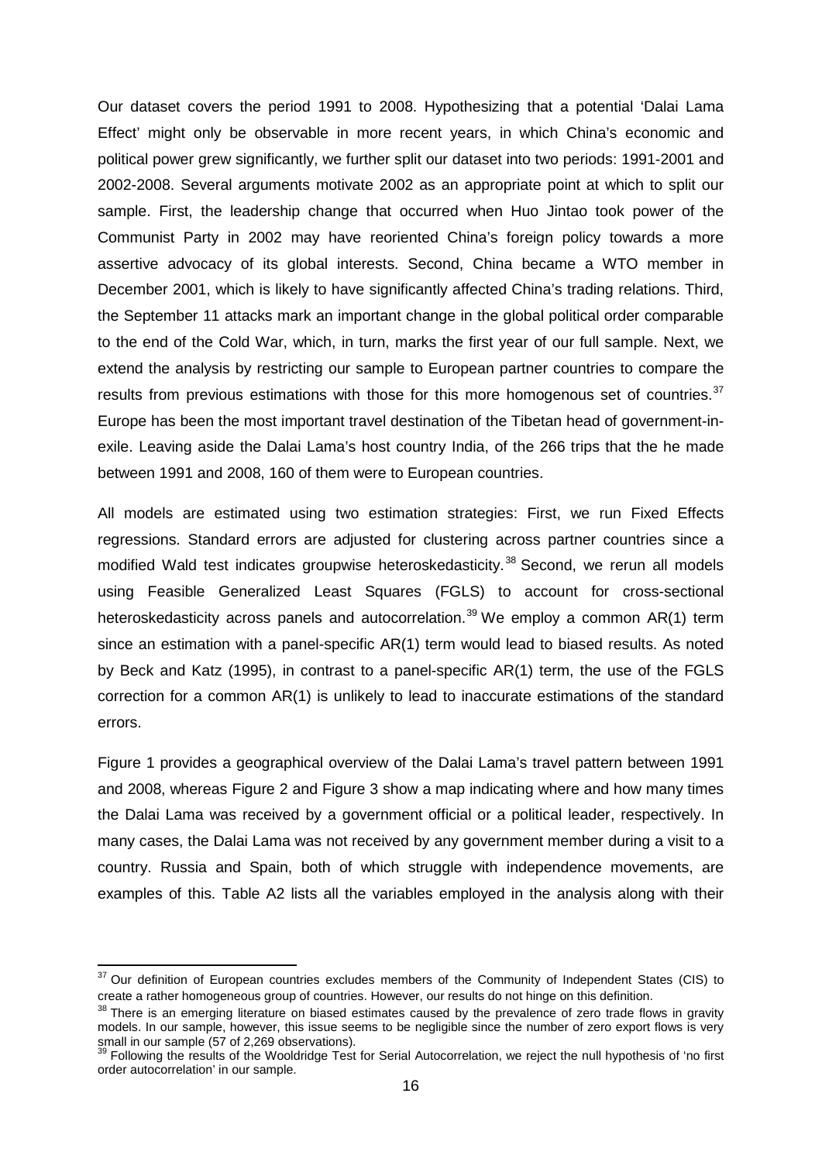Our dataset covers the period 1991 to 2008. Hypothesizing that a potential 'Dalai Lama Effect' might only be observable in more recent years, in which China's economic and political power grew significantly, we further split our dataset into two periods: 1991-2001 and 2002-2008. Several arguments motivate 2002 as an appropriate point at which to split our sample. First, the leadership change that occurred when Huo Jintao took power of the Communist Party in 2002 may have reoriented China's foreign policy towards a more assertive advocacy of its global interests. Second, China became a WTO member in December 2001, which is likely to have significantly affected China's trading relations. Third, the September 11 attacks mark an important change in the global political order comparable to the end of the Cold War, which, in turn, marks the first year of our full sample. Next, we extend the analysis by restricting our sample to European partner countries to compare the results from previous estimations with those for this more homogenous set of countries.<sup>[37](#page-17-0)</sup> Europe has been the most important travel destination of the Tibetan head of government-inexile. Leaving aside the Dalai Lama's host country India, of the 266 trips that the he made between 1991 and 2008, 160 of them were to European countries.

All models are estimated using two estimation strategies: First, we run Fixed Effects regressions. Standard errors are adjusted for clustering across partner countries since a modified Wald test indicates groupwise heteroskedasticity. [38](#page-17-1) Second, we rerun all models using Feasible Generalized Least Squares (FGLS) to account for cross-sectional heteroskedasticity across panels and autocorrelation.<sup>[39](#page-17-2)</sup> We employ a common AR(1) term since an estimation with a panel-specific AR(1) term would lead to biased results. As noted by Beck and Katz (1995), in contrast to a panel-specific AR(1) term, the use of the FGLS correction for a common AR(1) is unlikely to lead to inaccurate estimations of the standard errors.

Figure 1 provides a geographical overview of the Dalai Lama's travel pattern between 1991 and 2008, whereas Figure 2 and Figure 3 show a map indicating where and how many times the Dalai Lama was received by a government official or a political leader, respectively. In many cases, the Dalai Lama was not received by any government member during a visit to a country. Russia and Spain, both of which struggle with independence movements, are examples of this. Table A2 lists all the variables employed in the analysis along with their

<span id="page-17-0"></span><sup>&</sup>lt;sup>37</sup> Our definition of European countries excludes members of the Community of Independent States (CIS) to create a rather homogeneous group of countries. However, our results do not hinge on this definition.

<span id="page-17-1"></span><sup>&</sup>lt;sup>38</sup> There is an emerging literature on biased estimates caused by the prevalence of zero trade flows in gravity models. In our sample, however, this issue seems to be negligible since the number of zero export flows is very small in our sample (57 of 2,269 observations).

<span id="page-17-2"></span>Following the results of the Wooldridge Test for Serial Autocorrelation, we reject the null hypothesis of 'no first order autocorrelation' in our sample.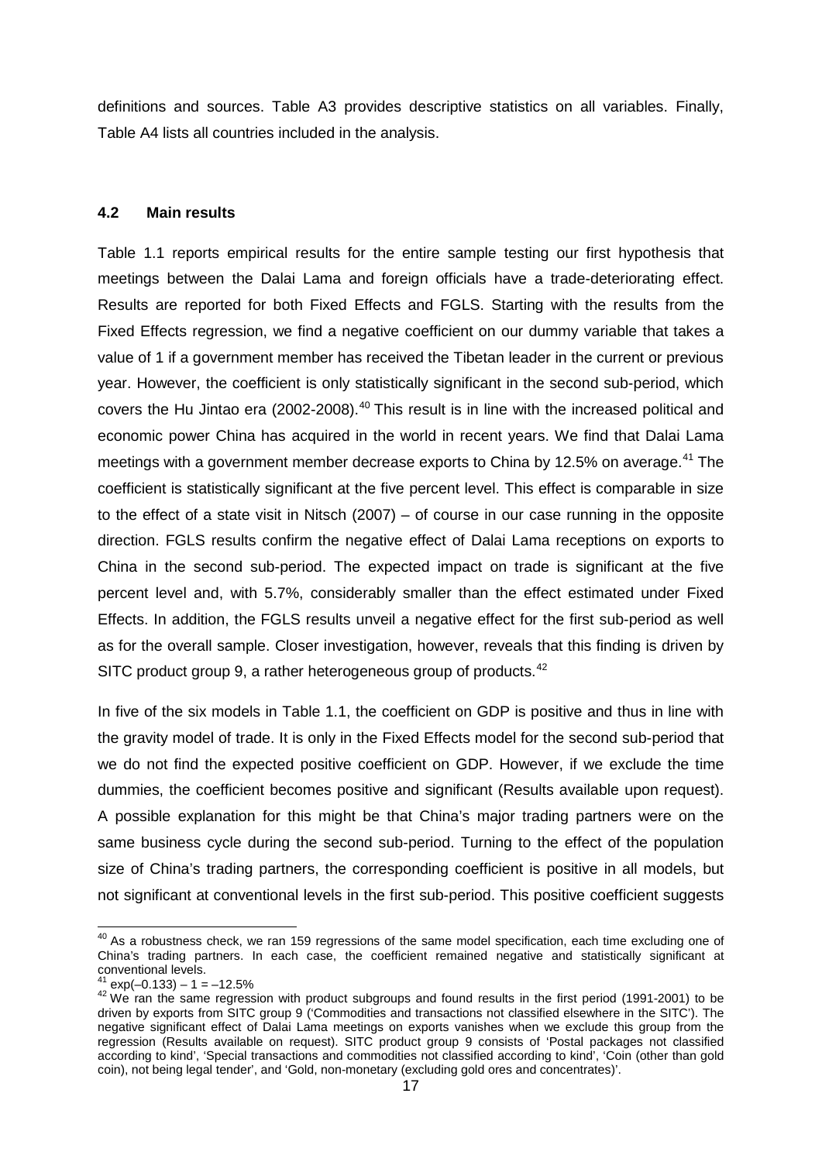definitions and sources. Table A3 provides descriptive statistics on all variables. Finally, Table A4 lists all countries included in the analysis.

#### **4.2 Main results**

Table 1.1 reports empirical results for the entire sample testing our first hypothesis that meetings between the Dalai Lama and foreign officials have a trade-deteriorating effect. Results are reported for both Fixed Effects and FGLS. Starting with the results from the Fixed Effects regression, we find a negative coefficient on our dummy variable that takes a value of 1 if a government member has received the Tibetan leader in the current or previous year. However, the coefficient is only statistically significant in the second sub-period, which covers the Hu Jintao era (2002-2008).<sup>[40](#page-18-0)</sup> This result is in line with the increased political and economic power China has acquired in the world in recent years. We find that Dalai Lama meetings with a government member decrease exports to China by 12.5% on average.<sup>[41](#page-18-1)</sup> The coefficient is statistically significant at the five percent level. This effect is comparable in size to the effect of a state visit in Nitsch (2007) – of course in our case running in the opposite direction. FGLS results confirm the negative effect of Dalai Lama receptions on exports to China in the second sub-period. The expected impact on trade is significant at the five percent level and, with 5.7%, considerably smaller than the effect estimated under Fixed Effects. In addition, the FGLS results unveil a negative effect for the first sub-period as well as for the overall sample. Closer investigation, however, reveals that this finding is driven by SITC product group 9, a rather heterogeneous group of products.<sup>[42](#page-18-2)</sup>

In five of the six models in Table 1.1, the coefficient on GDP is positive and thus in line with the gravity model of trade. It is only in the Fixed Effects model for the second sub-period that we do not find the expected positive coefficient on GDP. However, if we exclude the time dummies, the coefficient becomes positive and significant (Results available upon request). A possible explanation for this might be that China's major trading partners were on the same business cycle during the second sub-period. Turning to the effect of the population size of China's trading partners, the corresponding coefficient is positive in all models, but not significant at conventional levels in the first sub-period. This positive coefficient suggests

<span id="page-18-0"></span><sup>&</sup>lt;sup>40</sup> As a robustness check, we ran 159 regressions of the same model specification, each time excluding one of China's trading partners. In each case, the coefficient remained negative and statistically significant at conventional levels.

<span id="page-18-2"></span><span id="page-18-1"></span> $^{41}$  exp(-0.133) – 1 = –12.5%<br> $^{41}$  exp(-0.133) – 1 = –12.5%<br> $^{42}$  We ran the same regression with product subgroups and found results in the first period (1991-2001) to be driven by exports from SITC group 9 ('Commodities and transactions not classified elsewhere in the SITC'). The negative significant effect of Dalai Lama meetings on exports vanishes when we exclude this group from the regression (Results available on request). SITC product group 9 consists of 'Postal packages not classified according to kind', 'Special transactions and commodities not classified according to kind', 'Coin (other than gold coin), not being legal tender', and 'Gold, non-monetary (excluding gold ores and concentrates)'.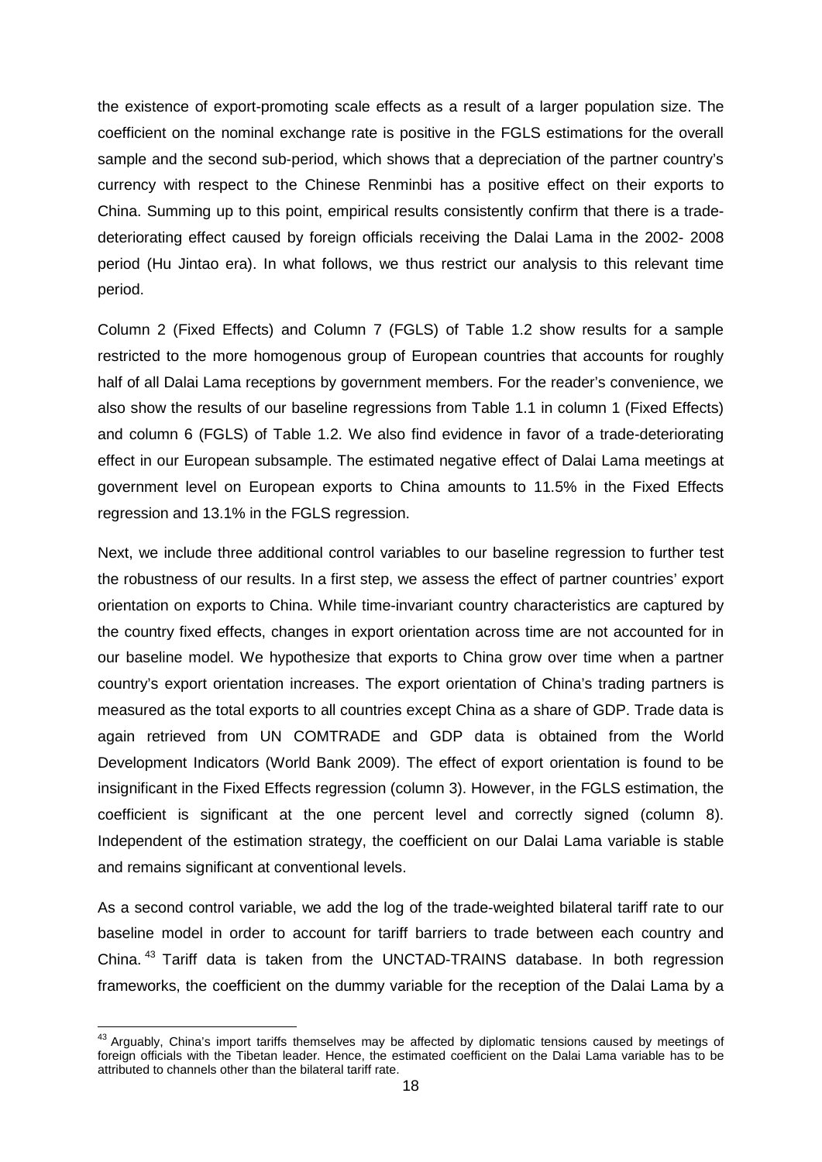the existence of export-promoting scale effects as a result of a larger population size. The coefficient on the nominal exchange rate is positive in the FGLS estimations for the overall sample and the second sub-period, which shows that a depreciation of the partner country's currency with respect to the Chinese Renminbi has a positive effect on their exports to China. Summing up to this point, empirical results consistently confirm that there is a tradedeteriorating effect caused by foreign officials receiving the Dalai Lama in the 2002- 2008 period (Hu Jintao era). In what follows, we thus restrict our analysis to this relevant time period.

Column 2 (Fixed Effects) and Column 7 (FGLS) of Table 1.2 show results for a sample restricted to the more homogenous group of European countries that accounts for roughly half of all Dalai Lama receptions by government members. For the reader's convenience, we also show the results of our baseline regressions from Table 1.1 in column 1 (Fixed Effects) and column 6 (FGLS) of Table 1.2. We also find evidence in favor of a trade-deteriorating effect in our European subsample. The estimated negative effect of Dalai Lama meetings at government level on European exports to China amounts to 11.5% in the Fixed Effects regression and 13.1% in the FGLS regression.

Next, we include three additional control variables to our baseline regression to further test the robustness of our results. In a first step, we assess the effect of partner countries' export orientation on exports to China. While time-invariant country characteristics are captured by the country fixed effects, changes in export orientation across time are not accounted for in our baseline model. We hypothesize that exports to China grow over time when a partner country's export orientation increases. The export orientation of China's trading partners is measured as the total exports to all countries except China as a share of GDP. Trade data is again retrieved from UN COMTRADE and GDP data is obtained from the World Development Indicators (World Bank 2009). The effect of export orientation is found to be insignificant in the Fixed Effects regression (column 3). However, in the FGLS estimation, the coefficient is significant at the one percent level and correctly signed (column 8). Independent of the estimation strategy, the coefficient on our Dalai Lama variable is stable and remains significant at conventional levels.

As a second control variable, we add the log of the trade-weighted bilateral tariff rate to our baseline model in order to account for tariff barriers to trade between each country and China.<sup>[43](#page-19-0)</sup> Tariff data is taken from the UNCTAD-TRAINS database. In both regression frameworks, the coefficient on the dummy variable for the reception of the Dalai Lama by a

<span id="page-19-0"></span><sup>&</sup>lt;sup>43</sup> Arguably, China's import tariffs themselves may be affected by diplomatic tensions caused by meetings of foreign officials with the Tibetan leader. Hence, the estimated coefficient on the Dalai Lama variable has to be attributed to channels other than the bilateral tariff rate.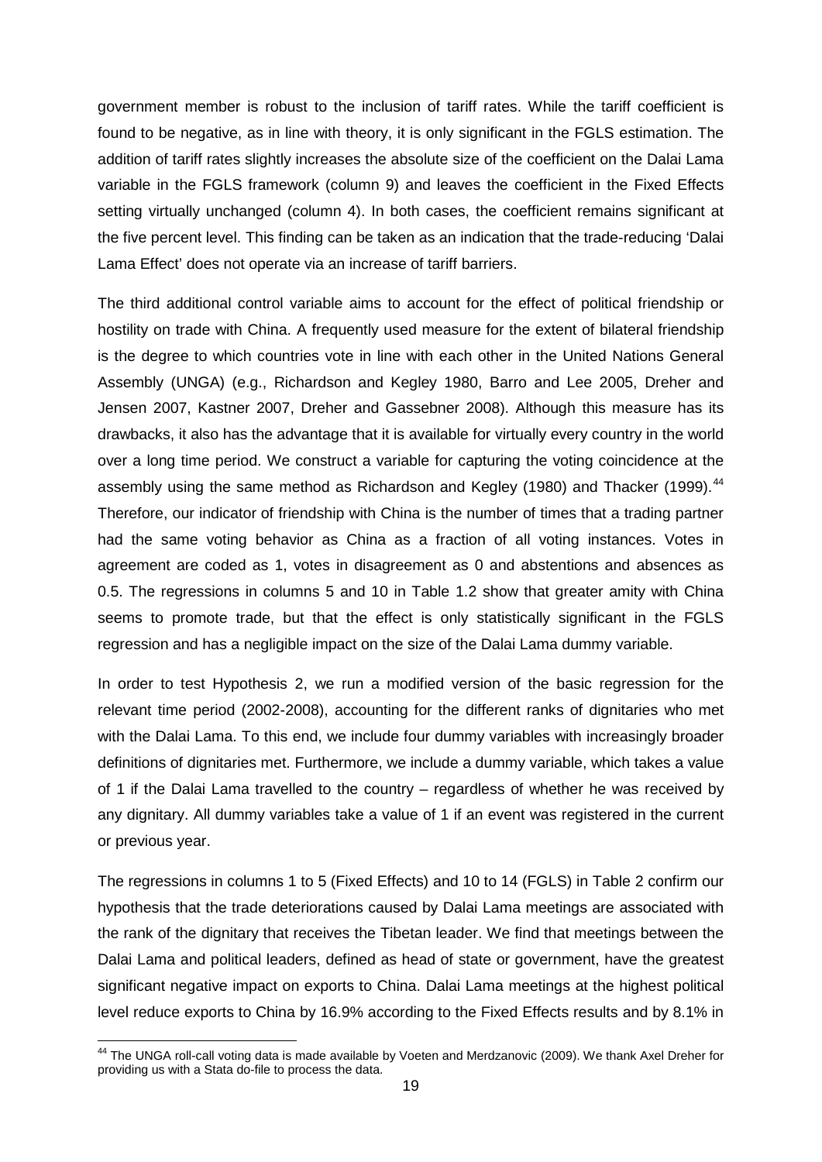government member is robust to the inclusion of tariff rates. While the tariff coefficient is found to be negative, as in line with theory, it is only significant in the FGLS estimation. The addition of tariff rates slightly increases the absolute size of the coefficient on the Dalai Lama variable in the FGLS framework (column 9) and leaves the coefficient in the Fixed Effects setting virtually unchanged (column 4). In both cases, the coefficient remains significant at the five percent level. This finding can be taken as an indication that the trade-reducing 'Dalai Lama Effect' does not operate via an increase of tariff barriers.

The third additional control variable aims to account for the effect of political friendship or hostility on trade with China. A frequently used measure for the extent of bilateral friendship is the degree to which countries vote in line with each other in the United Nations General Assembly (UNGA) (e.g., Richardson and Kegley 1980, Barro and Lee 2005, Dreher and Jensen 2007, Kastner 2007, Dreher and Gassebner 2008). Although this measure has its drawbacks, it also has the advantage that it is available for virtually every country in the world over a long time period. We construct a variable for capturing the voting coincidence at the assembly using the same method as Richardson and Kegley (1980) and Thacker (1999).  $44$ Therefore, our indicator of friendship with China is the number of times that a trading partner had the same voting behavior as China as a fraction of all voting instances. Votes in agreement are coded as 1, votes in disagreement as 0 and abstentions and absences as 0.5. The regressions in columns 5 and 10 in Table 1.2 show that greater amity with China seems to promote trade, but that the effect is only statistically significant in the FGLS regression and has a negligible impact on the size of the Dalai Lama dummy variable.

In order to test Hypothesis 2, we run a modified version of the basic regression for the relevant time period (2002-2008), accounting for the different ranks of dignitaries who met with the Dalai Lama. To this end, we include four dummy variables with increasingly broader definitions of dignitaries met. Furthermore, we include a dummy variable, which takes a value of 1 if the Dalai Lama travelled to the country – regardless of whether he was received by any dignitary. All dummy variables take a value of 1 if an event was registered in the current or previous year.

The regressions in columns 1 to 5 (Fixed Effects) and 10 to 14 (FGLS) in Table 2 confirm our hypothesis that the trade deteriorations caused by Dalai Lama meetings are associated with the rank of the dignitary that receives the Tibetan leader. We find that meetings between the Dalai Lama and political leaders, defined as head of state or government, have the greatest significant negative impact on exports to China. Dalai Lama meetings at the highest political level reduce exports to China by 16.9% according to the Fixed Effects results and by 8.1% in

<span id="page-20-0"></span><sup>&</sup>lt;sup>44</sup> The UNGA roll-call voting data is made available by Voeten and Merdzanovic (2009). We thank Axel Dreher for providing us with a Stata do-file to process the data.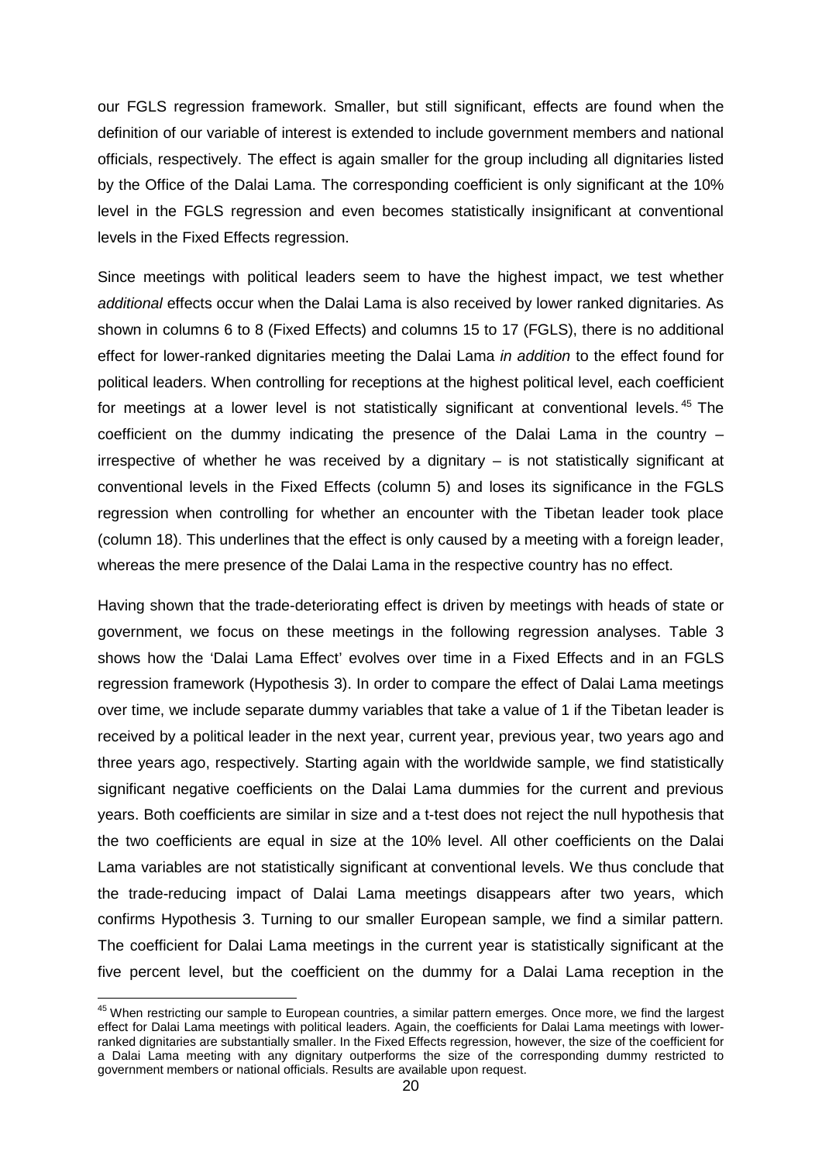our FGLS regression framework. Smaller, but still significant, effects are found when the definition of our variable of interest is extended to include government members and national officials, respectively. The effect is again smaller for the group including all dignitaries listed by the Office of the Dalai Lama. The corresponding coefficient is only significant at the 10% level in the FGLS regression and even becomes statistically insignificant at conventional levels in the Fixed Effects regression.

Since meetings with political leaders seem to have the highest impact, we test whether *additional* effects occur when the Dalai Lama is also received by lower ranked dignitaries. As shown in columns 6 to 8 (Fixed Effects) and columns 15 to 17 (FGLS), there is no additional effect for lower-ranked dignitaries meeting the Dalai Lama *in addition* to the effect found for political leaders. When controlling for receptions at the highest political level, each coefficient for meetings at a lower level is not statistically significant at conventional levels.<sup>[45](#page-21-0)</sup> The coefficient on the dummy indicating the presence of the Dalai Lama in the country – irrespective of whether he was received by a dignitary – is not statistically significant at conventional levels in the Fixed Effects (column 5) and loses its significance in the FGLS regression when controlling for whether an encounter with the Tibetan leader took place (column 18). This underlines that the effect is only caused by a meeting with a foreign leader, whereas the mere presence of the Dalai Lama in the respective country has no effect.

Having shown that the trade-deteriorating effect is driven by meetings with heads of state or government, we focus on these meetings in the following regression analyses. Table 3 shows how the 'Dalai Lama Effect' evolves over time in a Fixed Effects and in an FGLS regression framework (Hypothesis 3). In order to compare the effect of Dalai Lama meetings over time, we include separate dummy variables that take a value of 1 if the Tibetan leader is received by a political leader in the next year, current year, previous year, two years ago and three years ago, respectively. Starting again with the worldwide sample, we find statistically significant negative coefficients on the Dalai Lama dummies for the current and previous years. Both coefficients are similar in size and a t-test does not reject the null hypothesis that the two coefficients are equal in size at the 10% level. All other coefficients on the Dalai Lama variables are not statistically significant at conventional levels. We thus conclude that the trade-reducing impact of Dalai Lama meetings disappears after two years, which confirms Hypothesis 3. Turning to our smaller European sample, we find a similar pattern. The coefficient for Dalai Lama meetings in the current year is statistically significant at the five percent level, but the coefficient on the dummy for a Dalai Lama reception in the

<span id="page-21-0"></span><sup>&</sup>lt;sup>45</sup> When restricting our sample to European countries, a similar pattern emerges. Once more, we find the largest effect for Dalai Lama meetings with political leaders. Again, the coefficients for Dalai Lama meetings with lowerranked dignitaries are substantially smaller. In the Fixed Effects regression, however, the size of the coefficient for a Dalai Lama meeting with any dignitary outperforms the size of the corresponding dummy restricted to government members or national officials. Results are available upon request.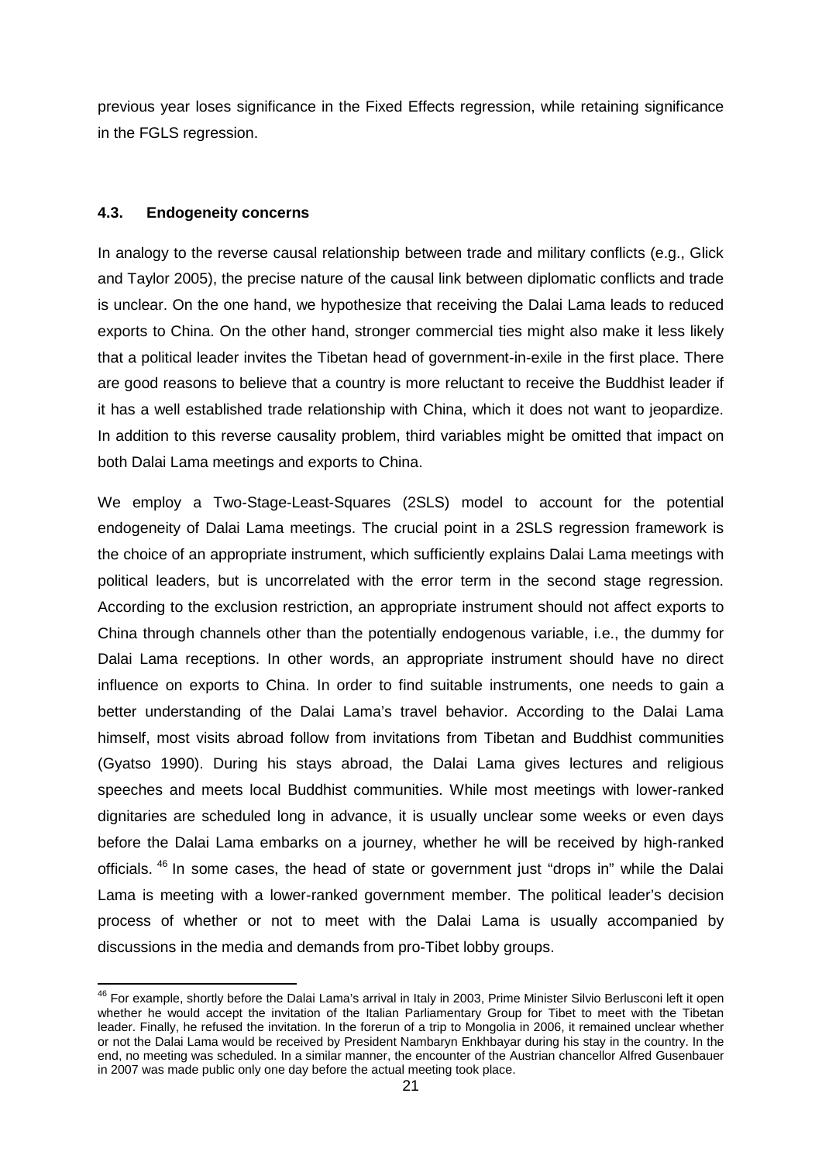previous year loses significance in the Fixed Effects regression, while retaining significance in the FGLS regression.

#### **4.3. Endogeneity concerns**

In analogy to the reverse causal relationship between trade and military conflicts (e.g., Glick and Taylor 2005), the precise nature of the causal link between diplomatic conflicts and trade is unclear. On the one hand, we hypothesize that receiving the Dalai Lama leads to reduced exports to China. On the other hand, stronger commercial ties might also make it less likely that a political leader invites the Tibetan head of government-in-exile in the first place. There are good reasons to believe that a country is more reluctant to receive the Buddhist leader if it has a well established trade relationship with China, which it does not want to jeopardize. In addition to this reverse causality problem, third variables might be omitted that impact on both Dalai Lama meetings and exports to China.

We employ a Two-Stage-Least-Squares (2SLS) model to account for the potential endogeneity of Dalai Lama meetings. The crucial point in a 2SLS regression framework is the choice of an appropriate instrument, which sufficiently explains Dalai Lama meetings with political leaders, but is uncorrelated with the error term in the second stage regression. According to the exclusion restriction, an appropriate instrument should not affect exports to China through channels other than the potentially endogenous variable, i.e., the dummy for Dalai Lama receptions. In other words, an appropriate instrument should have no direct influence on exports to China. In order to find suitable instruments, one needs to gain a better understanding of the Dalai Lama's travel behavior. According to the Dalai Lama himself, most visits abroad follow from invitations from Tibetan and Buddhist communities (Gyatso 1990). During his stays abroad, the Dalai Lama gives lectures and religious speeches and meets local Buddhist communities. While most meetings with lower-ranked dignitaries are scheduled long in advance, it is usually unclear some weeks or even days before the Dalai Lama embarks on a journey, whether he will be received by high-ranked officials. <sup>[46](#page-22-0)</sup> In some cases, the head of state or government just "drops in" while the Dalai Lama is meeting with a lower-ranked government member. The political leader's decision process of whether or not to meet with the Dalai Lama is usually accompanied by discussions in the media and demands from pro-Tibet lobby groups.

<span id="page-22-0"></span><sup>&</sup>lt;sup>46</sup> For example, shortly before the Dalai Lama's arrival in Italy in 2003, Prime Minister Silvio Berlusconi left it open whether he would accept the invitation of the Italian Parliamentary Group for Tibet to meet with the Tibetan leader. Finally, he refused the invitation. In the forerun of a trip to Mongolia in 2006, it remained unclear whether or not the Dalai Lama would be received by President Nambaryn Enkhbayar during his stay in the country. In the end, no meeting was scheduled. In a similar manner, the encounter of the Austrian chancellor Alfred Gusenbauer in 2007 was made public only one day before the actual meeting took place.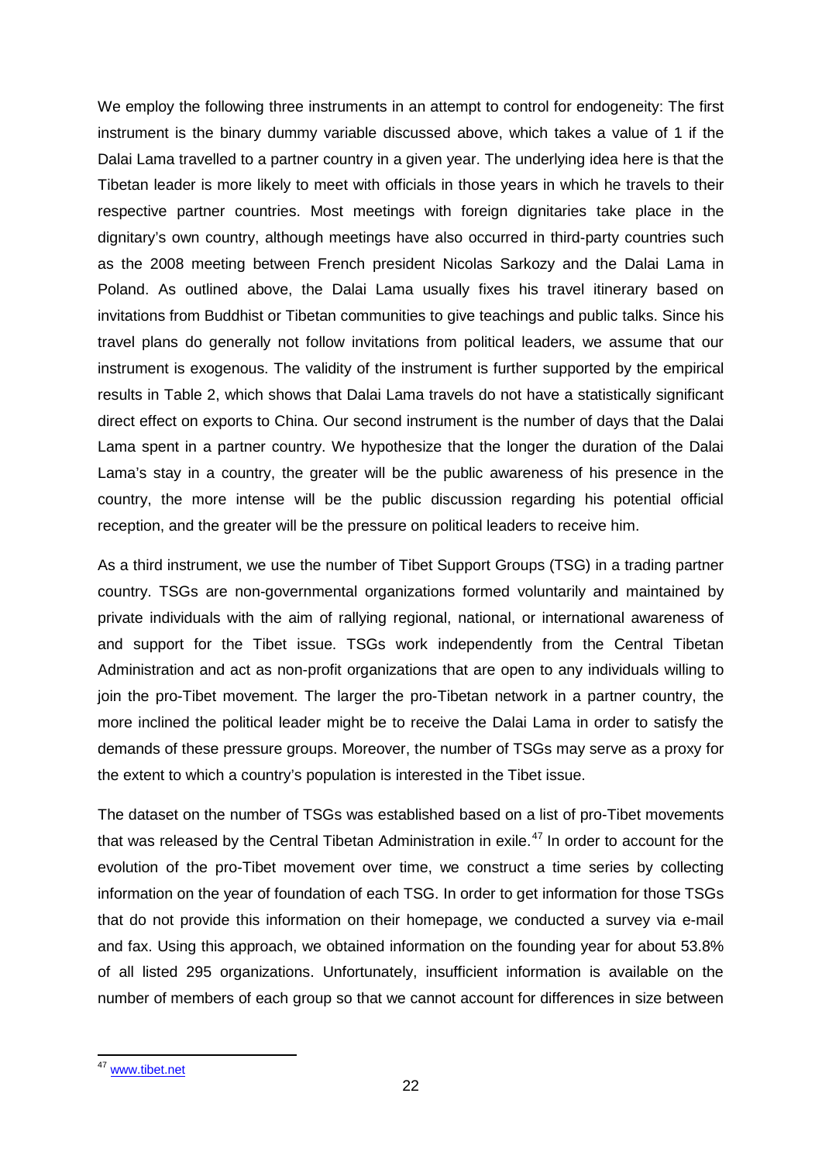We employ the following three instruments in an attempt to control for endogeneity: The first instrument is the binary dummy variable discussed above, which takes a value of 1 if the Dalai Lama travelled to a partner country in a given year. The underlying idea here is that the Tibetan leader is more likely to meet with officials in those years in which he travels to their respective partner countries. Most meetings with foreign dignitaries take place in the dignitary's own country, although meetings have also occurred in third-party countries such as the 2008 meeting between French president Nicolas Sarkozy and the Dalai Lama in Poland. As outlined above, the Dalai Lama usually fixes his travel itinerary based on invitations from Buddhist or Tibetan communities to give teachings and public talks. Since his travel plans do generally not follow invitations from political leaders, we assume that our instrument is exogenous. The validity of the instrument is further supported by the empirical results in Table 2, which shows that Dalai Lama travels do not have a statistically significant direct effect on exports to China. Our second instrument is the number of days that the Dalai Lama spent in a partner country. We hypothesize that the longer the duration of the Dalai Lama's stay in a country, the greater will be the public awareness of his presence in the country, the more intense will be the public discussion regarding his potential official reception, and the greater will be the pressure on political leaders to receive him.

As a third instrument, we use the number of Tibet Support Groups (TSG) in a trading partner country. TSGs are non-governmental organizations formed voluntarily and maintained by private individuals with the aim of rallying regional, national, or international awareness of and support for the Tibet issue. TSGs work independently from the Central Tibetan Administration and act as non-profit organizations that are open to any individuals willing to join the pro-Tibet movement. The larger the pro-Tibetan network in a partner country, the more inclined the political leader might be to receive the Dalai Lama in order to satisfy the demands of these pressure groups. Moreover, the number of TSGs may serve as a proxy for the extent to which a country's population is interested in the Tibet issue.

The dataset on the number of TSGs was established based on a list of pro-Tibet movements that was released by the Central Tibetan Administration in exile.<sup>[47](#page-23-0)</sup> In order to account for the evolution of the pro-Tibet movement over time, we construct a time series by collecting information on the year of foundation of each TSG. In order to get information for those TSGs that do not provide this information on their homepage, we conducted a survey via e-mail and fax. Using this approach, we obtained information on the founding year for about 53.8% of all listed 295 organizations. Unfortunately, insufficient information is available on the number of members of each group so that we cannot account for differences in size between

<span id="page-23-0"></span><sup>&</sup>lt;sup>47</sup> [www.tibet.net](http://www.tibet.net/)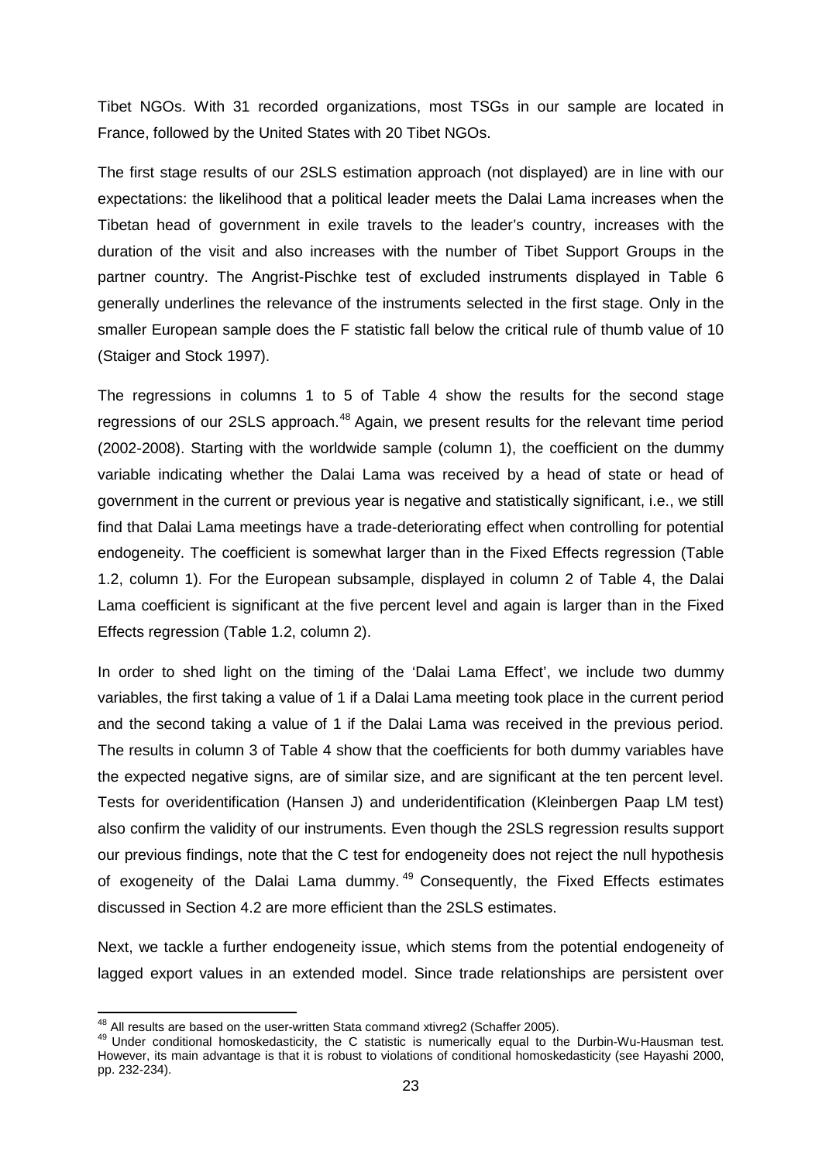Tibet NGOs. With 31 recorded organizations, most TSGs in our sample are located in France, followed by the United States with 20 Tibet NGOs.

The first stage results of our 2SLS estimation approach (not displayed) are in line with our expectations: the likelihood that a political leader meets the Dalai Lama increases when the Tibetan head of government in exile travels to the leader's country, increases with the duration of the visit and also increases with the number of Tibet Support Groups in the partner country. The Angrist-Pischke test of excluded instruments displayed in Table 6 generally underlines the relevance of the instruments selected in the first stage. Only in the smaller European sample does the F statistic fall below the critical rule of thumb value of 10 (Staiger and Stock 1997).

The regressions in columns 1 to 5 of Table 4 show the results for the second stage regressions of our 2SLS approach.<sup>[48](#page-24-0)</sup> Again, we present results for the relevant time period (2002-2008). Starting with the worldwide sample (column 1), the coefficient on the dummy variable indicating whether the Dalai Lama was received by a head of state or head of government in the current or previous year is negative and statistically significant, i.e., we still find that Dalai Lama meetings have a trade-deteriorating effect when controlling for potential endogeneity. The coefficient is somewhat larger than in the Fixed Effects regression (Table 1.2, column 1). For the European subsample, displayed in column 2 of Table 4, the Dalai Lama coefficient is significant at the five percent level and again is larger than in the Fixed Effects regression (Table 1.2, column 2).

In order to shed light on the timing of the 'Dalai Lama Effect', we include two dummy variables, the first taking a value of 1 if a Dalai Lama meeting took place in the current period and the second taking a value of 1 if the Dalai Lama was received in the previous period. The results in column 3 of Table 4 show that the coefficients for both dummy variables have the expected negative signs, are of similar size, and are significant at the ten percent level. Tests for overidentification (Hansen J) and underidentification (Kleinbergen Paap LM test) also confirm the validity of our instruments. Even though the 2SLS regression results support our previous findings, note that the C test for endogeneity does not reject the null hypothesis of exogeneity of the Dalai Lama dummy.<sup>[49](#page-24-1)</sup> Consequently, the Fixed Effects estimates discussed in Section 4.2 are more efficient than the 2SLS estimates.

Next, we tackle a further endogeneity issue, which stems from the potential endogeneity of lagged export values in an extended model. Since trade relationships are persistent over

<span id="page-24-1"></span><span id="page-24-0"></span>

<sup>&</sup>lt;sup>48</sup> All results are based on the user-written Stata command xtivreg2 (Schaffer 2005).<br><sup>49</sup> Under conditional homoskedasticity, the C statistic is numerically equal to the Durbin-Wu-Hausman test. However, its main advantage is that it is robust to violations of conditional homoskedasticity (see Hayashi 2000, pp. 232-234).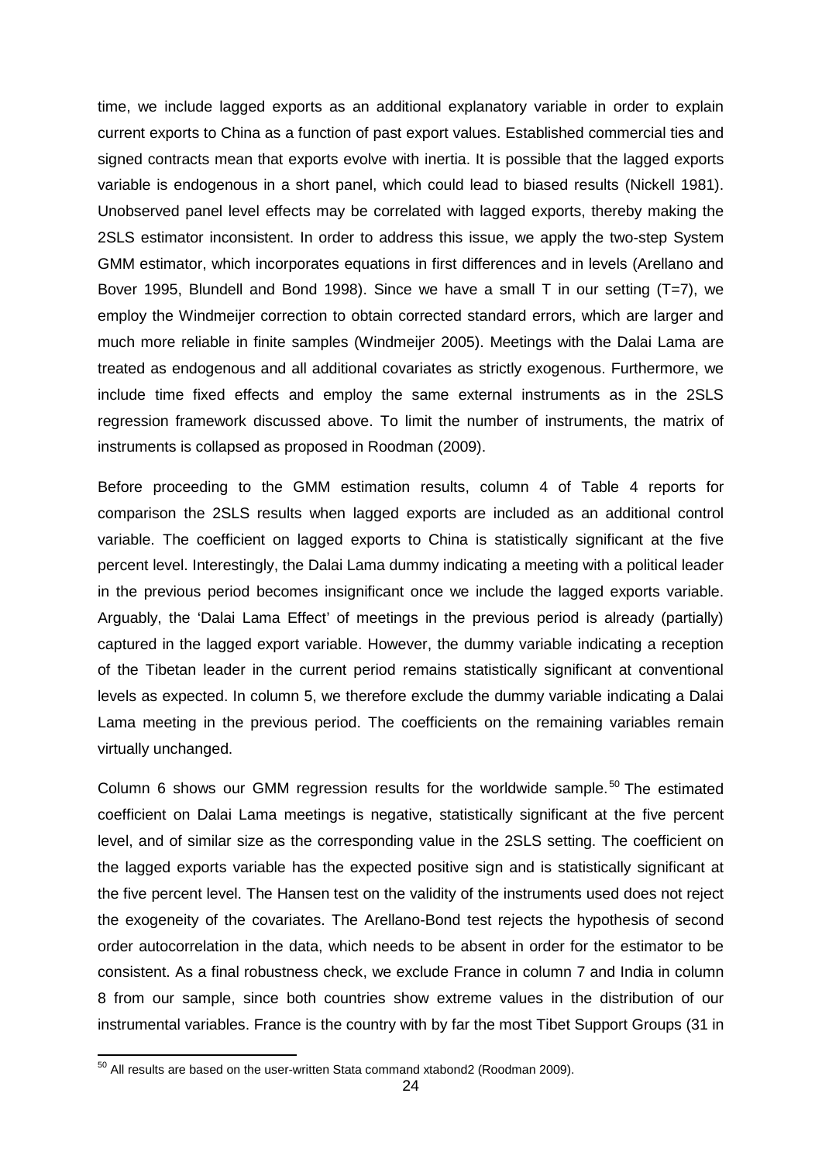time, we include lagged exports as an additional explanatory variable in order to explain current exports to China as a function of past export values. Established commercial ties and signed contracts mean that exports evolve with inertia. It is possible that the lagged exports variable is endogenous in a short panel, which could lead to biased results (Nickell 1981). Unobserved panel level effects may be correlated with lagged exports, thereby making the 2SLS estimator inconsistent. In order to address this issue, we apply the two-step System GMM estimator, which incorporates equations in first differences and in levels (Arellano and Bover 1995, Blundell and Bond 1998). Since we have a small T in our setting (T=7), we employ the Windmeijer correction to obtain corrected standard errors, which are larger and much more reliable in finite samples (Windmeijer 2005). Meetings with the Dalai Lama are treated as endogenous and all additional covariates as strictly exogenous. Furthermore, we include time fixed effects and employ the same external instruments as in the 2SLS regression framework discussed above. To limit the number of instruments, the matrix of instruments is collapsed as proposed in Roodman (2009).

Before proceeding to the GMM estimation results, column 4 of Table 4 reports for comparison the 2SLS results when lagged exports are included as an additional control variable. The coefficient on lagged exports to China is statistically significant at the five percent level. Interestingly, the Dalai Lama dummy indicating a meeting with a political leader in the previous period becomes insignificant once we include the lagged exports variable. Arguably, the 'Dalai Lama Effect' of meetings in the previous period is already (partially) captured in the lagged export variable. However, the dummy variable indicating a reception of the Tibetan leader in the current period remains statistically significant at conventional levels as expected. In column 5, we therefore exclude the dummy variable indicating a Dalai Lama meeting in the previous period. The coefficients on the remaining variables remain virtually unchanged.

Column 6 shows our GMM regression results for the worldwide sample.<sup>[50](#page-25-0)</sup> The estimated coefficient on Dalai Lama meetings is negative, statistically significant at the five percent level, and of similar size as the corresponding value in the 2SLS setting. The coefficient on the lagged exports variable has the expected positive sign and is statistically significant at the five percent level. The Hansen test on the validity of the instruments used does not reject the exogeneity of the covariates. The Arellano-Bond test rejects the hypothesis of second order autocorrelation in the data, which needs to be absent in order for the estimator to be consistent. As a final robustness check, we exclude France in column 7 and India in column 8 from our sample, since both countries show extreme values in the distribution of our instrumental variables. France is the country with by far the most Tibet Support Groups (31 in

<span id="page-25-0"></span> $50$  All results are based on the user-written Stata command xtabond2 (Roodman 2009).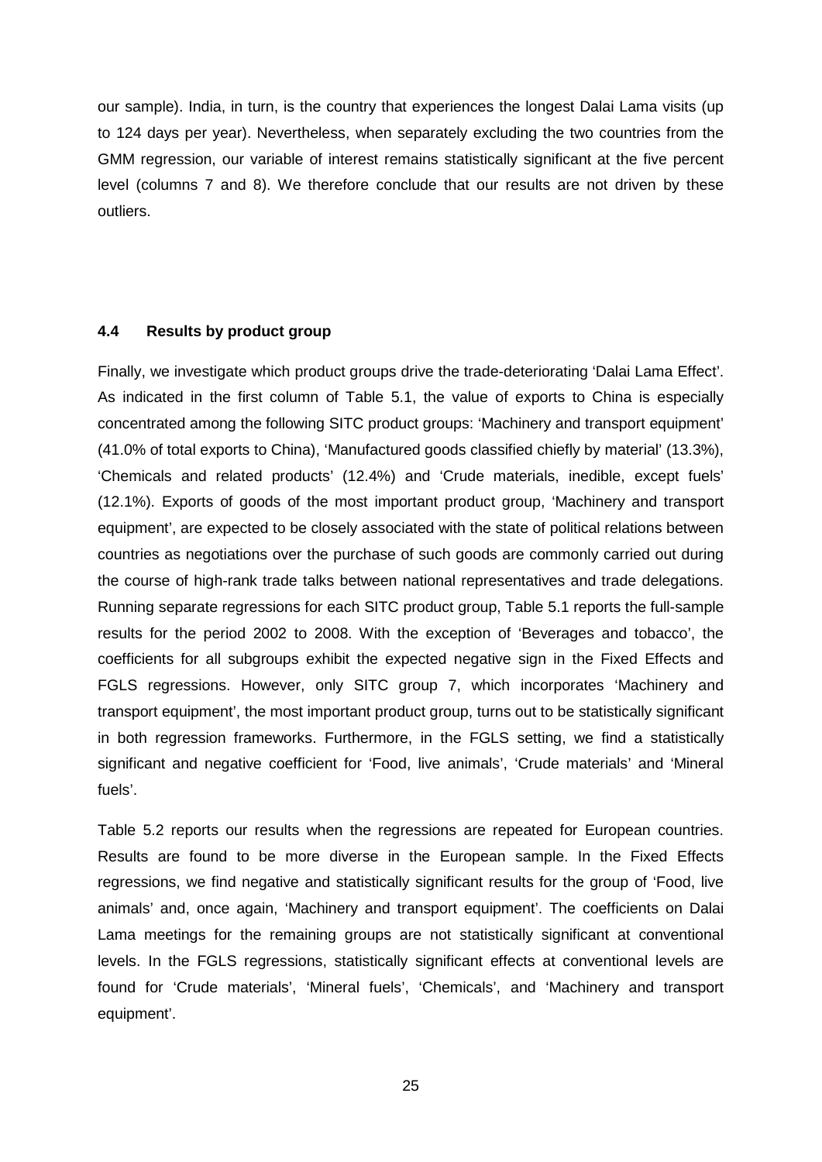our sample). India, in turn, is the country that experiences the longest Dalai Lama visits (up to 124 days per year). Nevertheless, when separately excluding the two countries from the GMM regression, our variable of interest remains statistically significant at the five percent level (columns 7 and 8). We therefore conclude that our results are not driven by these outliers.

#### **4.4 Results by product group**

Finally, we investigate which product groups drive the trade-deteriorating 'Dalai Lama Effect'. As indicated in the first column of Table 5.1, the value of exports to China is especially concentrated among the following SITC product groups: 'Machinery and transport equipment' (41.0% of total exports to China), 'Manufactured goods classified chiefly by material' (13.3%), 'Chemicals and related products' (12.4%) and 'Crude materials, inedible, except fuels' (12.1%). Exports of goods of the most important product group, 'Machinery and transport equipment', are expected to be closely associated with the state of political relations between countries as negotiations over the purchase of such goods are commonly carried out during the course of high-rank trade talks between national representatives and trade delegations. Running separate regressions for each SITC product group, Table 5.1 reports the full-sample results for the period 2002 to 2008. With the exception of 'Beverages and tobacco', the coefficients for all subgroups exhibit the expected negative sign in the Fixed Effects and FGLS regressions. However, only SITC group 7, which incorporates 'Machinery and transport equipment', the most important product group, turns out to be statistically significant in both regression frameworks. Furthermore, in the FGLS setting, we find a statistically significant and negative coefficient for 'Food, live animals', 'Crude materials' and 'Mineral fuels'.

Table 5.2 reports our results when the regressions are repeated for European countries. Results are found to be more diverse in the European sample. In the Fixed Effects regressions, we find negative and statistically significant results for the group of 'Food, live animals' and, once again, 'Machinery and transport equipment'. The coefficients on Dalai Lama meetings for the remaining groups are not statistically significant at conventional levels. In the FGLS regressions, statistically significant effects at conventional levels are found for 'Crude materials', 'Mineral fuels', 'Chemicals', and 'Machinery and transport equipment'.

25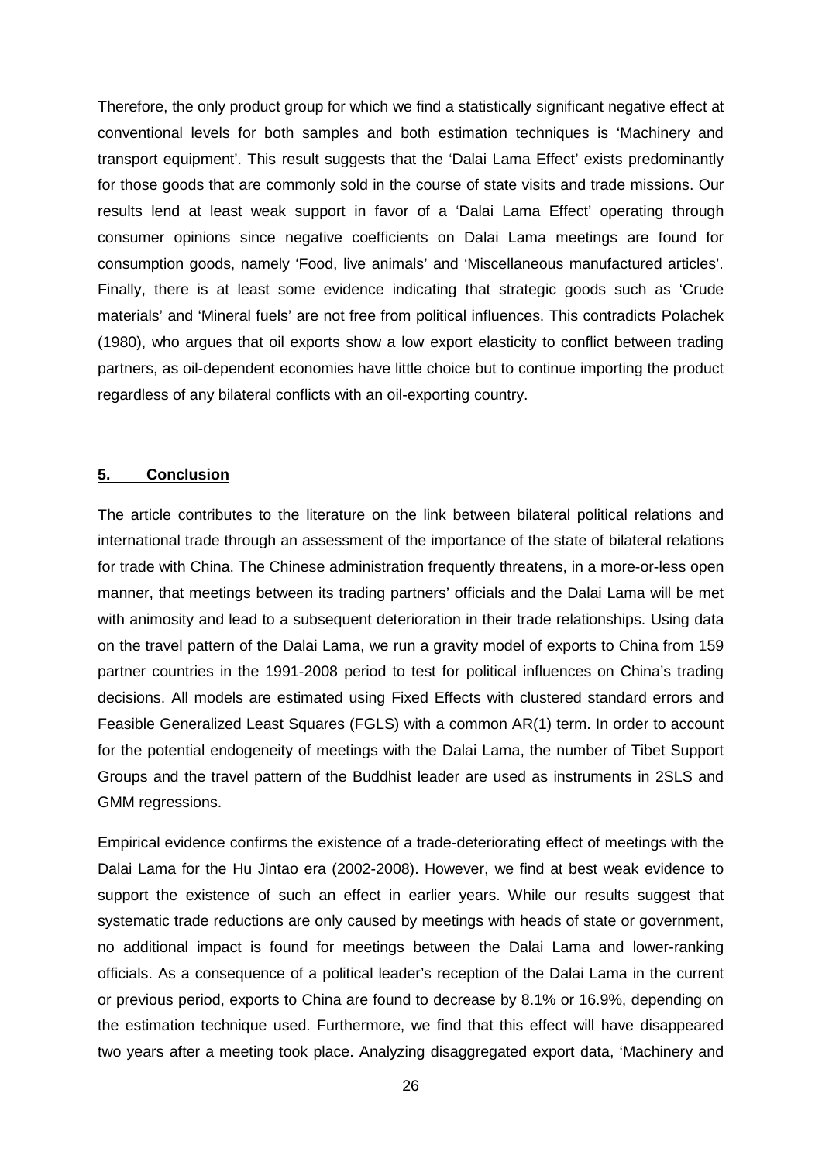Therefore, the only product group for which we find a statistically significant negative effect at conventional levels for both samples and both estimation techniques is 'Machinery and transport equipment'. This result suggests that the 'Dalai Lama Effect' exists predominantly for those goods that are commonly sold in the course of state visits and trade missions. Our results lend at least weak support in favor of a 'Dalai Lama Effect' operating through consumer opinions since negative coefficients on Dalai Lama meetings are found for consumption goods, namely 'Food, live animals' and 'Miscellaneous manufactured articles'. Finally, there is at least some evidence indicating that strategic goods such as 'Crude materials' and 'Mineral fuels' are not free from political influences. This contradicts Polachek (1980), who argues that oil exports show a low export elasticity to conflict between trading partners, as oil-dependent economies have little choice but to continue importing the product regardless of any bilateral conflicts with an oil-exporting country.

#### **5. Conclusion**

The article contributes to the literature on the link between bilateral political relations and international trade through an assessment of the importance of the state of bilateral relations for trade with China. The Chinese administration frequently threatens, in a more-or-less open manner, that meetings between its trading partners' officials and the Dalai Lama will be met with animosity and lead to a subsequent deterioration in their trade relationships. Using data on the travel pattern of the Dalai Lama, we run a gravity model of exports to China from 159 partner countries in the 1991-2008 period to test for political influences on China's trading decisions. All models are estimated using Fixed Effects with clustered standard errors and Feasible Generalized Least Squares (FGLS) with a common AR(1) term. In order to account for the potential endogeneity of meetings with the Dalai Lama, the number of Tibet Support Groups and the travel pattern of the Buddhist leader are used as instruments in 2SLS and GMM regressions.

Empirical evidence confirms the existence of a trade-deteriorating effect of meetings with the Dalai Lama for the Hu Jintao era (2002-2008). However, we find at best weak evidence to support the existence of such an effect in earlier years. While our results suggest that systematic trade reductions are only caused by meetings with heads of state or government, no additional impact is found for meetings between the Dalai Lama and lower-ranking officials. As a consequence of a political leader's reception of the Dalai Lama in the current or previous period, exports to China are found to decrease by 8.1% or 16.9%, depending on the estimation technique used. Furthermore, we find that this effect will have disappeared two years after a meeting took place. Analyzing disaggregated export data, 'Machinery and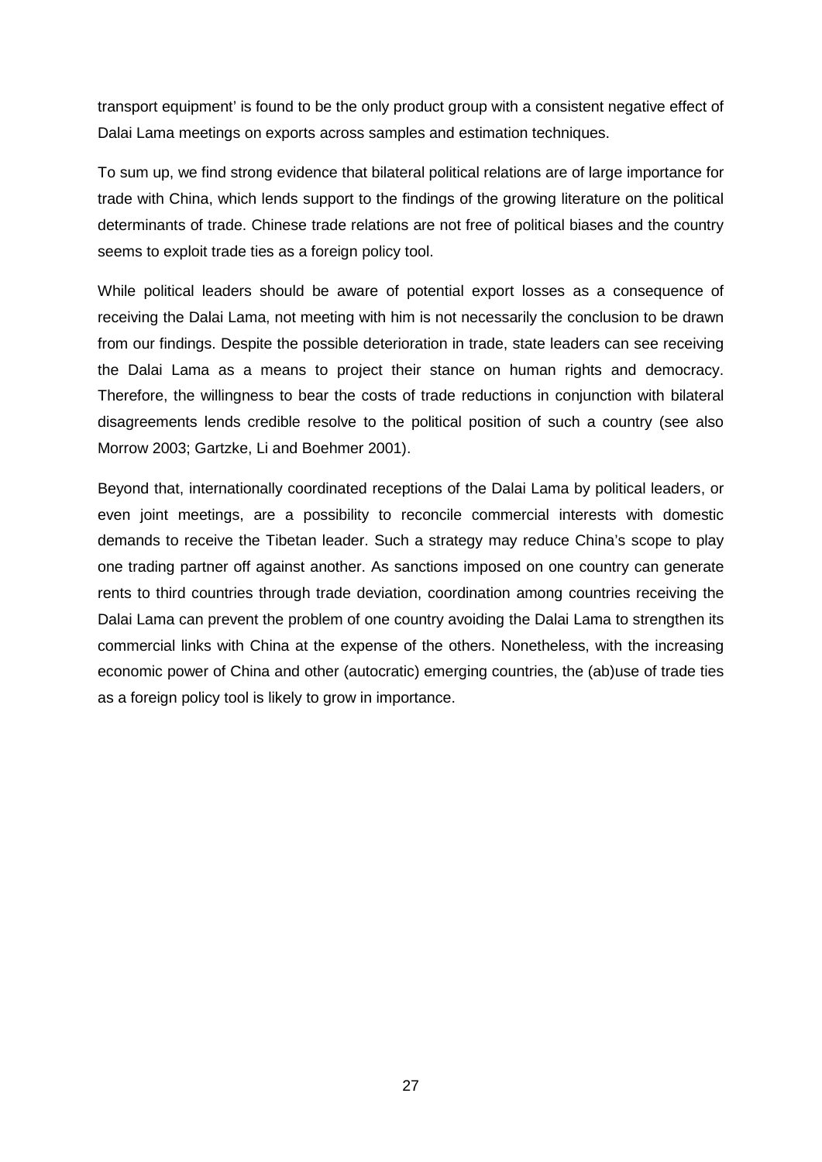transport equipment' is found to be the only product group with a consistent negative effect of Dalai Lama meetings on exports across samples and estimation techniques.

To sum up, we find strong evidence that bilateral political relations are of large importance for trade with China, which lends support to the findings of the growing literature on the political determinants of trade. Chinese trade relations are not free of political biases and the country seems to exploit trade ties as a foreign policy tool.

While political leaders should be aware of potential export losses as a consequence of receiving the Dalai Lama, not meeting with him is not necessarily the conclusion to be drawn from our findings. Despite the possible deterioration in trade, state leaders can see receiving the Dalai Lama as a means to project their stance on human rights and democracy. Therefore, the willingness to bear the costs of trade reductions in conjunction with bilateral disagreements lends credible resolve to the political position of such a country (see also Morrow 2003; Gartzke, Li and Boehmer 2001).

Beyond that, internationally coordinated receptions of the Dalai Lama by political leaders, or even joint meetings, are a possibility to reconcile commercial interests with domestic demands to receive the Tibetan leader. Such a strategy may reduce China's scope to play one trading partner off against another. As sanctions imposed on one country can generate rents to third countries through trade deviation, coordination among countries receiving the Dalai Lama can prevent the problem of one country avoiding the Dalai Lama to strengthen its commercial links with China at the expense of the others. Nonetheless, with the increasing economic power of China and other (autocratic) emerging countries, the (ab)use of trade ties as a foreign policy tool is likely to grow in importance.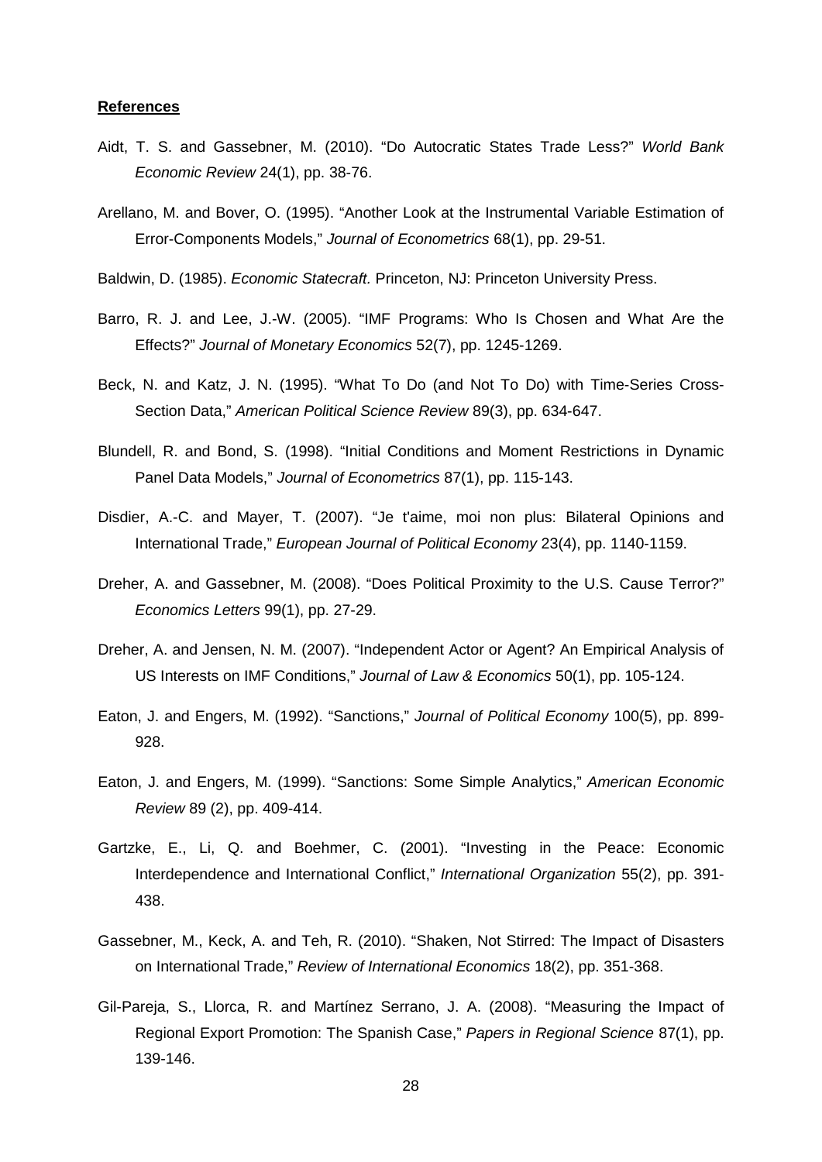#### **References**

- Aidt, T. S. and Gassebner, M. (2010). "Do Autocratic States Trade Less?" *World Bank Economic Review* 24(1), pp. 38-76.
- Arellano, M. and Bover, O. (1995). "Another Look at the Instrumental Variable Estimation of Error-Components Models," *Journal of Econometrics* 68(1), pp. 29-51.
- Baldwin, D. (1985). *Economic Statecraft.* Princeton, NJ: Princeton University Press.
- Barro, R. J. and Lee, J.-W. (2005). "IMF Programs: Who Is Chosen and What Are the Effects?" *Journal of Monetary Economics* 52(7), pp. 1245-1269.
- Beck, N. and Katz, J. N. (1995). "What To Do (and Not To Do) with Time-Series Cross-Section Data," *American Political Science Review* 89(3), pp. 634-647.
- Blundell, R. and Bond, S. (1998). "Initial Conditions and Moment Restrictions in Dynamic Panel Data Models," *Journal of Econometrics* 87(1), pp. 115-143.
- Disdier, A.-C. and Mayer, T. (2007). "Je t'aime, moi non plus: Bilateral Opinions and International Trade," *European Journal of Political Economy* 23(4), pp. 1140-1159.
- Dreher, A. and Gassebner, M. (2008). "Does Political Proximity to the U.S. Cause Terror?" *Economics Letters* 99(1), pp. 27-29.
- Dreher, A. and Jensen, N. M. (2007). "Independent Actor or Agent? An Empirical Analysis of US Interests on IMF Conditions," *Journal of Law & Economics* 50(1), pp. 105-124.
- Eaton, J. and Engers, M. (1992). "Sanctions," *Journal of Political Economy* 100(5), pp. 899- 928.
- Eaton, J. and Engers, M. (1999). "Sanctions: Some Simple Analytics," *American Economic Review* 89 (2), pp. 409-414.
- Gartzke, E., Li, Q. and Boehmer, C. (2001). "Investing in the Peace: Economic Interdependence and International Conflict," *International Organization* 55(2), pp. 391- 438.
- Gassebner, M., Keck, A. and Teh, R. (2010). "Shaken, Not Stirred: The Impact of Disasters on International Trade," *Review of International Economics* 18(2), pp. 351-368.
- Gil-Pareja, S., Llorca, R. and Martínez Serrano, J. A. (2008). "Measuring the Impact of Regional Export Promotion: The Spanish Case," *Papers in Regional Science* 87(1), pp. 139-146.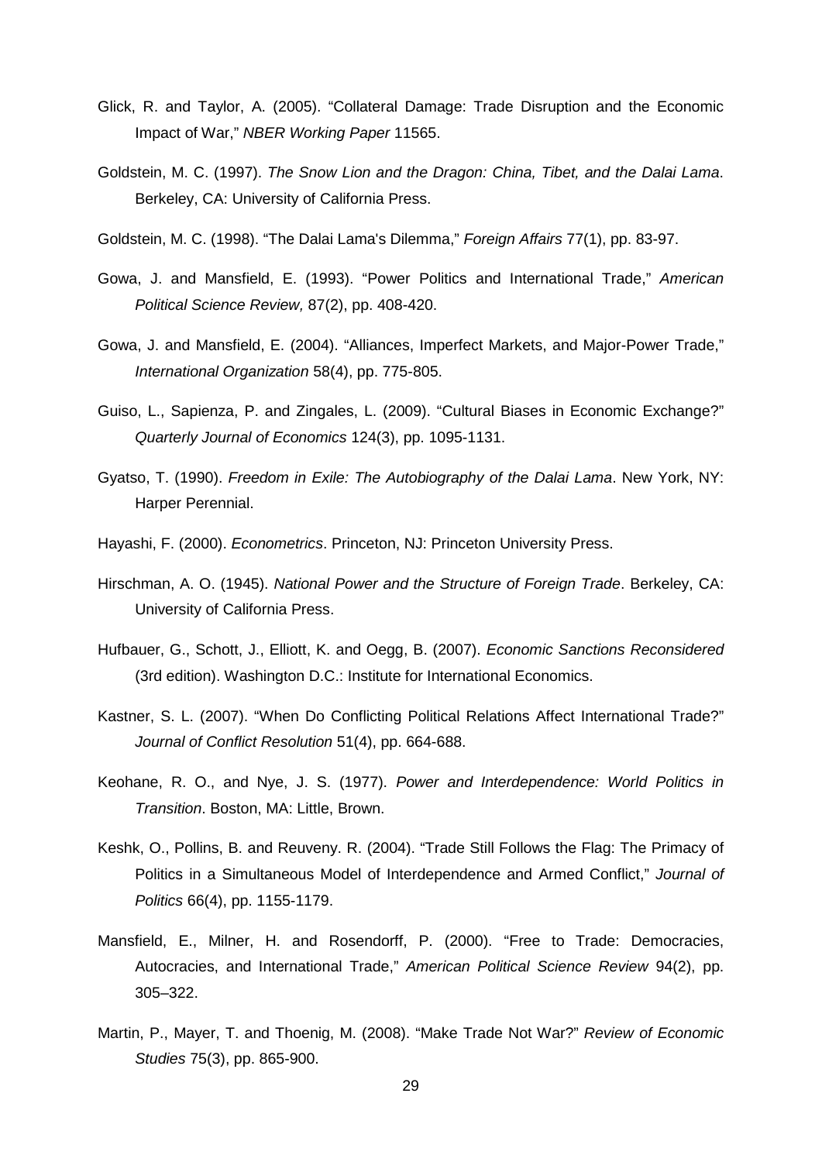- Glick, R. and Taylor, A. (2005). "Collateral Damage: Trade Disruption and the Economic Impact of War," *NBER Working Paper* 11565.
- Goldstein, M. C. (1997). *The Snow Lion and the Dragon: China, Tibet, and the Dalai Lama*. Berkeley, CA: University of California Press.
- Goldstein, M. C. (1998). "The Dalai Lama's Dilemma," *Foreign Affairs* 77(1), pp. 83-97.
- Gowa, J. and Mansfield, E. (1993). "Power Politics and International Trade," *American Political Science Review,* 87(2), pp. 408-420.
- Gowa, J. and Mansfield, E. (2004). "Alliances, Imperfect Markets, and Major-Power Trade," *International Organization* 58(4), pp. 775-805.
- Guiso, L., Sapienza, P. and Zingales, L. (2009). "Cultural Biases in Economic Exchange?" *Quarterly Journal of Economics* 124(3), pp. 1095-1131.
- Gyatso, T. (1990). *Freedom in Exile: The Autobiography of the Dalai Lama*. New York, NY: Harper Perennial.
- Hayashi, F. (2000). *Econometrics*. Princeton, NJ: Princeton University Press.
- Hirschman, A. O. (1945). *National Power and the Structure of Foreign Trade*. Berkeley, CA: University of California Press.
- Hufbauer, G., Schott, J., Elliott, K. and Oegg, B. (2007). *Economic Sanctions Reconsidered* (3rd edition). Washington D.C.: Institute for International Economics.
- Kastner, S. L. (2007). "When Do Conflicting Political Relations Affect International Trade?" *Journal of Conflict Resolution* 51(4), pp. 664-688.
- Keohane, R. O., and Nye, J. S. (1977). *Power and Interdependence: World Politics in Transition*. Boston, MA: Little, Brown.
- Keshk, O., Pollins, B. and Reuveny. R. (2004). "Trade Still Follows the Flag: The Primacy of Politics in a Simultaneous Model of Interdependence and Armed Conflict," *Journal of Politics* 66(4), pp. 1155-1179.
- Mansfield, E., Milner, H. and Rosendorff, P. (2000). "Free to Trade: Democracies, Autocracies, and International Trade," *American Political Science Review* 94(2), pp. 305–322.
- Martin, P., Mayer, T. and Thoenig, M. (2008). "Make Trade Not War?" *Review of Economic Studies* 75(3), pp. 865-900.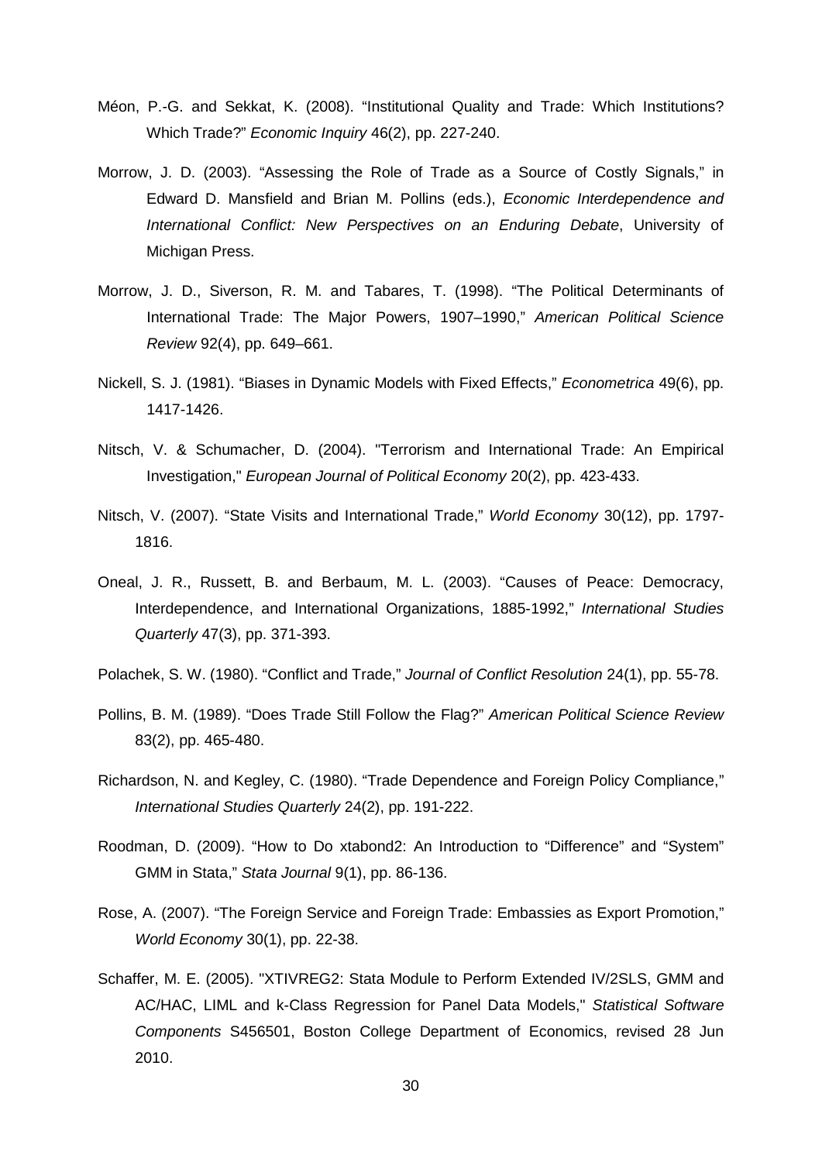- Méon, P.-G. and Sekkat, K. (2008). "Institutional Quality and Trade: Which Institutions? Which Trade?" *Economic Inquiry* 46(2), pp. 227-240.
- Morrow, J. D. (2003). "Assessing the Role of Trade as a Source of Costly Signals," in Edward D. Mansfield and Brian M. Pollins (eds.), *Economic Interdependence and International Conflict: New Perspectives on an Enduring Debate*, University of Michigan Press.
- Morrow, J. D., Siverson, R. M. and Tabares, T. (1998). "The Political Determinants of International Trade: The Major Powers, 1907–1990," *American Political Science Review* 92(4), pp. 649–661.
- Nickell, S. J. (1981). "Biases in Dynamic Models with Fixed Effects," *Econometrica* 49(6), pp. 1417-1426.
- Nitsch, V. & Schumacher, D. (2004). "Terrorism and International Trade: An Empirical Investigation," *European Journal of Political Economy* 20(2), pp. 423-433.
- Nitsch, V. (2007). "State Visits and International Trade," *World Economy* 30(12), pp. 1797- 1816.
- Oneal, J. R., Russett, B. and Berbaum, M. L. (2003). "Causes of Peace: Democracy, Interdependence, and International Organizations, 1885-1992," *International Studies Quarterly* 47(3), pp. 371-393.
- Polachek, S. W. (1980). "Conflict and Trade," *Journal of Conflict Resolution* 24(1), pp. 55-78.
- Pollins, B. M. (1989). "Does Trade Still Follow the Flag?" *American Political Science Review* 83(2), pp. 465-480.
- Richardson, N. and Kegley, C. (1980). "Trade Dependence and Foreign Policy Compliance," *International Studies Quarterly* 24(2), pp. 191-222.
- Roodman, D. (2009). "How to Do xtabond2: An Introduction to "Difference" and "System" GMM in Stata," *Stata Journal* 9(1), pp. 86-136.
- Rose, A. (2007). "The Foreign Service and Foreign Trade: Embassies as Export Promotion," *World Economy* 30(1), pp. 22-38.
- Schaffer, M. E. (2005). "XTIVREG2: Stata Module to Perform Extended IV/2SLS, GMM and AC/HAC, LIML and k-Class Regression for Panel Data Models," *Statistical Software Components* S456501, Boston College Department of Economics, revised 28 Jun 2010.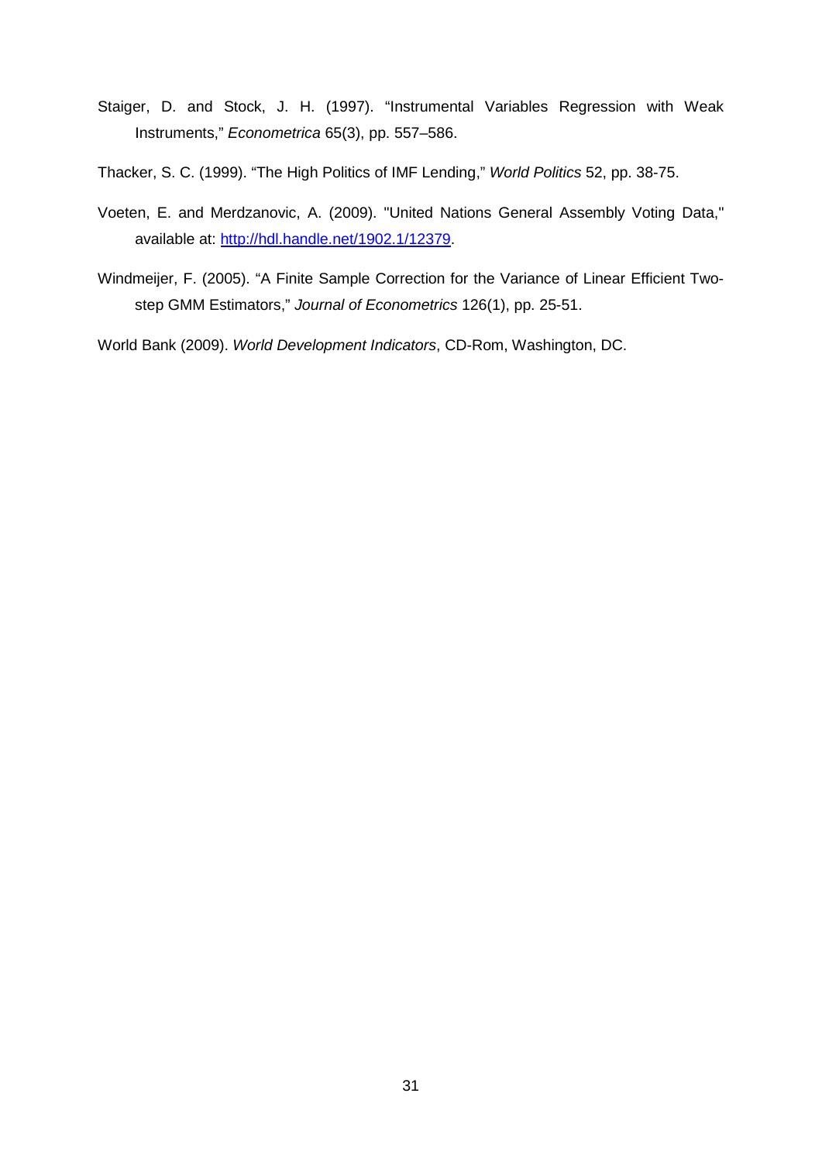- Staiger, D. and Stock, J. H. (1997). "Instrumental Variables Regression with Weak Instruments," *Econometrica* 65(3), pp. 557–586.
- Thacker, S. C. (1999). "The High Politics of IMF Lending," *World Politics* 52, pp. 38-75.
- Voeten, E. and Merdzanovic, A. (2009). "United Nations General Assembly Voting Data," available at: [http://hdl.handle.net/1902.1/12379.](http://hdl.handle.net/1902.1/12379)
- Windmeijer, F. (2005). "A Finite Sample Correction for the Variance of Linear Efficient Twostep GMM Estimators," *Journal of Econometrics* 126(1), pp. 25-51.

World Bank (2009). *World Development Indicators*, CD-Rom, Washington, DC.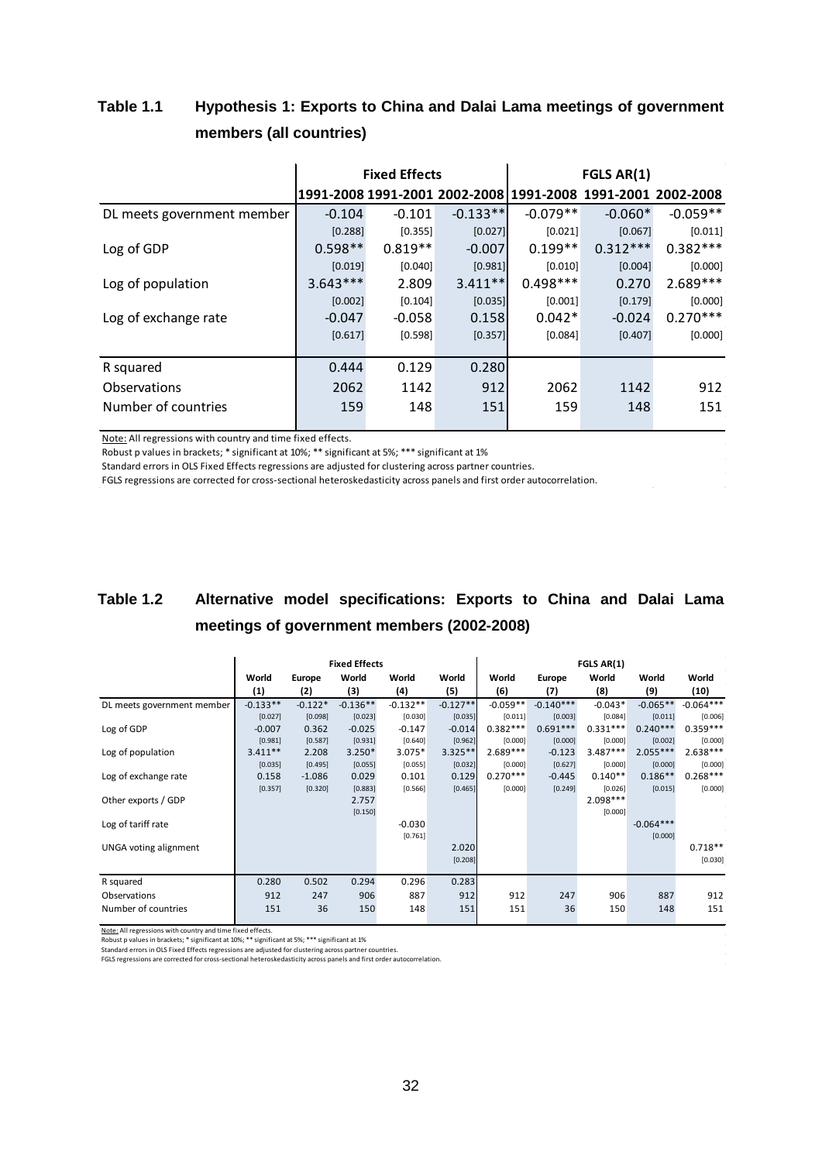## **Table 1.1 Hypothesis 1: Exports to China and Dalai Lama meetings of government members (all countries)**

|                            |            | <b>Fixed Effects</b> |            | FGLS AR(1) |                                                             |            |  |  |  |  |  |  |  |  |
|----------------------------|------------|----------------------|------------|------------|-------------------------------------------------------------|------------|--|--|--|--|--|--|--|--|
|                            |            |                      |            |            | 1991-2008 1991-2001 2002-2008 1991-2008 1991-2001 2002-2008 |            |  |  |  |  |  |  |  |  |
| DL meets government member | $-0.104$   | $-0.101$             | $-0.133**$ | $-0.079**$ | $-0.060*$                                                   | $-0.059**$ |  |  |  |  |  |  |  |  |
|                            | [0.288]    | [0.355]              | [0.027]    | [0.021]    | [0.067]                                                     | [0.011]    |  |  |  |  |  |  |  |  |
| Log of GDP                 | $0.598**$  | $0.819**$            | $-0.007$   | $0.199**$  | $0.312***$                                                  | $0.382***$ |  |  |  |  |  |  |  |  |
|                            | [0.019]    | [0.040]              | [0.981]    | [0.010]    | [0.004]                                                     | [0.000]    |  |  |  |  |  |  |  |  |
| Log of population          | $3.643***$ | 2.809                | $3.411**$  | $0.498***$ | 0.270                                                       | $2.689***$ |  |  |  |  |  |  |  |  |
|                            | [0.002]    | [0.104]              | [0.035]    | [0.001]    | [0.179]                                                     | [0.000]    |  |  |  |  |  |  |  |  |
| Log of exchange rate       | $-0.047$   | $-0.058$             | 0.158      | $0.042*$   | $-0.024$                                                    | $0.270***$ |  |  |  |  |  |  |  |  |
|                            | [0.617]    | [0.598]              | [0.357]    | [0.084]    | [0.407]                                                     | [0.000]    |  |  |  |  |  |  |  |  |
|                            |            |                      |            |            |                                                             |            |  |  |  |  |  |  |  |  |
| R squared                  | 0.444      | 0.129                | 0.280      |            |                                                             |            |  |  |  |  |  |  |  |  |
| Observations               | 2062       | 1142                 | 912        | 2062       | 1142                                                        | 912        |  |  |  |  |  |  |  |  |
| Number of countries        | 159        | 148                  | 151        | 159        | 148                                                         | 151        |  |  |  |  |  |  |  |  |

Note: All regressions with country and time fixed effects.

Robust p values in brackets; \* significant at 10%; \*\* significant at 5%; \*\*\* significant at 1%

Standard errors in OLS Fixed Effects regressions are adjusted for clustering across partner countries.

FGLS regressions are corrected for cross-sectional heteroskedasticity across panels and first order autocorrelation.

## **Table 1.2 Alternative model specifications: Exports to China and Dalai Lama meetings of government members (2002-2008)**

|                              |            |           | <b>Fixed Effects</b> |            |            | FGLS AR(1) |             |            |             |             |  |  |  |  |  |  |  |  |  |
|------------------------------|------------|-----------|----------------------|------------|------------|------------|-------------|------------|-------------|-------------|--|--|--|--|--|--|--|--|--|
|                              | World      | Europe    | World                | World      | World      | World      | Europe      | World      | World       | World       |  |  |  |  |  |  |  |  |  |
|                              | (1)        | (2)       | (3)                  | (4)        | (5)        | (6)        | (7)         | (8)        | (9)         | (10)        |  |  |  |  |  |  |  |  |  |
| DL meets government member   | $-0.133**$ | $-0.122*$ | $-0.136**$           | $-0.132**$ | $-0.127**$ | $-0.059**$ | $-0.140***$ | $-0.043*$  | $-0.065**$  | $-0.064***$ |  |  |  |  |  |  |  |  |  |
|                              | [0.027]    | [0.098]   | [0.023]              | [0.030]    | [0.035]    | [0.011]    | [0.003]     | [0.084]    | [0.011]     | [0.006]     |  |  |  |  |  |  |  |  |  |
| Log of GDP                   | $-0.007$   | 0.362     | $-0.025$             | $-0.147$   | $-0.014$   | $0.382***$ | $0.691***$  | $0.331***$ | $0.240***$  | $0.359***$  |  |  |  |  |  |  |  |  |  |
|                              | [0.981]    | [0.587]   | [0.931]              | [0.640]    | [0.962]    | [0.000]    | [0.000]     | [0.000]    | [0.002]     | [0.000]     |  |  |  |  |  |  |  |  |  |
| Log of population            | $3.411**$  | 2.208     | $3.250*$             | 3.075*     | $3.325**$  | $2.689***$ | $-0.123$    | $3.487***$ | $2.055***$  | $2.638***$  |  |  |  |  |  |  |  |  |  |
|                              | [0.035]    | [0.495]   | [0.055]              | [0.055]    | [0.032]    | [0.000]    | [0.627]     | [0.000]    | [0.000]     | [0.000]     |  |  |  |  |  |  |  |  |  |
| Log of exchange rate         | 0.158      | $-1.086$  | 0.029                | 0.101      | 0.129      | $0.270***$ | $-0.445$    | $0.140**$  | $0.186**$   | $0.268***$  |  |  |  |  |  |  |  |  |  |
|                              | [0.357]    | [0.320]   | [0.883]              | [0.566]    | [0.465]    | [0.000]    | [0.249]     | [0.026]    | [0.015]     | [0.000]     |  |  |  |  |  |  |  |  |  |
| Other exports / GDP          |            |           | 2.757                |            |            |            |             | 2.098***   |             |             |  |  |  |  |  |  |  |  |  |
|                              |            |           | [0.150]              |            |            |            |             | [0.000]    |             |             |  |  |  |  |  |  |  |  |  |
| Log of tariff rate           |            |           |                      | $-0.030$   |            |            |             |            | $-0.064***$ |             |  |  |  |  |  |  |  |  |  |
|                              |            |           |                      | [0.761]    |            |            |             |            | [0.000]     |             |  |  |  |  |  |  |  |  |  |
| <b>UNGA voting alignment</b> |            |           |                      |            | 2.020      |            |             |            |             | $0.718**$   |  |  |  |  |  |  |  |  |  |
|                              |            |           |                      |            | [0.208]    |            |             |            |             | [0.030]     |  |  |  |  |  |  |  |  |  |
|                              |            |           |                      |            |            |            |             |            |             |             |  |  |  |  |  |  |  |  |  |
| R squared                    | 0.280      | 0.502     | 0.294                | 0.296      | 0.283      |            |             |            |             |             |  |  |  |  |  |  |  |  |  |
| Observations                 | 912<br>247 |           | 906                  | 887        | 912        | 912        | 247         | 906        | 887         | 912         |  |  |  |  |  |  |  |  |  |
| Number of countries          | 151        | 36        | 150                  | 148        | 151        | 151        | 36          | 150        | 148         | 151         |  |  |  |  |  |  |  |  |  |
|                              |            |           |                      |            |            |            |             |            |             |             |  |  |  |  |  |  |  |  |  |

Note: All regressions with country and time fixed effects.

Robust p values in brackets; \* significant at 10%; \*\* significant at 5%; \*\*\* significant at 1%<br>Standard errors in OLS Fixed Effects regressions are adjusted for clustering across partner countries.

FGLS regressions are corrected for cross-sectional heteroskedasticity across panels and first order autocorrelation.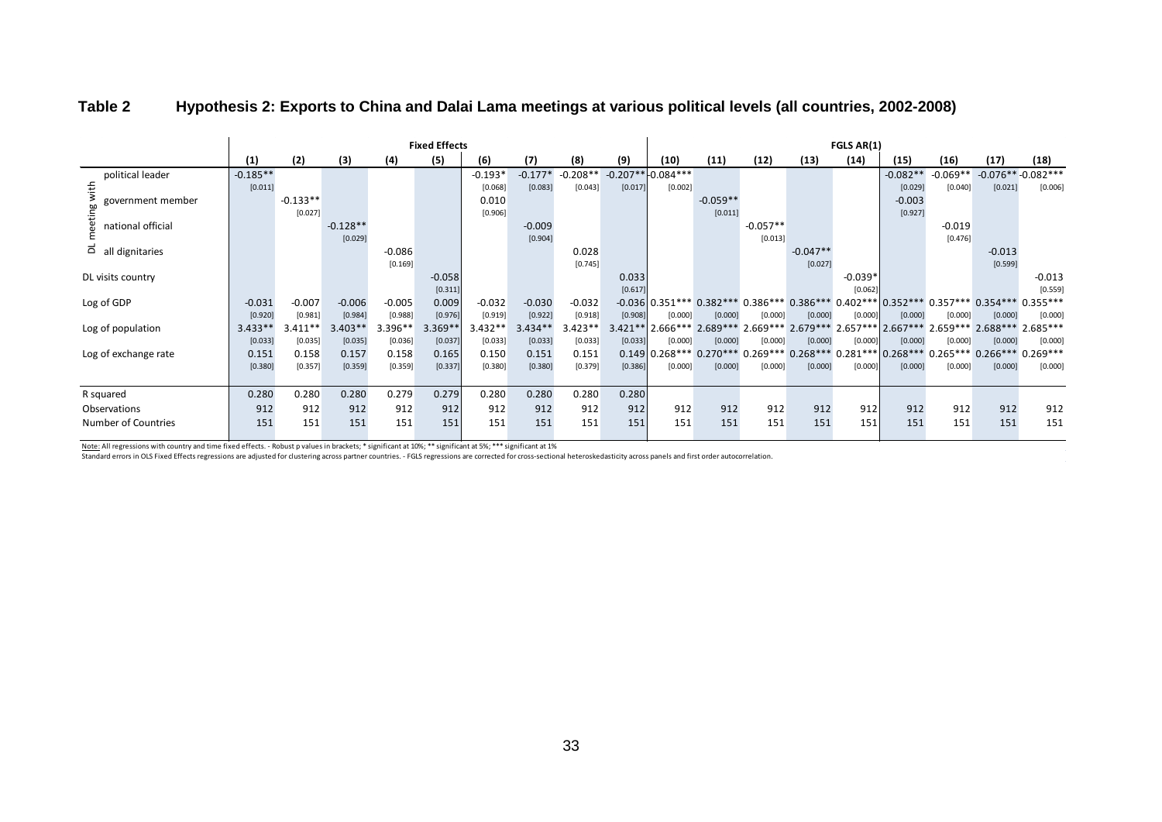|                                         | <b>Fixed Effects</b> |            |            |           |           |           |           |            |           |                      | FGLS AR(1) |            |                    |           |                                                                                         |            |                     |            |  |  |  |  |  |  |
|-----------------------------------------|----------------------|------------|------------|-----------|-----------|-----------|-----------|------------|-----------|----------------------|------------|------------|--------------------|-----------|-----------------------------------------------------------------------------------------|------------|---------------------|------------|--|--|--|--|--|--|
|                                         | (1)                  | (2)        | (3)        | (4)       | (5)       | (6)       | (7)       | (8)        | (9)       | (10)                 | (11)       | (12)       | (13)               | (14)      | (15)                                                                                    | (16)       | (17)                | (18)       |  |  |  |  |  |  |
| political leader                        | $-0.185**$           |            |            |           |           | $-0.193*$ | $-0.177*$ | $-0.208**$ |           | $-0.207**$ -0.084*** |            |            |                    |           | $-0.082**$                                                                              | $-0.069**$ | $-0.076**-0.082***$ |            |  |  |  |  |  |  |
| with                                    | [0.011]              |            |            |           |           | [0.068]   | [0.083]   | [0.043]    | [0.017]   | [0.002]              |            |            |                    |           | [0.029]                                                                                 | [0.040]    | [0.021]             | [0.006]    |  |  |  |  |  |  |
| government member                       |                      | $-0.133**$ |            |           |           | 0.010     |           |            |           |                      | $-0.059**$ |            |                    |           | $-0.003$                                                                                |            |                     |            |  |  |  |  |  |  |
| eeting                                  |                      | [0.027]    |            |           |           | [0.906]   |           |            |           |                      | [0.011]    |            |                    |           | [0.927]                                                                                 |            |                     |            |  |  |  |  |  |  |
| national official                       |                      |            | $-0.128**$ |           |           |           | $-0.009$  |            |           |                      |            | $-0.057**$ |                    |           |                                                                                         | $-0.019$   |                     |            |  |  |  |  |  |  |
|                                         |                      |            | [0.029]    |           |           |           | [0.904]   |            |           |                      |            | [0.013]    |                    |           |                                                                                         | [0.476]    |                     |            |  |  |  |  |  |  |
| $\overrightarrow{a}$ all<br>dignitaries |                      |            |            | $-0.086$  |           |           |           | 0.028      |           |                      |            |            | $-0.047**$         |           |                                                                                         |            | $-0.013$            |            |  |  |  |  |  |  |
|                                         |                      |            |            | [0.169]   |           |           |           | [0.745]    |           |                      |            |            | [0.027]            |           |                                                                                         |            | [0.599]             |            |  |  |  |  |  |  |
| DL visits country                       |                      |            |            |           | $-0.058$  |           |           |            | 0.033     |                      |            |            |                    | $-0.039*$ |                                                                                         |            |                     | $-0.013$   |  |  |  |  |  |  |
|                                         |                      |            |            |           | [0.311]   |           |           |            | [0.617]   |                      |            |            |                    | [0.062]   |                                                                                         |            |                     | [0.559]    |  |  |  |  |  |  |
| Log of GDP                              | $-0.031$             | $-0.007$   | $-0.006$   | $-0.005$  | 0.009     | $-0.032$  | $-0.030$  | $-0.032$   |           |                      |            |            |                    |           | -0.036 0.351*** 0.382*** 0.386*** 0.386*** 0.402*** 0.352*** 0.357*** 0.354*** 0.355*** |            |                     |            |  |  |  |  |  |  |
|                                         | [0.920]              | [0.981]    | [0.984]    | [0.988]   | [0.976]   | [0.919]   | [0.922]   | [0.918]    | [0.908]   | [0.000]              | [0.000]    | [0.000]    | [0.000]            | [0.000]   | [0.000]                                                                                 | [0.000]    | [0.000]             | [0.000]    |  |  |  |  |  |  |
| Log of population                       | $3.433**$            | $3.411**$  | $3.403**$  | $3.396**$ | $3.369**$ | $3.432**$ | $3.434**$ | $3.423**$  | $3.421**$ | $2.666***$           | $2.689***$ | $2.669***$ | $2.679***$         |           | $2.657***$ 2.667***                                                                     |            | $2.659***$ 2.688*** | $2.685***$ |  |  |  |  |  |  |
|                                         | [0.033]              | [0.035]    | [0.035]    | [0.036]   | [0.037]   | [0.033]   | [0.033]   | [0.033]    | [0.033]   | [0.000]              | [0.000]    | [0.000]    | [0.000]            | [0.000]   | [0.000]                                                                                 | [0.000]    | [0.000]             | [0.000]    |  |  |  |  |  |  |
| Log of exchange rate                    | 0.151                | 0.158      | 0.157      | 0.158     | 0.165     | 0.150     | 0.151     | 0.151      |           | $0.149$ 0.268***     | $0.270***$ |            | $0.269***0.268***$ |           | $0.281***$ 0.268***                                                                     |            | $0.265***$ 0.266*** | $0.269***$ |  |  |  |  |  |  |
|                                         | [0.380]              | [0.357]    | [0.359]    | [0.359]   | [0.337]   | [0.380]   | [0.380]   | [0.379]    | [0.386]   | [0.000]              | [0.000]    | [0.000]    | [0.000]            | [0.000]   | [0.000]                                                                                 | [0.000]    | [0.000]             | [0.000]    |  |  |  |  |  |  |
|                                         |                      |            |            |           |           |           |           |            |           |                      |            |            |                    |           |                                                                                         |            |                     |            |  |  |  |  |  |  |
| R squared                               | 0.280                | 0.280      | 0.280      | 0.279     | 0.279     | 0.280     | 0.280     | 0.280      | 0.280     |                      |            |            |                    |           |                                                                                         |            |                     |            |  |  |  |  |  |  |
| Observations                            | 912                  | 912        | 912        | 912       | 912       | 912       | 912       | 912        | 912       | 912                  | 912        | 912        | 912                | 912       | 912                                                                                     | 912        | 912                 | 912        |  |  |  |  |  |  |
| Number of Countries                     | 151                  | 151        | 151        | 151       | 151       | 151       | 151       | 151        | 151       | 151                  | 151        | 151        | 151                | 151       | 151                                                                                     | 151        | 151                 | 151        |  |  |  |  |  |  |
|                                         |                      |            |            |           |           |           |           |            |           |                      |            |            |                    |           |                                                                                         |            |                     |            |  |  |  |  |  |  |

#### **Table 2 Hypothesis 2: Exports to China and Dalai Lama meetings at various political levels (all countries, 2002-2008)**

Note: All regressions with country and time fixed effects. - Robust p values in brackets; \* significant at 10%; \*\* significant at 5%; \*\*\* significant at 1%

Standard errors in OLS Fixed Effects regressions are adjusted for clustering across partner countries. - FGLS regressions are corrected for cross-sectional heteroskedasticity across panels and first order autocorrelation.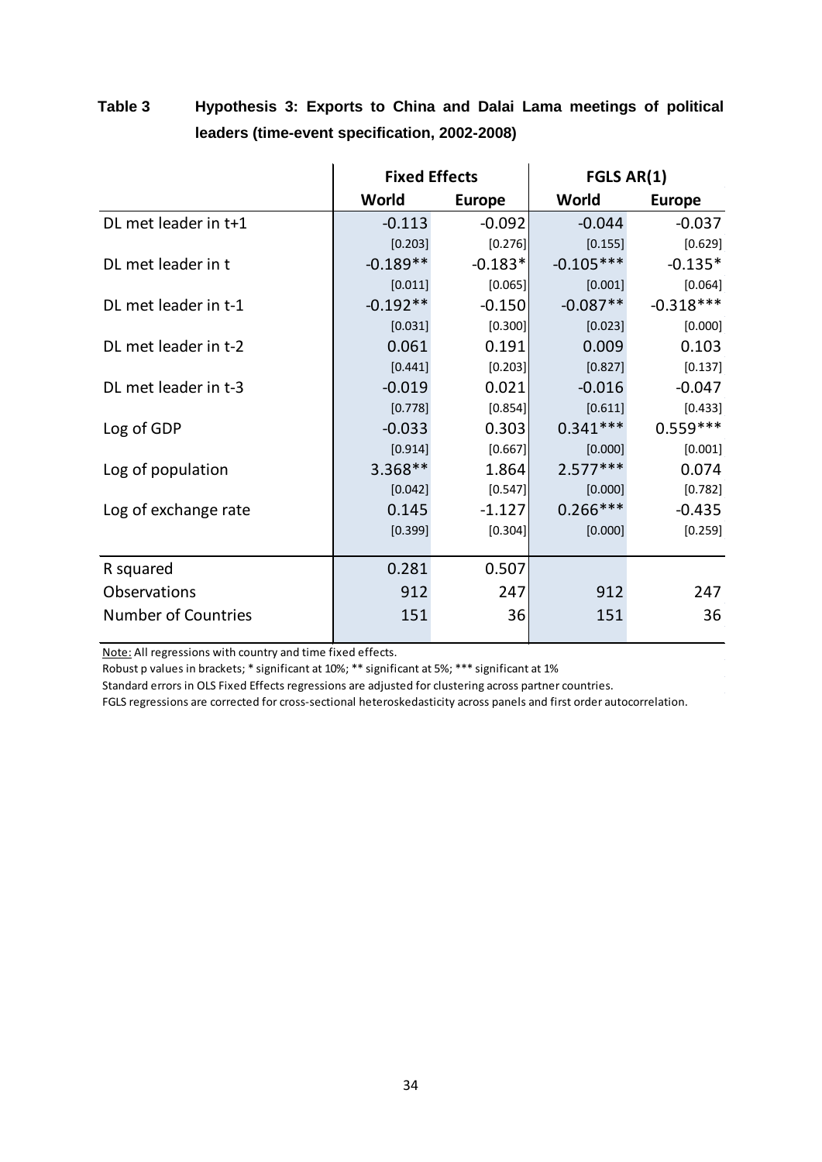|                            | <b>Fixed Effects</b> |               | FGLS AR(1)  |               |  |  |  |  |  |  |
|----------------------------|----------------------|---------------|-------------|---------------|--|--|--|--|--|--|
|                            | World                | <b>Europe</b> | World       | <b>Europe</b> |  |  |  |  |  |  |
| DL met leader in t+1       | $-0.113$             | $-0.092$      | $-0.044$    | $-0.037$      |  |  |  |  |  |  |
|                            | [0.203]              | [0.276]       | [0.155]     | [0.629]       |  |  |  |  |  |  |
| DL met leader in t         | $-0.189**$           | $-0.183*$     | $-0.105***$ | $-0.135*$     |  |  |  |  |  |  |
|                            | [0.011]              | [0.065]       | [0.001]     | [0.064]       |  |  |  |  |  |  |
| DL met leader in t-1       | $-0.192**$           | $-0.150$      | $-0.087**$  | $-0.318***$   |  |  |  |  |  |  |
|                            | [0.031]              | [0.300]       | [0.023]     | [0.000]       |  |  |  |  |  |  |
| DL met leader in t-2       | 0.061                | 0.191         | 0.009       | 0.103         |  |  |  |  |  |  |
|                            | [0.441]              | [0.203]       | [0.827]     | [0.137]       |  |  |  |  |  |  |
| DL met leader in t-3       | $-0.019$             | 0.021         | $-0.016$    | $-0.047$      |  |  |  |  |  |  |
|                            | [0.778]              | [0.854]       | [0.611]     | [0.433]       |  |  |  |  |  |  |
| Log of GDP                 | $-0.033$             | 0.303         | $0.341***$  | $0.559***$    |  |  |  |  |  |  |
|                            | [0.914]              | [0.667]       | [0.000]     | [0.001]       |  |  |  |  |  |  |
| Log of population          | $3.368**$            | 1.864         | $2.577***$  | 0.074         |  |  |  |  |  |  |
|                            | [0.042]              | [0.547]       | [0.000]     | [0.782]       |  |  |  |  |  |  |
| Log of exchange rate       | 0.145                | $-1.127$      | $0.266***$  | $-0.435$      |  |  |  |  |  |  |
|                            | [0.399]              | [0.304]       | [0.000]     | [0.259]       |  |  |  |  |  |  |
| R squared                  | 0.281                | 0.507         |             |               |  |  |  |  |  |  |
| <b>Observations</b>        | 912                  | 247           | 912         | 247           |  |  |  |  |  |  |
| <b>Number of Countries</b> | 151                  | 36            | 151         | 36            |  |  |  |  |  |  |

## **Table 3 Hypothesis 3: Exports to China and Dalai Lama meetings of political leaders (time-event specification, 2002-2008)**

Note: All regressions with country and time fixed effects.

Robust p values in brackets; \* significant at 10%; \*\* significant at 5%; \*\*\* significant at 1%

Standard errors in OLS Fixed Effects regressions are adjusted for clustering across partner countries.

FGLS regressions are corrected for cross-sectional heteroskedasticity across panels and first order autocorrelation.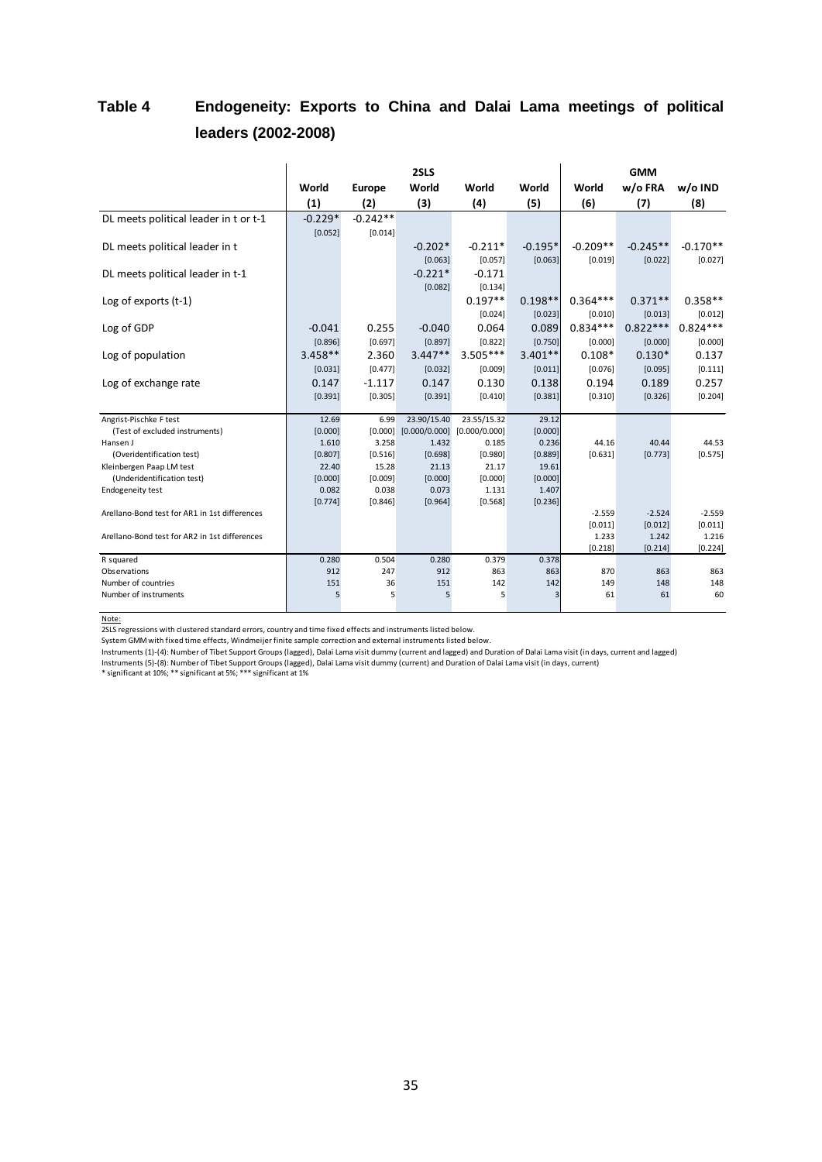## **Table 4 Endogeneity: Exports to China and Dalai Lama meetings of political leaders (2002-2008)**

|                                               |           |                  | 2SLS             |               |                  | <b>GMM</b> |            |            |  |  |  |  |  |  |  |  |  |
|-----------------------------------------------|-----------|------------------|------------------|---------------|------------------|------------|------------|------------|--|--|--|--|--|--|--|--|--|
|                                               | World     | Europe           | World            | World         | World            | World      | w/o FRA    | w/o IND    |  |  |  |  |  |  |  |  |  |
|                                               | (1)       | (2)              | (3)              | (4)           | (5)              | (6)        | (7)        | (8)        |  |  |  |  |  |  |  |  |  |
| DL meets political leader in t or t-1         | $-0.229*$ | $-0.242**$       |                  |               |                  |            |            |            |  |  |  |  |  |  |  |  |  |
|                                               | [0.052]   | [0.014]          |                  |               |                  |            |            |            |  |  |  |  |  |  |  |  |  |
| DL meets political leader in t                |           |                  | $-0.202*$        | $-0.211*$     | $-0.195*$        | $-0.209**$ | $-0.245**$ | $-0.170**$ |  |  |  |  |  |  |  |  |  |
|                                               |           |                  | [0.063]          | [0.057]       | [0.063]          | [0.019]    | [0.022]    | [0.027]    |  |  |  |  |  |  |  |  |  |
| DL meets political leader in t-1              |           |                  | $-0.221*$        | $-0.171$      |                  |            |            |            |  |  |  |  |  |  |  |  |  |
|                                               |           |                  | [0.082]          | [0.134]       |                  |            |            |            |  |  |  |  |  |  |  |  |  |
| Log of exports $(t-1)$                        |           |                  |                  | $0.197**$     | $0.198**$        | $0.364***$ | $0.371**$  | $0.358**$  |  |  |  |  |  |  |  |  |  |
|                                               |           |                  |                  | [0.024]       | [0.023]          | [0.010]    | [0.013]    | [0.012]    |  |  |  |  |  |  |  |  |  |
| Log of GDP                                    | $-0.041$  | 0.255            | $-0.040$         | 0.064         | 0.089            | $0.834***$ | $0.822***$ | $0.824***$ |  |  |  |  |  |  |  |  |  |
|                                               | [0.896]   | [0.697]          | [0.897]          | [0.822]       | [0.750]          | [0.000]    | [0.000]    | [0.000]    |  |  |  |  |  |  |  |  |  |
| Log of population                             | $3.458**$ | 2.360            | $3.447**$        | $3.505***$    | $3.401**$        | $0.108*$   | $0.130*$   | 0.137      |  |  |  |  |  |  |  |  |  |
|                                               | [0.031]   | [0.477]          | [0.032]          | [0.009]       | [0.011]          | [0.076]    | [0.095]    | [0.111]    |  |  |  |  |  |  |  |  |  |
| Log of exchange rate                          | 0.147     | $-1.117$         | 0.147            | 0.130         | 0.138            | 0.194      | 0.189      | 0.257      |  |  |  |  |  |  |  |  |  |
|                                               | [0.391]   | [0.305]          | [0.391]          | [0.410]       | [0.381]          | [0.310]    | [0.326]    | [0.204]    |  |  |  |  |  |  |  |  |  |
| Angrist-Pischke F test                        | 12.69     | 6.99             | 23.90/15.40      | 23.55/15.32   | 29.12            |            |            |            |  |  |  |  |  |  |  |  |  |
| (Test of excluded instruments)                | [0.000]   | [0.000]          | [0.000/0.000]    | [0.000/0.000] | [0.000]          |            |            |            |  |  |  |  |  |  |  |  |  |
| Hansen J                                      | 1.610     | 3.258            | 1.432            | 0.185         | 0.236            | 44.16      | 40.44      | 44.53      |  |  |  |  |  |  |  |  |  |
| (Overidentification test)                     | [0.807]   | [0.516]          | [0.698]          | [0.980]       | [0.889]          | [0.631]    | [0.773]    | [0.575]    |  |  |  |  |  |  |  |  |  |
| Kleinbergen Paap LM test                      | 22.40     | 15.28            | 21.13            | 21.17         | 19.61            |            |            |            |  |  |  |  |  |  |  |  |  |
| (Underidentification test)                    | [0.000]   | [0.009]          | [0.000]          | [0.000]       | [0.000]          |            |            |            |  |  |  |  |  |  |  |  |  |
| <b>Endogeneity test</b>                       | 0.082     | 0.038<br>[0.846] | 0.073<br>[0.964] | 1.131         | 1.407<br>[0.236] |            |            |            |  |  |  |  |  |  |  |  |  |
| Arellano-Bond test for AR1 in 1st differences | [0.774]   |                  |                  | [0.568]       |                  | $-2.559$   | $-2.524$   | $-2.559$   |  |  |  |  |  |  |  |  |  |
|                                               |           |                  |                  |               |                  | [0.011]    | [0.012]    | [0.011]    |  |  |  |  |  |  |  |  |  |
| Arellano-Bond test for AR2 in 1st differences |           |                  |                  |               |                  | 1.233      | 1.242      | 1.216      |  |  |  |  |  |  |  |  |  |
|                                               |           |                  |                  |               |                  | [0.218]    | [0.214]    | [0.224]    |  |  |  |  |  |  |  |  |  |
| R squared                                     | 0.280     | 0.504            | 0.280            | 0.379         | 0.378            |            |            |            |  |  |  |  |  |  |  |  |  |
| Observations                                  | 912       | 247              | 912              | 863           | 863              | 870        | 863        | 863        |  |  |  |  |  |  |  |  |  |
| Number of countries                           | 151       | 36               | 151              | 142           | 142              | 149        | 148        | 148        |  |  |  |  |  |  |  |  |  |
| Number of instruments                         | 5         | 5                | 5                | 5             | 3                | 61         | 61         | 60         |  |  |  |  |  |  |  |  |  |

Note:

2SLS regressions with clustered standard errors, country and time fixed effects and instruments listed below.

System GMM with fixed time effects, Windmeijer finite sample correction and external instruments listed below.

Instruments (1)-(4): Number of Tibet Support Groups (lagged), Dalai Lama visit dummy (current and lagged) and Duration of Dalai Lama visit (in days, current and lagged)

Instruments (5)-(8): Number of Tibet Support Groups (lagged), Dalai Lama visit dummy (current) and Duration of Dalai Lama visit (in days, current)<br>\* significant at 10%; \*\* significant at 5%; \*\*\* significant at 1%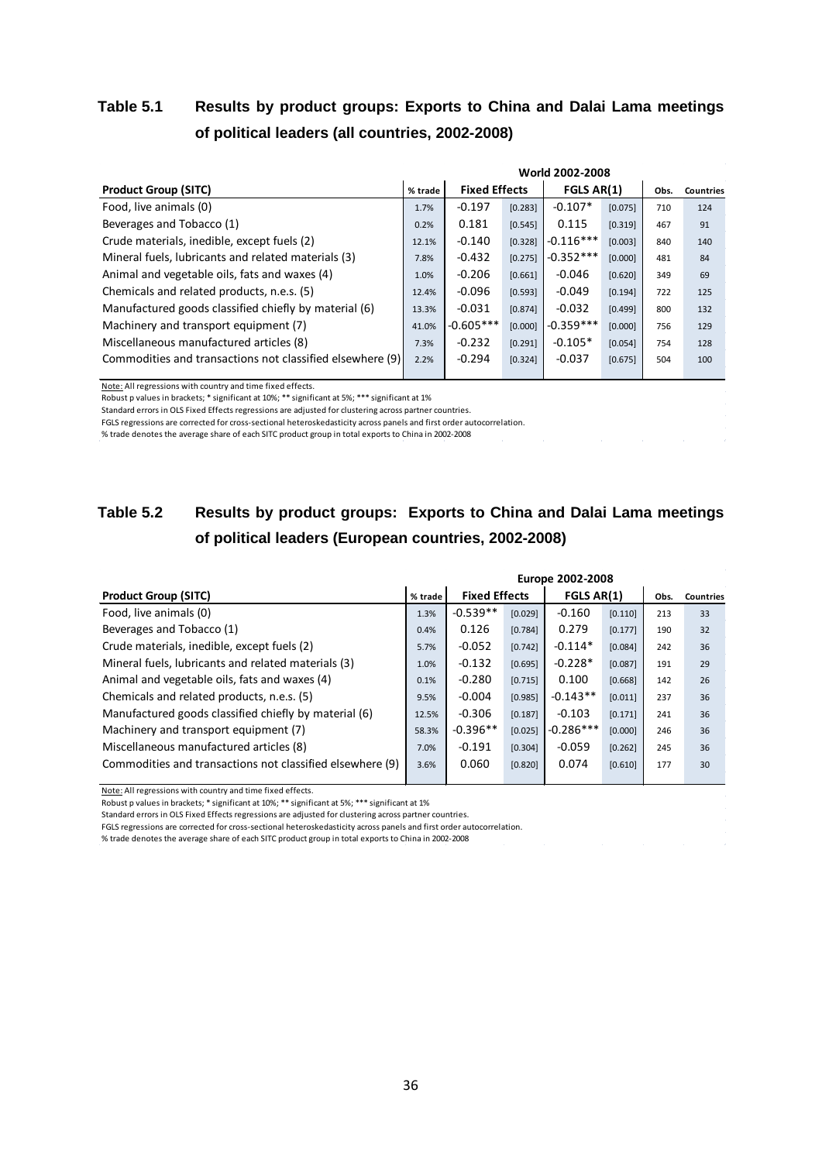## **Table 5.1 Results by product groups: Exports to China and Dalai Lama meetings of political leaders (all countries, 2002-2008)**

|                                                           | World 2002-2008 |                      |         |             |         |      |                  |  |  |  |  |  |  |  |
|-----------------------------------------------------------|-----------------|----------------------|---------|-------------|---------|------|------------------|--|--|--|--|--|--|--|
| <b>Product Group (SITC)</b>                               | % trade         | <b>Fixed Effects</b> |         | FGLS AR(1)  |         | Obs. | <b>Countries</b> |  |  |  |  |  |  |  |
| Food, live animals (0)                                    | 1.7%            | $-0.197$             | [0.283] | $-0.107*$   | [0.075] | 710  | 124              |  |  |  |  |  |  |  |
| Beverages and Tobacco (1)                                 | 0.2%            | 0.181                | [0.545] | 0.115       | [0.319] | 467  | 91               |  |  |  |  |  |  |  |
| Crude materials, inedible, except fuels (2)               | 12.1%           | $-0.140$             | [0.328] | $-0.116***$ | [0.003] | 840  | 140              |  |  |  |  |  |  |  |
| Mineral fuels, lubricants and related materials (3)       | 7.8%            | $-0.432$             | [0.275] | $-0.352***$ | [0.000] | 481  | 84               |  |  |  |  |  |  |  |
| Animal and vegetable oils, fats and waxes (4)             | 1.0%            | $-0.206$             | [0.661] | $-0.046$    | [0.620] | 349  | 69               |  |  |  |  |  |  |  |
| Chemicals and related products, n.e.s. (5)                | 12.4%           | $-0.096$             | [0.593] | $-0.049$    | [0.194] | 722  | 125              |  |  |  |  |  |  |  |
| Manufactured goods classified chiefly by material (6)     | 13.3%           | $-0.031$             | [0.874] | $-0.032$    | [0.499] | 800  | 132              |  |  |  |  |  |  |  |
| Machinery and transport equipment (7)                     | 41.0%           | $-0.605***$          | [0.000] | $-0.359***$ | [0.000] | 756  | 129              |  |  |  |  |  |  |  |
| Miscellaneous manufactured articles (8)                   | 7.3%            | $-0.232$             | [0.291] | $-0.105*$   | [0.054] | 754  | 128              |  |  |  |  |  |  |  |
| Commodities and transactions not classified elsewhere (9) | 2.2%            | $-0.294$             | [0.324] | $-0.037$    | [0.675] | 504  | 100              |  |  |  |  |  |  |  |
|                                                           |                 |                      |         |             |         |      |                  |  |  |  |  |  |  |  |

Note: All regressions with country and time fixed effects.

Robust p values in brackets; \* significant at 10%; \*\* significant at 5%; \*\*\* significant at 1%

Standard errors in OLS Fixed Effects regressions are adjusted for clustering across partner countries.

FGLS regressions are corrected for cross-sectional heteroskedasticity across panels and first order autocorrelation.

% trade denotes the average share of each SITC product group in total exports to China in 2002-2008

## **Table 5.2 Results by product groups: Exports to China and Dalai Lama meetings of political leaders (European countries, 2002-2008)**

|         | <b>Europe 2002-2008</b> |         |                      |         |            |           |  |  |  |  |  |  |  |
|---------|-------------------------|---------|----------------------|---------|------------|-----------|--|--|--|--|--|--|--|
| % trade |                         |         |                      |         | Obs.       | Countries |  |  |  |  |  |  |  |
| 1.3%    | $-0.539**$              | [0.029] | $-0.160$             | [0.110] | 213        | 33        |  |  |  |  |  |  |  |
| 0.4%    | 0.126                   | [0.784] | 0.279                | [0.177] | 190        | 32        |  |  |  |  |  |  |  |
| 5.7%    | $-0.052$                | [0.742] | $-0.114*$            | [0.084] | 242        | 36        |  |  |  |  |  |  |  |
| 1.0%    | $-0.132$                | [0.695] | $-0.228*$            | [0.087] | 191        | 29        |  |  |  |  |  |  |  |
| 0.1%    | $-0.280$                | [0.715] | 0.100                | [0.668] | 142        | 26        |  |  |  |  |  |  |  |
| 9.5%    | $-0.004$                | [0.985] | $-0.143**$           | [0.011] | 237        | 36        |  |  |  |  |  |  |  |
| 12.5%   | $-0.306$                | [0.187] | $-0.103$             | [0.171] | 241        | 36        |  |  |  |  |  |  |  |
| 58.3%   | $-0.396**$              | [0.025] | $-0.286***$          | [0.000] | 246        | 36        |  |  |  |  |  |  |  |
| 7.0%    | $-0.191$                | [0.304] | $-0.059$             | [0.262] | 245        | 36        |  |  |  |  |  |  |  |
| 3.6%    | 0.060                   | [0.820] | 0.074                | [0.610] | 177        | 30        |  |  |  |  |  |  |  |
|         |                         |         | <b>Fixed Effects</b> |         | FGLS AR(1) |           |  |  |  |  |  |  |  |

Note: All regressions with country and time fixed effects.

Robust p values in brackets; \* significant at 10%; \*\* significant at 5%; \*\*\* significant at 1%

Standard errors in OLS Fixed Effects regressions are adjusted for clustering across partner countries.

FGLS regressions are corrected for cross-sectional heteroskedasticity across panels and first order autocorrelation.

% trade denotes the average share of each SITC product group in total exports to China in 2002-2008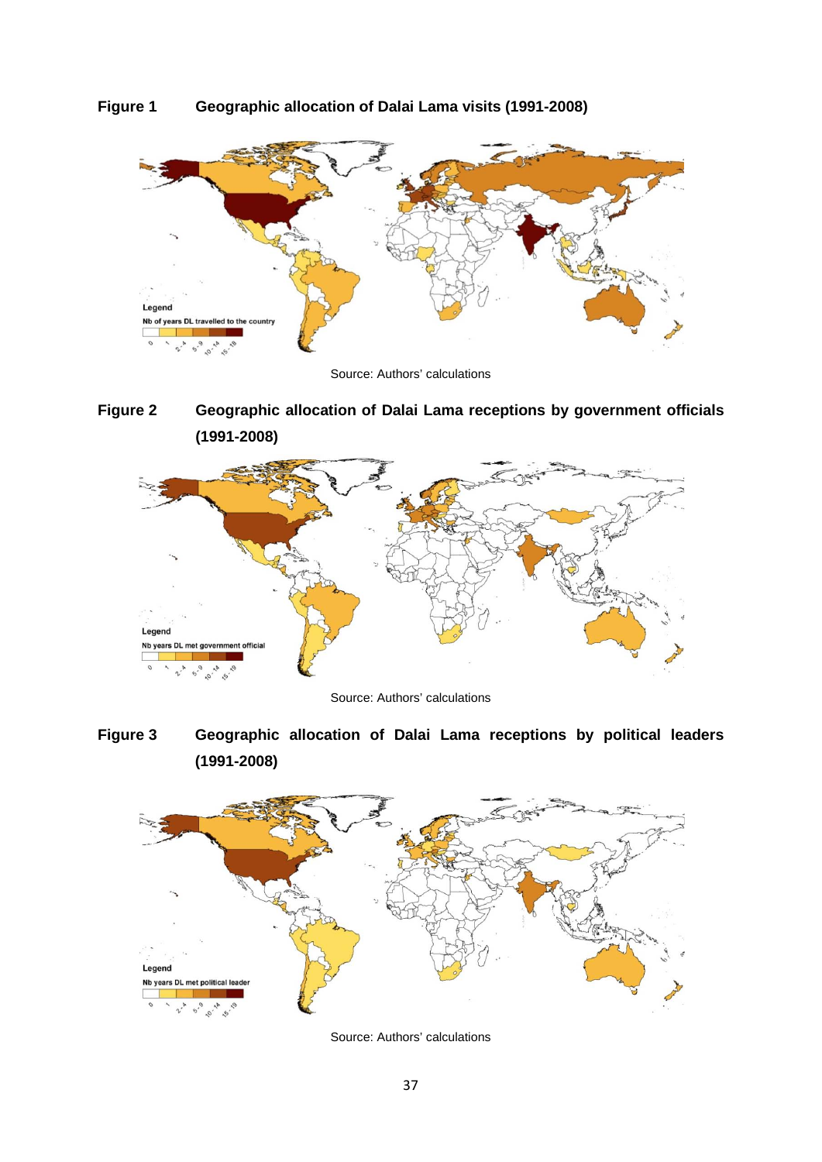



Source: Authors' calculations





Source: Authors' calculations

**Figure 3 Geographic allocation of Dalai Lama receptions by political leaders (1991-2008)**



Source: Authors' calculations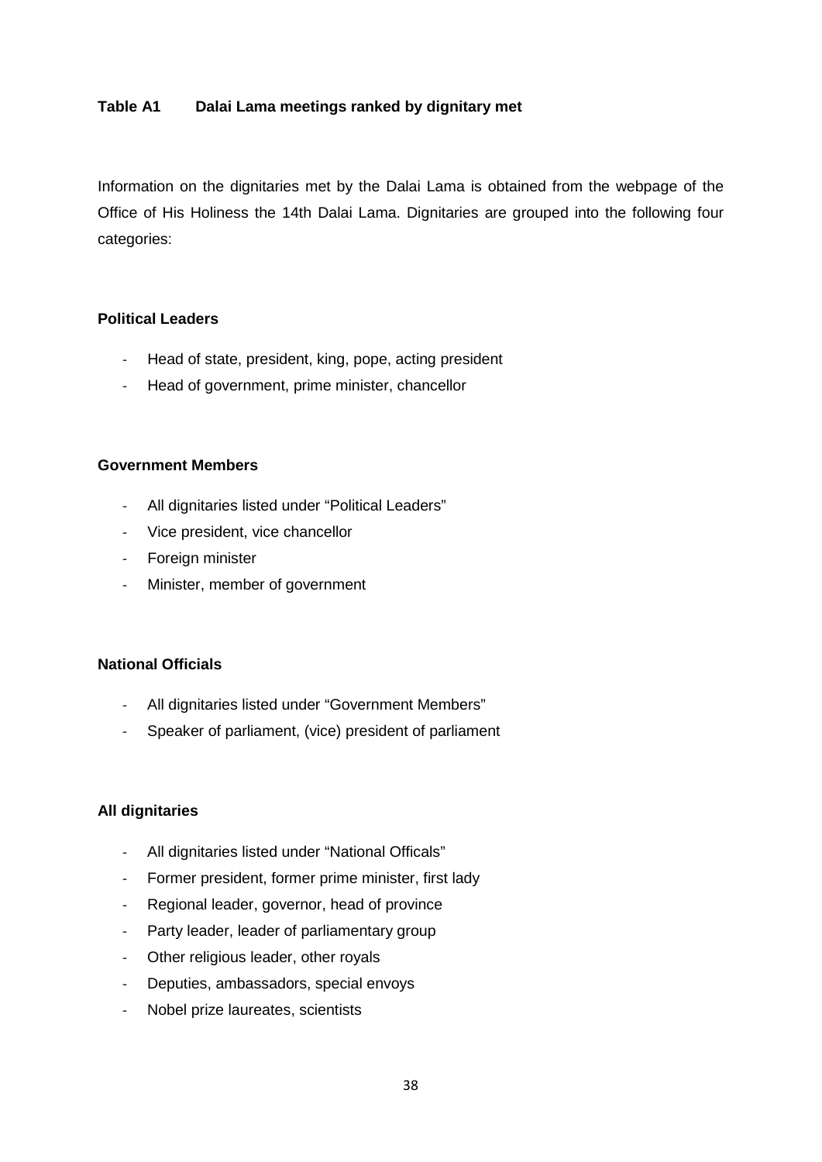#### **Table A1 Dalai Lama meetings ranked by dignitary met**

Information on the dignitaries met by the Dalai Lama is obtained from the webpage of the Office of His Holiness the 14th Dalai Lama. Dignitaries are grouped into the following four categories:

#### **Political Leaders**

- Head of state, president, king, pope, acting president
- Head of government, prime minister, chancellor

#### **Government Members**

- All dignitaries listed under "Political Leaders"
- Vice president, vice chancellor
- Foreign minister
- Minister, member of government

#### **National Officials**

- All dignitaries listed under "Government Members"
- Speaker of parliament, (vice) president of parliament

#### **All dignitaries**

- All dignitaries listed under "National Officals"
- Former president, former prime minister, first lady
- Regional leader, governor, head of province
- Party leader, leader of parliamentary group
- Other religious leader, other royals
- Deputies, ambassadors, special envoys
- Nobel prize laureates, scientists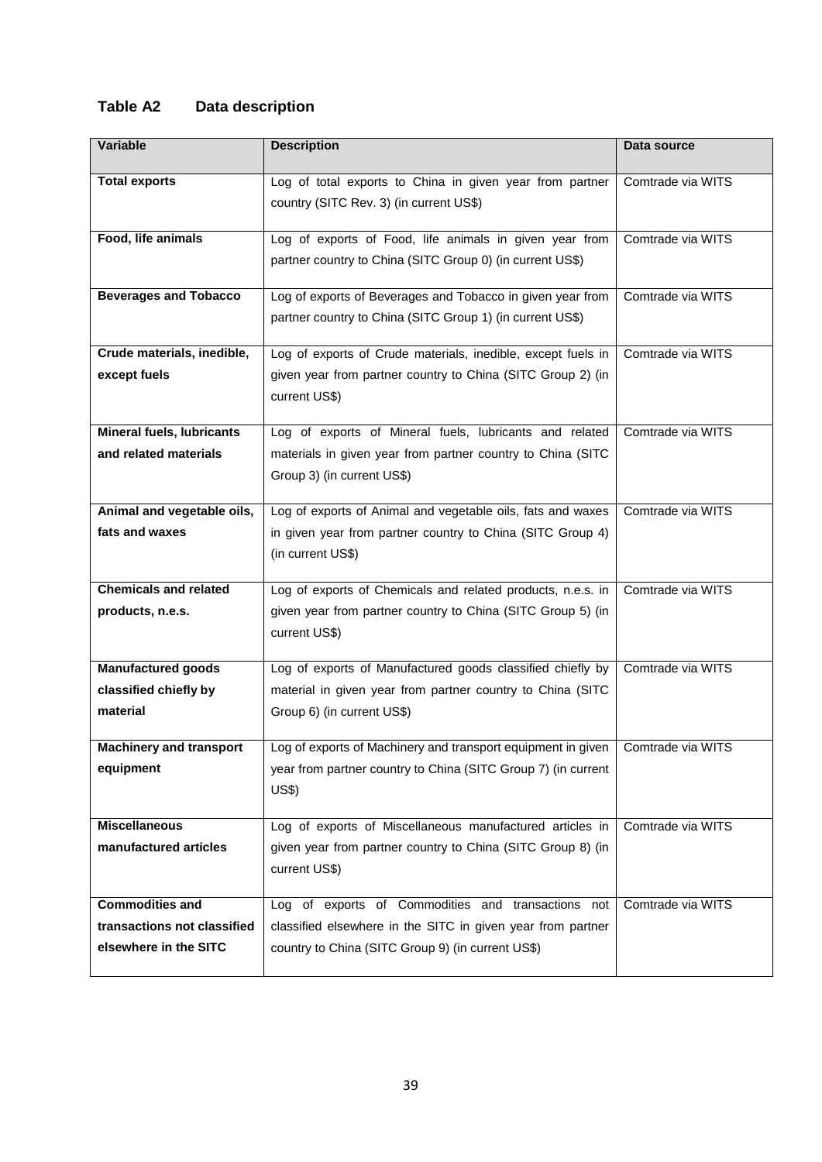## **Table A2 Data description**

| Variable                         | <b>Description</b>                                                               | Data source       |
|----------------------------------|----------------------------------------------------------------------------------|-------------------|
| <b>Total exports</b>             | Log of total exports to China in given year from partner                         | Comtrade via WITS |
|                                  | country (SITC Rev. 3) (in current US\$)                                          |                   |
|                                  |                                                                                  |                   |
| Food, life animals               | Log of exports of Food, life animals in given year from                          | Comtrade via WITS |
|                                  | partner country to China (SITC Group 0) (in current US\$)                        |                   |
|                                  |                                                                                  |                   |
| <b>Beverages and Tobacco</b>     | Log of exports of Beverages and Tobacco in given year from                       | Comtrade via WITS |
|                                  | partner country to China (SITC Group 1) (in current US\$)                        |                   |
| Crude materials, inedible,       | Log of exports of Crude materials, inedible, except fuels in                     | Comtrade via WITS |
| except fuels                     | given year from partner country to China (SITC Group 2) (in                      |                   |
|                                  | current US\$)                                                                    |                   |
|                                  |                                                                                  |                   |
| <b>Mineral fuels, lubricants</b> | Log of exports of Mineral fuels, lubricants and related                          | Comtrade via WITS |
| and related materials            | materials in given year from partner country to China (SITC                      |                   |
|                                  | Group 3) (in current US\$)                                                       |                   |
|                                  |                                                                                  |                   |
| Animal and vegetable oils,       | Log of exports of Animal and vegetable oils, fats and waxes                      | Comtrade via WITS |
| fats and waxes                   | in given year from partner country to China (SITC Group 4)                       |                   |
|                                  | (in current US\$)                                                                |                   |
| <b>Chemicals and related</b>     |                                                                                  | Comtrade via WITS |
|                                  | Log of exports of Chemicals and related products, n.e.s. in                      |                   |
| products, n.e.s.                 | given year from partner country to China (SITC Group 5) (in                      |                   |
|                                  | current US\$)                                                                    |                   |
| <b>Manufactured goods</b>        | Log of exports of Manufactured goods classified chiefly by                       | Comtrade via WITS |
| classified chiefly by            | material in given year from partner country to China (SITC                       |                   |
| material                         | Group 6) (in current US\$)                                                       |                   |
|                                  |                                                                                  |                   |
| <b>Machinery and transport</b>   | Log of exports of Machinery and transport equipment in given   Comtrade via WITS |                   |
| equipment                        | year from partner country to China (SITC Group 7) (in current                    |                   |
|                                  | US\$)                                                                            |                   |
| <b>Miscellaneous</b>             | Log of exports of Miscellaneous manufactured articles in                         | Comtrade via WITS |
| manufactured articles            | given year from partner country to China (SITC Group 8) (in                      |                   |
|                                  |                                                                                  |                   |
|                                  | current US\$)                                                                    |                   |
| <b>Commodities and</b>           | Log of exports of Commodities and transactions not                               | Comtrade via WITS |
| transactions not classified      | classified elsewhere in the SITC in given year from partner                      |                   |
| elsewhere in the SITC            | country to China (SITC Group 9) (in current US\$)                                |                   |
|                                  |                                                                                  |                   |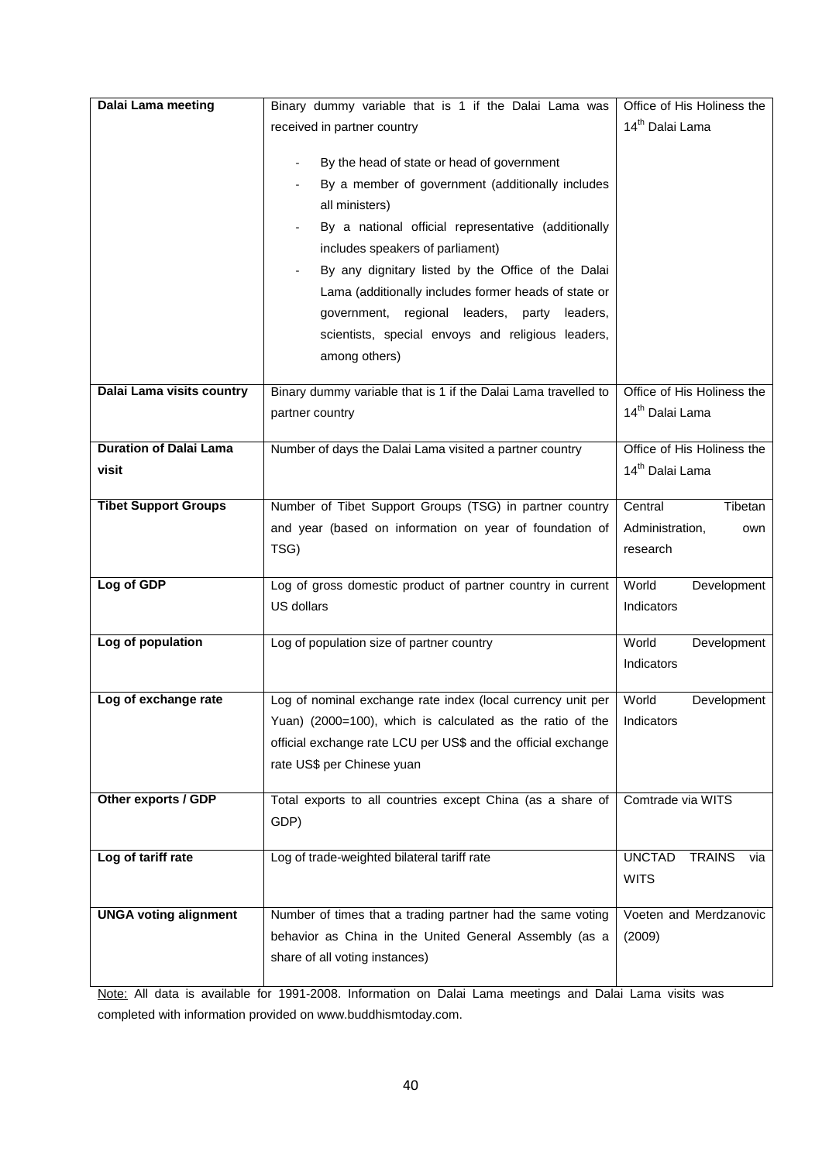| Dalai Lama meeting            | Binary dummy variable that is 1 if the Dalai Lama was          | Office of His Holiness the            |
|-------------------------------|----------------------------------------------------------------|---------------------------------------|
|                               | received in partner country                                    | 14 <sup>th</sup> Dalai Lama           |
|                               |                                                                |                                       |
|                               | By the head of state or head of government                     |                                       |
|                               | By a member of government (additionally includes               |                                       |
|                               | all ministers)                                                 |                                       |
|                               | By a national official representative (additionally            |                                       |
|                               | includes speakers of parliament)                               |                                       |
|                               | By any dignitary listed by the Office of the Dalai             |                                       |
|                               | Lama (additionally includes former heads of state or           |                                       |
|                               | government, regional leaders, party<br>leaders,                |                                       |
|                               | scientists, special envoys and religious leaders,              |                                       |
|                               | among others)                                                  |                                       |
| Dalai Lama visits country     | Binary dummy variable that is 1 if the Dalai Lama travelled to | Office of His Holiness the            |
|                               | partner country                                                | 14 <sup>th</sup> Dalai Lama           |
|                               |                                                                |                                       |
| <b>Duration of Dalai Lama</b> | Number of days the Dalai Lama visited a partner country        | Office of His Holiness the            |
| visit                         |                                                                | 14 <sup>th</sup> Dalai Lama           |
|                               |                                                                | Central                               |
| <b>Tibet Support Groups</b>   | Number of Tibet Support Groups (TSG) in partner country        | Tibetan                               |
|                               | and year (based on information on year of foundation of        | Administration,<br>own                |
|                               | TSG)                                                           | research                              |
| Log of GDP                    | Log of gross domestic product of partner country in current    | World<br>Development                  |
|                               |                                                                |                                       |
|                               | US dollars                                                     | Indicators                            |
|                               |                                                                |                                       |
| Log of population             | Log of population size of partner country                      | World<br>Development                  |
|                               |                                                                | Indicators                            |
| Log of exchange rate          | Log of nominal exchange rate index (local currency unit per    | World<br>Development                  |
|                               | Yuan) (2000=100), which is calculated as the ratio of the      | Indicators                            |
|                               | official exchange rate LCU per US\$ and the official exchange  |                                       |
|                               | rate US\$ per Chinese yuan                                     |                                       |
|                               |                                                                |                                       |
| Other exports / GDP           | Total exports to all countries except China (as a share of     | Comtrade via WITS                     |
|                               | GDP)                                                           |                                       |
| Log of tariff rate            | Log of trade-weighted bilateral tariff rate                    | <b>UNCTAD</b><br><b>TRAINS</b><br>via |
|                               |                                                                | <b>WITS</b>                           |
|                               |                                                                |                                       |
| <b>UNGA voting alignment</b>  | Number of times that a trading partner had the same voting     | Voeten and Merdzanovic                |
|                               | behavior as China in the United General Assembly (as a         | (2009)                                |
|                               | share of all voting instances)                                 |                                       |

Note: All data is available for 1991-2008. Information on Dalai Lama meetings and Dalai Lama visits was completed with information provided on www.buddhismtoday.com.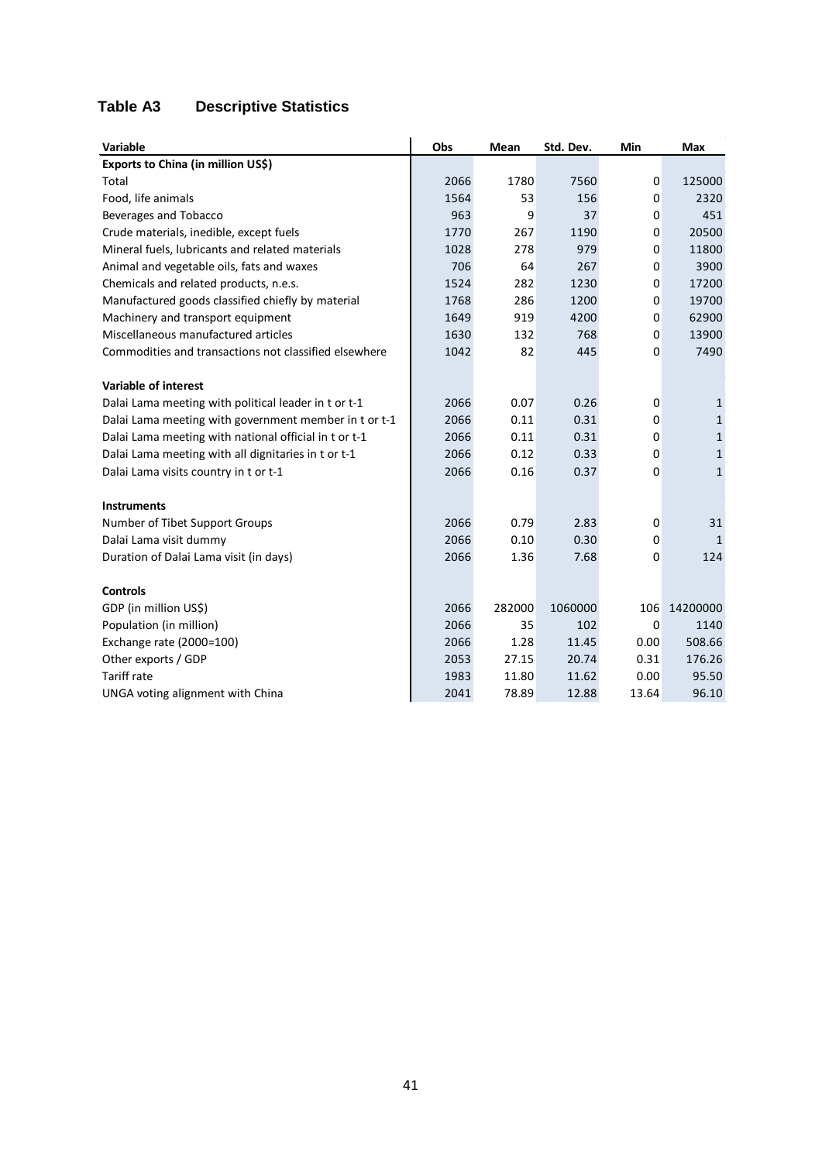## **Table A3 Descriptive Statistics**

| <b>Variable</b>                                       | Obs  | Mean   | Std. Dev. | Min              | <b>Max</b>   |
|-------------------------------------------------------|------|--------|-----------|------------------|--------------|
| Exports to China (in million US\$)                    |      |        |           |                  |              |
| Total                                                 | 2066 | 1780   | 7560      | 0                | 125000       |
| Food, life animals                                    | 1564 | 53     | 156       | 0                | 2320         |
| Beverages and Tobacco                                 | 963  | 9      | 37        | 0                | 451          |
| Crude materials, inedible, except fuels               | 1770 | 267    | 1190      | 0                | 20500        |
| Mineral fuels, lubricants and related materials       | 1028 | 278    | 979       | 0                | 11800        |
| Animal and vegetable oils, fats and waxes             | 706  | 64     | 267       | 0                | 3900         |
| Chemicals and related products, n.e.s.                | 1524 | 282    | 1230      | 0                | 17200        |
| Manufactured goods classified chiefly by material     | 1768 | 286    | 1200      | 0                | 19700        |
| Machinery and transport equipment                     | 1649 | 919    | 4200      | 0                | 62900        |
| Miscellaneous manufactured articles                   | 1630 | 132    | 768       | 0                | 13900        |
| Commodities and transactions not classified elsewhere | 1042 | 82     | 445       | 0                | 7490         |
| <b>Variable of interest</b>                           |      |        |           |                  |              |
| Dalai Lama meeting with political leader in t or t-1  | 2066 | 0.07   | 0.26      | 0                | 1            |
| Dalai Lama meeting with government member in t or t-1 | 2066 | 0.11   | 0.31      | 0                | 1            |
| Dalai Lama meeting with national official in t or t-1 | 2066 | 0.11   | 0.31      | 0                | $\mathbf{1}$ |
| Dalai Lama meeting with all dignitaries in t or t-1   | 2066 | 0.12   | 0.33      | 0                | $\mathbf{1}$ |
| Dalai Lama visits country in t or t-1                 | 2066 | 0.16   | 0.37      | 0                | $\mathbf{1}$ |
| <b>Instruments</b>                                    |      |        |           |                  |              |
| Number of Tibet Support Groups                        | 2066 | 0.79   | 2.83      | 0                | 31           |
| Dalai Lama visit dummy                                | 2066 | 0.10   | 0.30      | 0                | 1            |
| Duration of Dalai Lama visit (in days)                | 2066 | 1.36   | 7.68      | 0                | 124          |
| <b>Controls</b>                                       |      |        |           |                  |              |
| GDP (in million US\$)                                 | 2066 | 282000 | 1060000   | 106              | 14200000     |
| Population (in million)                               | 2066 | 35     | 102       | $\boldsymbol{0}$ | 1140         |
| Exchange rate (2000=100)                              | 2066 | 1.28   | 11.45     | 0.00             | 508.66       |
| Other exports / GDP                                   | 2053 | 27.15  | 20.74     | 0.31             | 176.26       |
| <b>Tariff rate</b>                                    | 1983 | 11.80  | 11.62     | 0.00             | 95.50        |
| UNGA voting alignment with China                      | 2041 | 78.89  | 12.88     | 13.64            | 96.10        |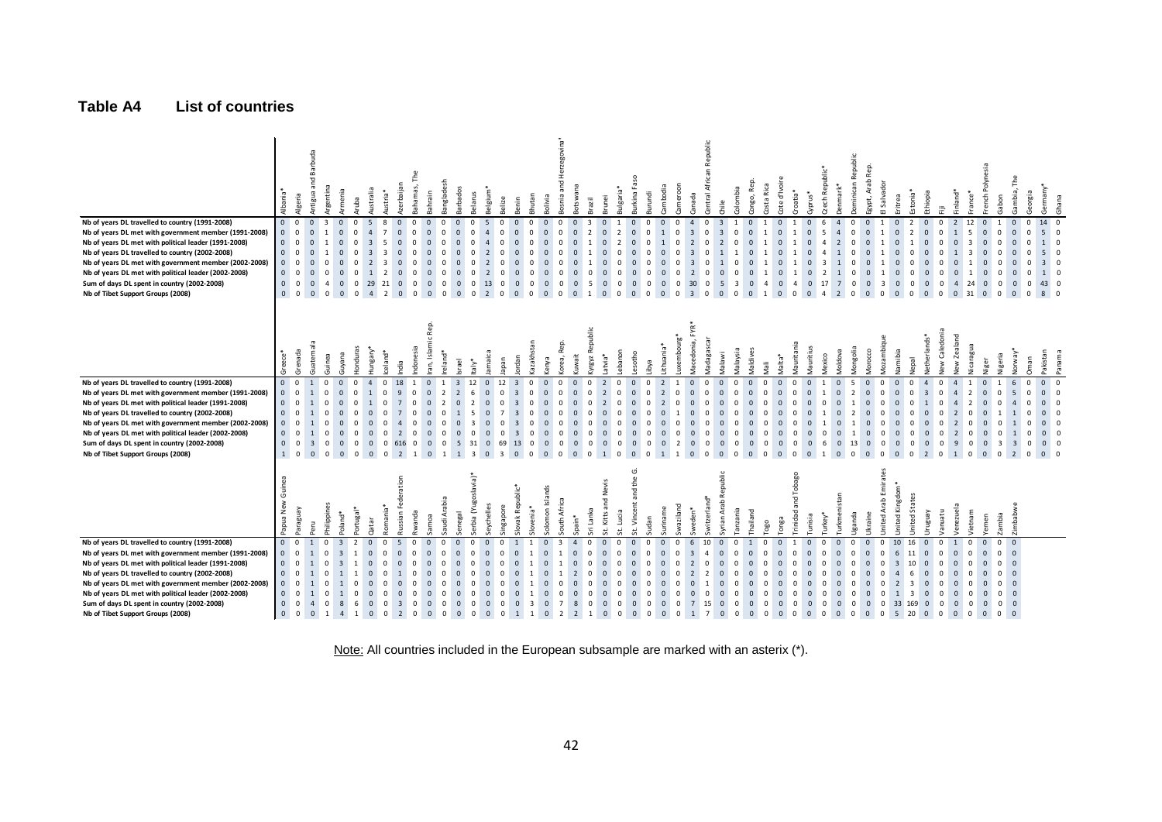#### **Table A4 List of countries**

| Nb of years DL travelled to country (1991-2008)<br>Nb of years DL met with government member (1991-2008)<br>Nb of years DL met with political leader (1991-2008)<br>Nb of years DL travelled to country (2002-2008)<br>Nb of years DL met with government member (2002-2008)<br>Nb of years DL met with political leader (2002-2008)<br>Sum of days DL spent in country (2002-2008)<br>Nb of Tibet Support Groups (2008) | Albania <sup>*</sup><br>$\overline{0}$<br>$\mathbf{0}$<br>$\mathbf{0}$<br>$\overline{0}$<br>$\mathbf{0}$<br>$\mathbf{0}$<br>$\mathbf 0$<br>$\mathsf 0$ | Algeria<br>$\mathbf{0}$<br>$\mathbf{0}$<br>$\mathbf{0}$<br>$\Omega$<br>$\overline{0}$<br>$\Omega$<br>$\mathbf{0}$    | and<br>Antigua<br>$\overline{0}$<br>$\mathbf 0$<br>$\overline{0}$<br>$\mathbf 0$<br>$\Omega$<br>$\mathbf 0$<br>$\Omega$<br>$\mathbf{0}$ | Argentina<br>Armenia<br>$\overline{3}$<br>$\mathbf{0}$<br>$\mathbf{0}$<br>$\Omega$<br>$\mathbf{0}$<br>$^{\circ}$ | Aruba<br>$\Omega$<br>$\mathbf 0$<br>$^{\circ}$ | Australia<br>5<br>$\overline{4}$<br>29<br>$\overline{4}$       | Azerbaijan<br>Austria <sup>*</sup><br>$\Omega$<br>8<br>$\overline{7}$<br>$\mathbf{0}$<br>21<br>$\mathbf{0}$<br>$\overline{2}$<br>$\mathbf{0}$ | The<br>Bahamas,<br>$\Omega$<br>$\mathbf 0$<br>$\mathbf 0$<br>$^{\circ}$<br>$\mathbf{0}$ | Bahrain<br>$\mathbf{0}$<br>$\mathsf 0$<br>$\mathbf{0}$<br>$\overline{0}$ | Bangladesh<br>$\Omega$<br>$\Omega$<br>$\Omega$<br>$\Omega$<br>$^{\circ}$ | Barbados<br>Belarus<br>$\Omega$<br>$\mathbf 0$<br>$\Omega$<br>$\mathbf{0}$<br>$\Omega$<br>$\mathbf{0}$ | Belgium <sup>,</sup><br>5<br>$\overline{4}$<br>13<br>$\overline{2}$                      | Belize<br>$\mathbf{0}$<br>$\mathbf 0$<br>$\mathbf 0$<br>$\overline{0}$ | Bhutan<br>Benin<br>$\mathbf{0}$<br>$\Omega$<br>$\mathbf{0}$<br>$\Omega$<br>$\mathbf{0}$<br>$\Omega$<br>$\overline{0}$<br>$\Omega$ | Bolivia<br>$\mathbf{0}$<br>$\mathbf{0}$<br>$\mathbf{0}$<br>$\overline{0}$ | Bosnia and H<br>$\Omega$<br>$\mathbf 0$<br>$^{\circ}$<br>$\Omega$ | Botswana<br>$\mathbf{0}$<br>$\mathbf 0$<br>$\mathbf{0}$<br>$\overline{0}$ | Brazil<br>$\Omega$<br>$\overline{\mathbf{3}}$<br>$\overline{2}$<br>$\mathbf{0}$<br>-5<br>$\mathbf{0}$<br>-1 | Bulgaria*<br>Brunei<br>$\overline{2}$<br>$\Omega$<br>$\Omega$<br>$\Omega$<br>$\mathbf{0}$<br>$\overline{0}$ | Burkina Faso<br>$\mathbf{0}$<br>$\mathbf 0$<br>$\mathbf 0$<br>$\mathbf 0$                      | Burundi<br>$\Omega$<br>$\mathbf{0}$<br>$\mathbf 0$<br>$\overline{0}$ | Cambodia<br>$\overline{0}$<br>1<br>$\mathbf{0}$<br>$\overline{\mathbf{0}}$ | Cameroon<br>Canada<br>$\Omega$<br>$\overline{4}$<br>$\overline{\mathbf{3}}$<br>$\Omega$<br>$\overline{2}$<br>30<br>$\Omega$<br>$\overline{\mathbf{3}}$<br>$^{\circ}$ | Republic<br>Central Africa<br>$\mathbf{0}$<br>$\mathbf 0$<br>0<br>$\mathbf 0$<br>$^{\circ}$ | chile<br>$\overline{\mathbf{3}}$<br>$\overline{3}$<br>5<br>$\overline{\mathbf{0}}$         | Colombia<br>$\mathbf{0}$<br>$\overline{1}$<br>$\mathbf 0$<br>$\mathbf 0$<br>$\overline{3}$<br>$\mathbf{0}$<br>$\overline{\mathbf{0}}$<br>$\mathbf{0}$ | Congo, Rep.<br>Costa Rica<br>$\mathbf{1}$<br>1<br>$\overline{4}$<br>1                                                                 | Cote d'Ivoire<br>$\mathbf 0$<br>$\mathsf{O}\xspace$<br>$\mathbf 0$<br>$\mathbf{0}$                       | Croatia <sup>*</sup><br>1<br>1<br>$\overline{4}$<br>$\overline{0}$                        | Czech Republic*<br>>yprus*<br>$\mathsf 0$<br>$\mathbf 0$<br>17<br>$\mathbf{0}$<br>$\Omega$                                                                                          | Denmark*<br>$\overline{4}$<br>$\sqrt{4}$<br>$\overline{2}$<br>$7\overline{ }$<br>$\overline{2}$             | Dominican Republic<br>$\mathbf{0}$<br>$\mathbf 0$<br>$^{\circ}$<br>$\Omega$<br>$\mathbf{0}$ | Egypt, Arab R<br>$\mathbf 0$<br>$\mathbf 0$<br>$\mathbf{0}$<br>$\overline{0}$<br>$\overline{0}$             | Salvado<br>$\mathbf{1}$<br>3<br>$^{\circ}$                                      | Estonia <sup>*</sup><br>Eritrea<br>$\overline{2}$<br>$\mathbf{0}$<br>$\mathsf 0$<br>$\overline{2}$<br>$\Omega$<br>$\Omega$<br>$\Omega$<br>$\mathbf{0}$<br>$^{\circ}$<br>$\overline{0}$<br>$\overline{0}$ | Ethiopia<br>$\mathbf{0}$<br>$\mathsf 0$<br>$\mathbf{0}$<br>$\overline{0}$<br>$\overline{0}$ | Ē<br>$\mathbf 0$<br>$\overline{0}$<br>$^{\circ}$<br>$\Omega$<br>$\Omega$<br>$\mathbf 0$<br>$\overline{\mathbf{0}}$ | Finland*<br>$\overline{2}$<br>1<br>$\overline{4}$<br>$0\quad31$ | France*<br>12<br>5<br>$\overline{\mathbf{3}}$<br>$\overline{3}$<br>24                  | French Polynesia<br>$\mathbf{0}$<br>$\blacksquare$<br>$\pmb{0}$<br>$\Omega$<br>$\mathbf{0}$<br>$\mathbf{0}$<br>$0\quad 0$                                     | Gambia,<br>Gabon<br>$\overline{0}$<br>$\mathbf{0}$<br>$\mathbf{0}$<br>$\mathbf{0}$<br>$\overline{0}$                                                                                                                               | Georgia<br>$\Omega$      | Germany*<br>14 0<br>50<br>$1 \quad 0$<br>50<br>$3 \quad 0$<br>$1 \quad 0$<br>43 0<br>$8 \quad 0$ | Ghana                    |
|--------------------------------------------------------------------------------------------------------------------------------------------------------------------------------------------------------------------------------------------------------------------------------------------------------------------------------------------------------------------------------------------------------------------------|--------------------------------------------------------------------------------------------------------------------------------------------------------|----------------------------------------------------------------------------------------------------------------------|-----------------------------------------------------------------------------------------------------------------------------------------|------------------------------------------------------------------------------------------------------------------|------------------------------------------------|----------------------------------------------------------------|-----------------------------------------------------------------------------------------------------------------------------------------------|-----------------------------------------------------------------------------------------|--------------------------------------------------------------------------|--------------------------------------------------------------------------|--------------------------------------------------------------------------------------------------------|------------------------------------------------------------------------------------------|------------------------------------------------------------------------|-----------------------------------------------------------------------------------------------------------------------------------|---------------------------------------------------------------------------|-------------------------------------------------------------------|---------------------------------------------------------------------------|-------------------------------------------------------------------------------------------------------------|-------------------------------------------------------------------------------------------------------------|------------------------------------------------------------------------------------------------|----------------------------------------------------------------------|----------------------------------------------------------------------------|----------------------------------------------------------------------------------------------------------------------------------------------------------------------|---------------------------------------------------------------------------------------------|--------------------------------------------------------------------------------------------|-------------------------------------------------------------------------------------------------------------------------------------------------------|---------------------------------------------------------------------------------------------------------------------------------------|----------------------------------------------------------------------------------------------------------|-------------------------------------------------------------------------------------------|-------------------------------------------------------------------------------------------------------------------------------------------------------------------------------------|-------------------------------------------------------------------------------------------------------------|---------------------------------------------------------------------------------------------|-------------------------------------------------------------------------------------------------------------|---------------------------------------------------------------------------------|----------------------------------------------------------------------------------------------------------------------------------------------------------------------------------------------------------|---------------------------------------------------------------------------------------------|--------------------------------------------------------------------------------------------------------------------|-----------------------------------------------------------------|----------------------------------------------------------------------------------------|---------------------------------------------------------------------------------------------------------------------------------------------------------------|------------------------------------------------------------------------------------------------------------------------------------------------------------------------------------------------------------------------------------|--------------------------|--------------------------------------------------------------------------------------------------|--------------------------|
| Nb of years DL travelled to country (1991-2008)<br>Nb of years DL met with government member (1991-2008)<br>Nb of years DL met with political leader (1991-2008)<br>Nb of years DL travelled to country (2002-2008)<br>Nb of years DL met with government member (2002-2008)<br>Nb of years DL met with political leader (2002-2008)                                                                                     | Greece*<br>$\mathbf{0}$<br>$\mathbf{0}$<br>$\mathbf{0}$<br>$\overline{0}$<br>$\mathbf{0}$<br>$\mathbf{0}$                                              | Grenada<br>$\mathbf{0}$<br>$\Omega$<br>$\Omega$<br>$\mathbf{0}$<br>$\Omega$                                          | Guatemala<br>1                                                                                                                          | Guyana<br>Guinea<br>$\Omega$<br>$\Omega$<br>$\Omega$<br>$\Omega$<br>$\mathbf 0$                                  | <b>Hondura</b><br>$\Omega$<br>$\Omega$<br>0    | Hungary <sup>3</sup><br>$\mathbf{0}$                           | lceland*<br>ndia<br>18<br>$\overline{2}$<br>$\mathbf 0$                                                                                       | ndonesia<br>$\Omega$<br>$\Omega$<br>$^{\circ}$                                          | ran, Islamic Rep.<br>$\mathbf{0}$<br>$\mathbf 0$<br>$\mathbf{0}$         | reland*<br>$\overline{2}$<br>$\Omega$                                    | srael<br>taly*<br>$\overline{\mathbf{3}}$<br>12<br>6<br>$\mathbf 0$                                    | lamaica<br>$\mathbf{0}$<br>$\mathbf{0}$<br>$\mathbf{0}$                                  | Iapan<br>12<br>$\mathbf 0$<br>$\Omega$                                 | azakhstan<br>ordan<br>$\overline{\mathbf{3}}$<br>$\Omega$<br>$\overline{\mathbf{3}}$<br>$\overline{\mathbf{3}}$                   | Kenya<br>$\Omega$<br>$\mathbf{0}$                                         | Korea, Rep.<br>$\Omega$<br>$\mathbf 0$<br>$\Omega$<br>$^{\circ}$  | Kuwait<br>$\mathbf{0}$<br>$\mathbf{0}$<br>$\mathbf{0}$                    | ublic<br>œ<br>Kyrgyz<br>$\mathbf{0}$<br>2<br>$\overline{2}$<br>$^{\circ}$<br>$\Omega$<br>$\mathbf 0$        | Lebanon<br>atvia<br>$\Omega$<br>$\Omega$<br>$\Omega$<br>$\mathbf 0$                                         | Lesotho<br>$\Omega$<br>$\mathbf{0}$<br>$\mathbf 0$                                             | Libya<br>$\mathbf{0}$<br>$\Omega$                                    | Lithuania*<br>$\overline{2}$<br>$\overline{2}$<br>$\mathbf 0$              | Vlacedonia, FYR*<br>uxembourg<br>$\Omega$<br>$\mathbf{0}$<br>$\mathbf{0}$                                                                                            | Madagasca<br>$\Omega$<br>0<br>$\Omega$<br>0                                                 | Malawi<br>$\Omega$<br>$\mathbf{0}$<br>$\mathbf{0}$                                         | Malaysia<br>Maldives<br>$\mathbf 0$<br>$\mathbf{0}$<br>$\mathbf 0$<br>$\Omega$                                                                        | Mali<br>$\Omega$<br>$\mathbf 0$<br>$\Omega$<br>$\mathbf 0$                                                                            | Malta*<br>$\mathbf{0}$<br>$\mathbf 0$<br>$\mathbf{0}$<br>$\mathbf 0$                                     | Vlauritania<br>$^{\circ}$<br>$\Omega$<br>$\Omega$<br>$\mathbf 0$                          | Mauritius<br>Mexico<br>$\mathbf{0}$<br>$\mathbf{0}$<br>$\Omega$<br>$\mathbf 0$<br>$\mathbf{0}$                                                                                      | Moldova<br>$\mathbf{0}$<br>$\mathbf 0$<br>$\mathbf{0}$                                                      | Mongolia<br>$\overline{2}$                                                                  | Morocco<br>$\mathbf{0}$<br>$\mathbf 0$<br>$\mathbf{0}$<br>$\mathbf{0}$                                      | Mozambi<br>$\Omega$<br>$\Omega$<br>$^{\circ}$                                   | Namibia<br>Jepal<br>$\Omega$<br>$\mathbf 0$<br>$\mathbf{0}$<br>$\Omega$<br>$\mathbf{0}$<br>$\mathbf 0$                                                                                                   | <b>Vetherlands*</b><br>$\overline{\mathbf{3}}$<br>$\mathbf{0}$                              | Caledoni<br>New<br>$\mathbf{0}$<br>$\mathbf 0$<br>$\Omega$<br>$^{\circ}$                                           | Zealand<br>₹.<br>-4<br>$\overline{2}$                           | Nicaragua<br>$\overline{2}$<br>$\overline{2}$<br>$\Omega$<br>$\mathbf 0$               | Niger<br>$\Omega$<br>$\mathbf{0}$<br>$\mathbf 0$<br>$\mathbf{0}$<br>$\Omega$<br>$\mathbf 0$<br>$\Omega$                                                       | Norway*<br>Nigeria<br>5<br>$\overline{4}$                                                                                                                                                                                          | Oman                     | Pakistan<br>$\mathbf{0}$<br>$0\quad 0$<br>$0\quad 0$<br>$0 \quad 0$<br>$0\quad 0$<br>$0\quad 0$  | Panama<br>$\overline{0}$ |
| Sum of days DL spent in country (2002-2008)<br>Nb of Tibet Support Groups (2008)                                                                                                                                                                                                                                                                                                                                         | $\mathbf{0}$<br>$1 \quad 0$<br>ē<br>Papua New                                                                                                          | $\mathbf 0$<br>VenBeJe                                                                                               | $\overline{\mathbf{3}}$<br>$\mathbf{0}$                                                                                                 | $\mathbf{0}$<br>$\Omega$<br>$\mathbf{0}$<br>$\mathbf{0}$<br>hilippines<br>Poland*                                | $\mathbf 0$<br>$\mathbf{0}$<br>ortugal*        | $\overline{0}$<br>$\overline{0}$<br>Qatar                      | 616<br>0<br>$\overline{2}$<br>$\mathbf{0}$<br>ederation<br>omania*<br>Lussian Fe                                                              | $^{\circ}$<br>Rwanda                                                                    | $\mathbf{0}$<br>$\mathbf{0}$<br>amoa                                     | $\overline{\mathbf{0}}$<br>audi Arabia                                   | 31<br>5<br>$\overline{\mathbf{3}}$<br>erbia (Yugoslavia)*<br>enegal                                    | $\mathbf{0}$<br>$\mathbf{0}$<br>eychelles                                                | 69<br>$\overline{3}$<br>ingapore                                       | 13<br>$\mathbf 0$<br>$\overline{0}$<br>0<br>Slovak Republic*<br>wenia*                                                            | $\mathbf{0}$<br>$\overline{0}$<br>olomon Islands                          | $\mathbf 0$<br>$\mathbf 0$<br>South Africa                        | $\mathbf{0}$<br>$\mathbf{0}$<br>spain*                                    | $^{\circ}$<br>$\mathbf{0}$<br>1<br>ri Lanka                                                                 | $^{\circ}$<br>$\mathbf{0}$<br>$\mathbf 0$<br>Kitts and Nevis<br>Lucia<br>شە                                 | $\mathbf{0}$<br>$\overline{0}$<br>Ġ<br>the<br>Þ<br>t. Vincent                                  | $^{\circ}$<br>udan                                                   | 0<br>uriname                                                               | $\mathbf{0}$<br>$\overline{2}$<br>$\Omega$<br>waziland<br>weden*                                                                                                     | 0<br>$\mathbf 0$<br>witzerland*                                                             | $\mathbf{0}$<br>$\mathbf{0}$<br>epublic<br>yrian Arab R                                    | $\mathbf{0}$<br>0<br>$\Omega$<br>$\mathbf{0}$<br>anzania<br>hailand                                                                                   | $^{\circ}$<br>$\mathbf 0$<br>logo                                                                                                     | $\mathbf{0}$<br>$\mathbf{0}$<br>onga                                                                     | $\mathbf 0$<br>$\Omega$<br>Tobago<br>rinidad.                                             | 6<br>$\mathbf{0}$<br>$\mathbf{0}$<br>unisia<br>urkey'                                                                                                                               | $\mathbf{0}$<br>$\mathbf{0}$<br><b>Furkmenistan</b>                                                         | 13<br>$\mathbf{0}$<br>Uganda                                                                | $\mathbf{0}$<br>$\mathbf{0}$<br>Ukraine                                                                     | $\mathbf 0$<br>$^{\circ}$<br>Emirat<br>Arab<br>United                           | $\mathbf{0}$<br>$\mathbf 0$<br>$\mathbf{0}$<br>$\mathbf{0}$<br>United Kingdom<br><b>Jnited States</b>                                                                                                    | $\overline{0}$<br>$\overline{2}$<br>VenBnun                                                 | $\mathbf 0$<br>$\overline{0}$<br>utenue/                                                                           | 9<br>1<br>enezuela                                              | $\mathbf 0$<br>$\overline{0}$<br>Vietnam                                               | $\mathbf{0}$<br>$\overline{\mathbf{3}}$<br>$\overline{0}$<br>$\overline{0}$<br>Yemen                                                                          | $\overline{\mathbf{3}}$<br>$\overline{2}$<br>Zimbabwe<br>zambia                                                                                                                                                                    | $\Omega$<br>$\mathbf{0}$ | $0\quad 0$<br>$0\quad 0$                                                                         |                          |
| Nb of years DL travelled to country (1991-2008)<br>Nb of years DL met with government member (1991-2008)<br>Nb of years DL met with political leader (1991-2008)<br>Nb of years DL travelled to country (2002-2008)<br>Nb of years DL met with government member (2002-2008)<br>Nb of years DL met with political leader (2002-2008)<br>Sum of days DL spent in country (2002-2008)<br>Nb of Tibet Support Groups (2008) | $\overline{0}$<br>$\overline{0}$<br>$\overline{0}$<br>$\mathbf 0$<br>$\mathbf 0$<br>$\mathbf{0}$<br>$\mathsf{O}\xspace$<br>$\mathbf{0}$                | $\overline{0}$<br>$\mathbf{0}$<br>$\mathbf{0}$<br>$\Omega$<br>$\Omega$<br>$\mathbf{0}$<br>$\Omega$<br>$\overline{0}$ | $\overline{1}$<br>1<br>$\overline{4}$<br>$\Omega$                                                                                       | $\Omega$<br>$\overline{3}$<br>$\Omega$                                                                           |                                                | $\mathbf{0}$<br>$\overline{0}$<br>$\mathbf{0}$<br>$\mathbf{0}$ | $\mathbf 0$<br>$\mathbf{0}$<br>$\overline{\mathbf{3}}$<br>$\Omega$<br>2                                                                       | $\mathbf 0$<br>$\Omega$<br>$\mathbf 0$<br>$\mathbf 0$<br>$^{\circ}$<br>$\Omega$         | $\mathbf 0$<br>$\mathbf{0}$<br>$\mathbf{0}$<br>$\mathbf{0}$              | $\Omega$<br>$\Omega$<br>$^{\circ}$<br>$\Omega$<br>$\Omega$               | $\mathbf 0$<br>$\mathbf{0}$<br>$\Omega$<br>$\Omega$<br>$\Omega$                                        | $\mathbf{0}$<br>$\mathbf{0}$<br>$\mathbf{0}$<br>$\mathbf{0}$<br>$\mathbf{0}$<br>$\Omega$ | 0<br>$\Omega$<br>$\Omega$<br>$\Omega$                                  | $\mathbf{0}$<br>$\mathbf{0}$                                                                                                      | $\Omega$                                                                  | $\overline{3}$<br>0<br>0<br>$\overline{7}$<br>$\overline{2}$      | $\mathbf{0}$<br>8<br>$\overline{2}$                                       | $^{\circ}$<br>$\Omega$<br>$\Omega$<br>0                                                                     | $\Omega$<br>0<br>$^{\circ}$<br>$\mathbf{0}$<br>$\Omega$                                                     | $\overline{0}$<br>$\mathbf{0}$<br>$\mathbf{0}$<br>$\mathbf{0}$<br>$\mathbf{0}$<br>$\mathbf{0}$ | $\Omega$<br>$\overline{0}$<br>$^{\circ}$<br>$\mathbf 0$              | $\mathbf 0$<br>$\mathbf 0$<br>0<br>$\mathbf 0$<br>$\mathbf 0$<br>$\Omega$  | 6<br>$\mathbf 0$<br>$\overline{3}$<br>$\mathbf{0}$<br>$\mathbf{0}$<br>7<br>$\Omega$                                                                                  | 10<br>$\overline{4}$<br>0<br>0<br>15<br>$\overline{7}$                                      | $\mathbf{0}$<br>$\mathbf{0}$<br>$\mathbf{0}$<br>$\mathbf{0}$<br>$\mathbf 0$<br>$\mathbf 0$ | $\mathbf 0$<br>$\mathbf 0$<br>$\Omega$<br>0<br>$\mathbf{0}$<br>0<br>$\Omega$<br>$\Omega$                                                              | $\mathbf 0$<br>$\mathbf 0$<br>$\mathbf 0$<br>$\mathbf 0$<br>$\mathbf 0$<br>$\mathbf{0}$<br>$^{\circ}$<br>$\mathbf{0}$<br>$\mathbf{0}$ | $\mathbf 0$<br>$\mathbf 0$<br>$\mathbf{0}$<br>$\mathbf 0$<br>$\mathbf{0}$<br>$\mathbf{0}$<br>$\mathbf 0$ | 1<br>$^{\circ}$<br>$\Omega$<br>$^{\circ}$<br>$\mathbf 0$<br>$\mathbf 0$<br>$\overline{0}$ | $\mathbf{0}$<br>$\Omega$<br>$\mathbf{0}$<br>$\Omega$<br>$\overline{0}$<br>$\Omega$<br>0<br>$^{\circ}$<br>$\mathbf{0}$<br>$^{\circ}$<br>$\mathbf{0}$<br>$\mathbf{0}$<br>$\mathbf{0}$ | $\mathbf{0}$<br>$\mathbf{0}$<br>$\overline{0}$<br>$\mathbf 0$<br>$\mathbf{0}$<br>$\mathbf 0$<br>$\mathbf 0$ | $\mathbf 0$<br>$\mathbf 0$<br>$\Omega$<br>$\mathbf 0$<br>$\mathbf{0}$<br>$\mathbf 0$        | $\mathbf 0$<br>$\mathbf{0}$<br>$\mathbf{0}$<br>$\mathbf{0}$<br>$\mathbf{0}$<br>$\overline{0}$<br>$0\quad 0$ | $\Omega$<br>$\mathbf 0$<br>$\Omega$<br>$\Omega$<br>$\mathbf{0}$<br>$\mathbf{0}$ | 10<br>16<br>6<br>11<br>10<br>$\overline{\mathbf{3}}$<br>6<br>$\overline{\mathbf{3}}$<br>$\overline{2}$<br>3<br>1<br>33 169<br>5 <sup>5</sup><br>20                                                       | $\mathbf 0$<br>$\mathbf{0}$<br>$\mathbf{0}$<br>$\mathbf{0}$<br>$\mathbf{0}$<br>$\mathbf{0}$ | $\mathbf{0}$<br>$\overline{0}$<br>$\overline{0}$<br>$^{\circ}$<br>0<br>$\mathbf 0$<br>$0\quad 0$                   | $\mathbf{0}$<br>$\mathbf{0}$                                    | $\Omega$<br>$\Omega$<br>$\Omega$<br>$\Omega$<br>$\Omega$<br>$\mathbf 0$<br>$\mathbf 0$ | $\mathbf{0}$<br>$\mathbf{0}$<br>$\mathbf{0}$<br>$\overline{0}$<br>$\Omega$<br>$\Omega$<br>$\mathbf{0}$<br>$\mathsf{O}\xspace$<br>$\mathbf{0}$<br>$\mathbf{0}$ | $\mathbf{0}$<br>$\overline{0}$<br>$\mathbf{0}$<br>$\overline{0}$<br>$\overline{0}$<br>$^{\circ}$<br>$\overline{\phantom{0}}$<br>$\mathbf{0}$<br>$\overline{\phantom{0}}$<br>$0 \quad 0$<br>$0 \quad 0$<br>$\overline{\phantom{0}}$ |                          |                                                                                                  |                          |

Note: All countries included in the European subsample are marked with an asterix (\*).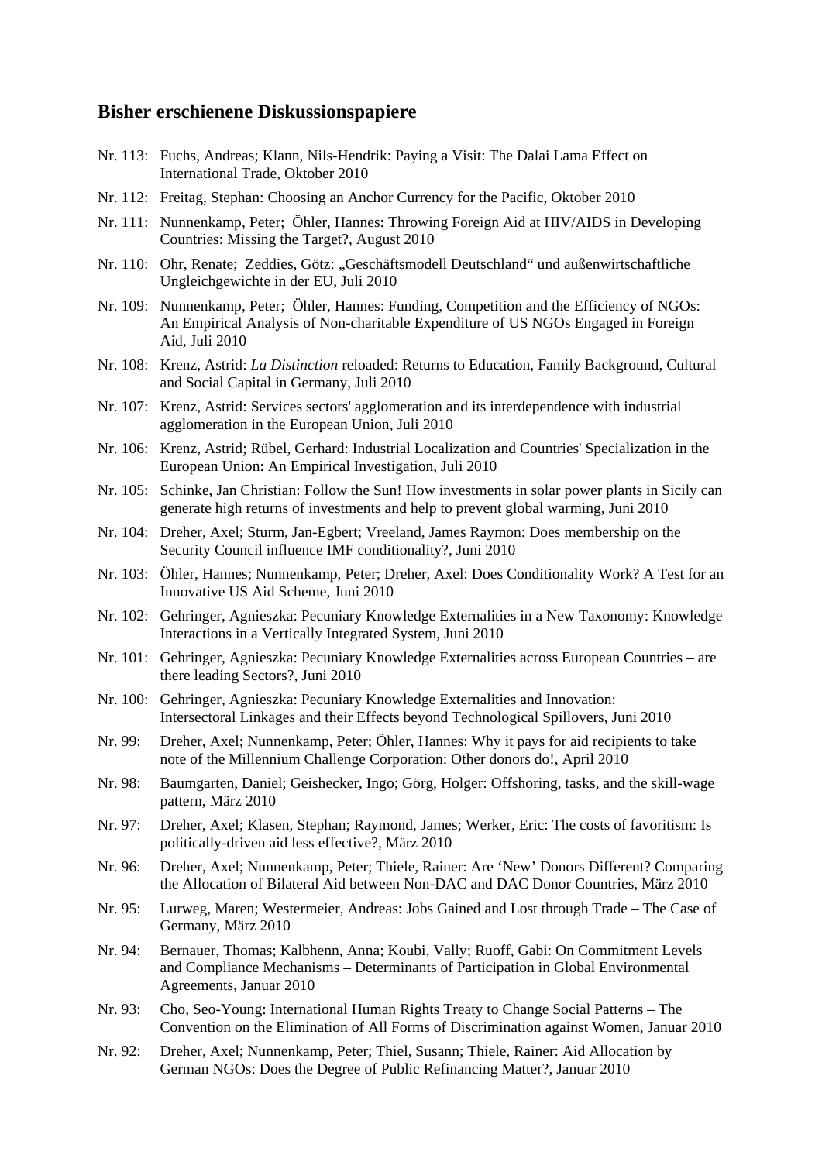#### **Bisher erschienene Diskussionspapiere**

- Nr. 113: Fuchs, Andreas; Klann, Nils-Hendrik: Paying a Visit: The Dalai Lama Effect on International Trade, Oktober 2010
- Nr. 112: Freitag, Stephan: Choosing an Anchor Currency for the Pacific, Oktober 2010
- Nr. 111: Nunnenkamp, Peter; Öhler, Hannes: Throwing Foreign Aid at HIV/AIDS in Developing Countries: Missing the Target?, August 2010
- Nr. 110: Ohr, Renate; Zeddies, Götz: "Geschäftsmodell Deutschland" und außenwirtschaftliche Ungleichgewichte in der EU, Juli 2010
- Nr. 109: Nunnenkamp, Peter; Öhler, Hannes: Funding, Competition and the Efficiency of NGOs: An Empirical Analysis of Non-charitable Expenditure of US NGOs Engaged in Foreign Aid, Juli 2010
- Nr. 108: Krenz, Astrid: *La Distinction* reloaded: Returns to Education, Family Background, Cultural and Social Capital in Germany, Juli 2010
- Nr. 107: Krenz, Astrid: Services sectors' agglomeration and its interdependence with industrial agglomeration in the European Union, Juli 2010
- Nr. 106: Krenz, Astrid; Rübel, Gerhard: Industrial Localization and Countries' Specialization in the European Union: An Empirical Investigation, Juli 2010
- Nr. 105: Schinke, Jan Christian: Follow the Sun! How investments in solar power plants in Sicily can generate high returns of investments and help to prevent global warming, Juni 2010
- Nr. 104: Dreher, Axel; Sturm, Jan-Egbert; Vreeland, James Raymon: Does membership on the Security Council influence IMF conditionality?, Juni 2010
- Nr. 103: Öhler, Hannes; Nunnenkamp, Peter; Dreher, Axel: Does Conditionality Work? A Test for an Innovative US Aid Scheme, Juni 2010
- Nr. 102: Gehringer, Agnieszka: Pecuniary Knowledge Externalities in a New Taxonomy: Knowledge Interactions in a Vertically Integrated System, Juni 2010
- Nr. 101: Gehringer, Agnieszka: Pecuniary Knowledge Externalities across European Countries are there leading Sectors?, Juni 2010
- Nr. 100: Gehringer, Agnieszka: Pecuniary Knowledge Externalities and Innovation: Intersectoral Linkages and their Effects beyond Technological Spillovers, Juni 2010
- Nr. 99: Dreher, Axel; Nunnenkamp, Peter; Öhler, Hannes: Why it pays for aid recipients to take note of the Millennium Challenge Corporation: Other donors do!, April 2010
- Nr. 98: Baumgarten, Daniel; Geishecker, Ingo; Görg, Holger: Offshoring, tasks, and the skill-wage pattern, März 2010
- Nr. 97: Dreher, Axel; Klasen, Stephan; Raymond, James; Werker, Eric: The costs of favoritism: Is politically-driven aid less effective?, März 2010
- Nr. 96: Dreher, Axel; Nunnenkamp, Peter; Thiele, Rainer: Are 'New' Donors Different? Comparing the Allocation of Bilateral Aid between Non-DAC and DAC Donor Countries, März 2010
- Nr. 95: Lurweg, Maren; Westermeier, Andreas: Jobs Gained and Lost through Trade The Case of Germany, März 2010
- Nr. 94: Bernauer, Thomas; Kalbhenn, Anna; Koubi, Vally; Ruoff, Gabi: On Commitment Levels and Compliance Mechanisms – Determinants of Participation in Global Environmental Agreements, Januar 2010
- Nr. 93: Cho, Seo-Young: International Human Rights Treaty to Change Social Patterns The Convention on the Elimination of All Forms of Discrimination against Women, Januar 2010
- Nr. 92: Dreher, Axel; Nunnenkamp, Peter; Thiel, Susann; Thiele, Rainer: Aid Allocation by German NGOs: Does the Degree of Public Refinancing Matter?, Januar 2010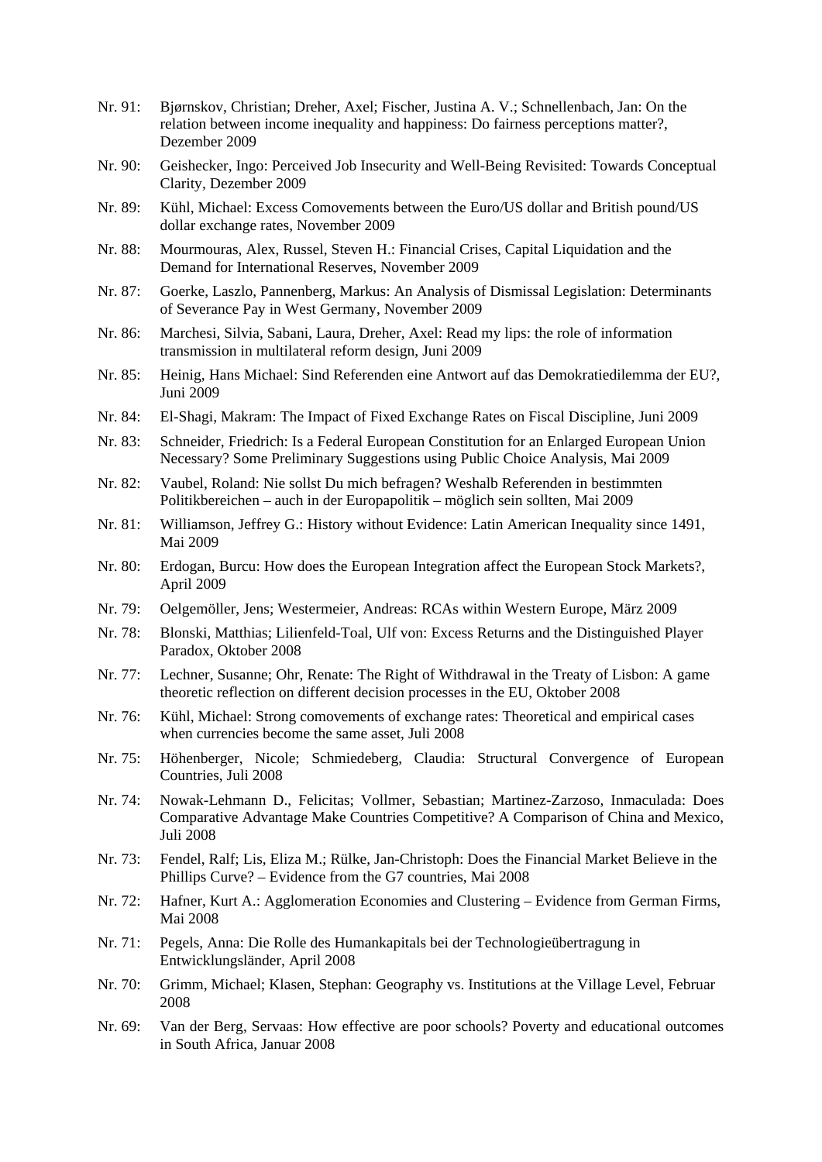- Nr. 91: Bjørnskov, Christian; Dreher, Axel; Fischer, Justina A. V.; Schnellenbach, Jan: On the relation between income inequality and happiness: Do fairness perceptions matter?, Dezember 2009
- Nr. 90: Geishecker, Ingo: Perceived Job Insecurity and Well-Being Revisited: Towards Conceptual Clarity, Dezember 2009
- Nr. 89: Kühl, Michael: Excess Comovements between the Euro/US dollar and British pound/US dollar exchange rates, November 2009
- Nr. 88: Mourmouras, Alex, Russel, Steven H.: Financial Crises, Capital Liquidation and the Demand for International Reserves, November 2009
- Nr. 87: Goerke, Laszlo, Pannenberg, Markus: An Analysis of Dismissal Legislation: Determinants of Severance Pay in West Germany, November 2009
- Nr. 86: Marchesi, Silvia, Sabani, Laura, Dreher, Axel: Read my lips: the role of information transmission in multilateral reform design, Juni 2009
- Nr. 85: Heinig, Hans Michael: Sind Referenden eine Antwort auf das Demokratiedilemma der EU?, Juni 2009
- Nr. 84: El-Shagi, Makram: The Impact of Fixed Exchange Rates on Fiscal Discipline, Juni 2009
- Nr. 83: Schneider, Friedrich: Is a Federal European Constitution for an Enlarged European Union Necessary? Some Preliminary Suggestions using Public Choice Analysis, Mai 2009
- Nr. 82: Vaubel, Roland: Nie sollst Du mich befragen? Weshalb Referenden in bestimmten Politikbereichen – auch in der Europapolitik – möglich sein sollten, Mai 2009
- Nr. 81: Williamson, Jeffrey G.: History without Evidence: Latin American Inequality since 1491, Mai 2009
- Nr. 80: Erdogan, Burcu: How does the European Integration affect the European Stock Markets?, April 2009
- Nr. 79: Oelgemöller, Jens; Westermeier, Andreas: RCAs within Western Europe, März 2009
- Nr. 78: Blonski, Matthias; Lilienfeld-Toal, Ulf von: Excess Returns and the Distinguished Player Paradox, Oktober 2008
- Nr. 77: Lechner, Susanne; Ohr, Renate: The Right of Withdrawal in the Treaty of Lisbon: A game theoretic reflection on different decision processes in the EU, Oktober 2008
- Nr. 76: Kühl, Michael: Strong comovements of exchange rates: Theoretical and empirical cases when currencies become the same asset, Juli 2008
- Nr. 75: Höhenberger, Nicole; Schmiedeberg, Claudia: Structural Convergence of European Countries, Juli 2008
- Nr. 74: Nowak-Lehmann D., Felicitas; Vollmer, Sebastian; Martinez-Zarzoso, Inmaculada: Does Comparative Advantage Make Countries Competitive? A Comparison of China and Mexico, Juli 2008
- Nr. 73: Fendel, Ralf; Lis, Eliza M.; Rülke, Jan-Christoph: Does the Financial Market Believe in the Phillips Curve? – Evidence from the G7 countries, Mai 2008
- Nr. 72: Hafner, Kurt A.: Agglomeration Economies and Clustering Evidence from German Firms, Mai 2008
- Nr. 71: Pegels, Anna: Die Rolle des Humankapitals bei der Technologieübertragung in Entwicklungsländer, April 2008
- Nr. 70: Grimm, Michael; Klasen, Stephan: Geography vs. Institutions at the Village Level, Februar 2008
- Nr. 69: Van der Berg, Servaas: How effective are poor schools? Poverty and educational outcomes in South Africa, Januar 2008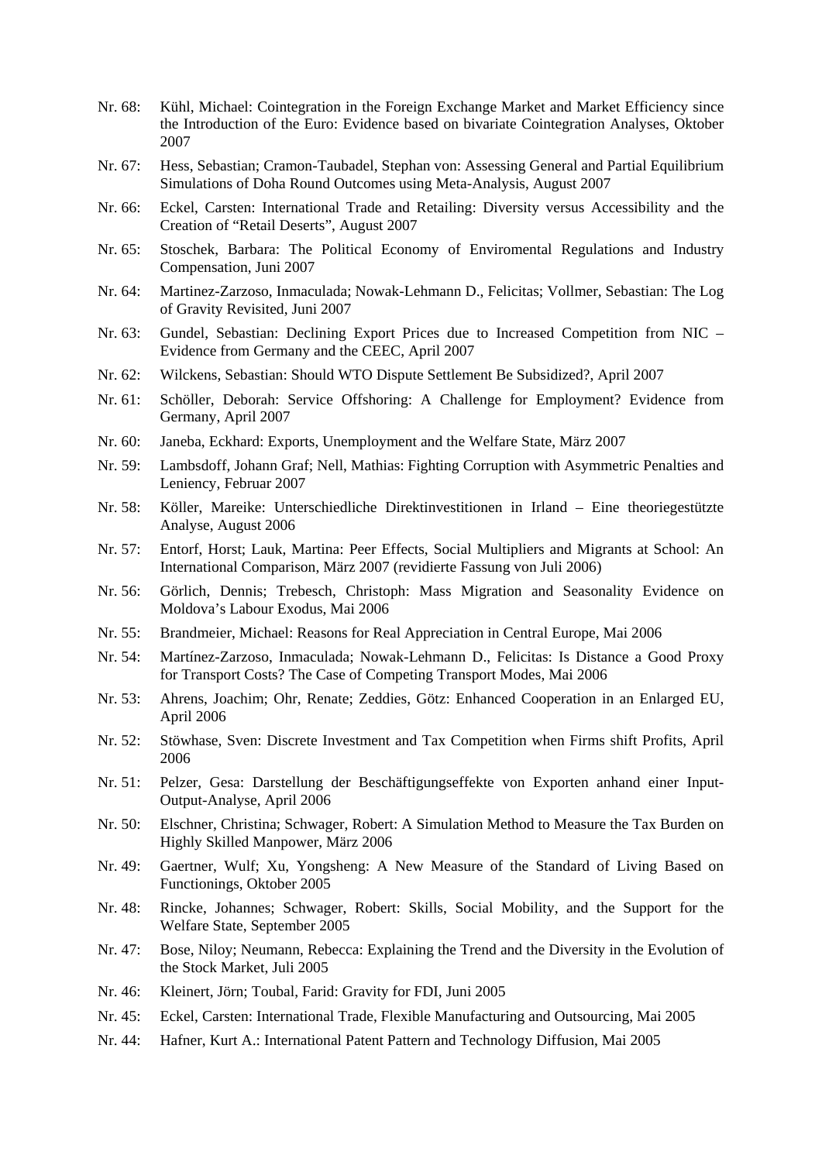- Nr. 68: Kühl, Michael: Cointegration in the Foreign Exchange Market and Market Efficiency since the Introduction of the Euro: Evidence based on bivariate Cointegration Analyses, Oktober 2007
- Nr. 67: Hess, Sebastian; Cramon-Taubadel, Stephan von: Assessing General and Partial Equilibrium Simulations of Doha Round Outcomes using Meta-Analysis, August 2007
- Nr. 66: Eckel, Carsten: International Trade and Retailing: Diversity versus Accessibility and the Creation of "Retail Deserts", August 2007
- Nr. 65: Stoschek, Barbara: The Political Economy of Enviromental Regulations and Industry Compensation, Juni 2007
- Nr. 64: Martinez-Zarzoso, Inmaculada; Nowak-Lehmann D., Felicitas; Vollmer, Sebastian: The Log of Gravity Revisited, Juni 2007
- Nr. 63: Gundel, Sebastian: Declining Export Prices due to Increased Competition from NIC Evidence from Germany and the CEEC, April 2007
- Nr. 62: Wilckens, Sebastian: Should WTO Dispute Settlement Be Subsidized?, April 2007
- Nr. 61: Schöller, Deborah: Service Offshoring: A Challenge for Employment? Evidence from Germany, April 2007
- Nr. 60: Janeba, Eckhard: Exports, Unemployment and the Welfare State, März 2007
- Nr. 59: Lambsdoff, Johann Graf; Nell, Mathias: Fighting Corruption with Asymmetric Penalties and Leniency, Februar 2007
- Nr. 58: Köller, Mareike: Unterschiedliche Direktinvestitionen in Irland Eine theoriegestützte Analyse, August 2006
- Nr. 57: Entorf, Horst; Lauk, Martina: Peer Effects, Social Multipliers and Migrants at School: An International Comparison, März 2007 (revidierte Fassung von Juli 2006)
- Nr. 56: Görlich, Dennis; Trebesch, Christoph: Mass Migration and Seasonality Evidence on Moldova's Labour Exodus, Mai 2006
- Nr. 55: Brandmeier, Michael: Reasons for Real Appreciation in Central Europe, Mai 2006
- Nr. 54: Martínez-Zarzoso, Inmaculada; Nowak-Lehmann D., Felicitas: Is Distance a Good Proxy for Transport Costs? The Case of Competing Transport Modes, Mai 2006
- Nr. 53: Ahrens, Joachim; Ohr, Renate; Zeddies, Götz: Enhanced Cooperation in an Enlarged EU, April 2006
- Nr. 52: Stöwhase, Sven: Discrete Investment and Tax Competition when Firms shift Profits, April 2006
- Nr. 51: Pelzer, Gesa: Darstellung der Beschäftigungseffekte von Exporten anhand einer Input-Output-Analyse, April 2006
- Nr. 50: Elschner, Christina; Schwager, Robert: A Simulation Method to Measure the Tax Burden on Highly Skilled Manpower, März 2006
- Nr. 49: Gaertner, Wulf; Xu, Yongsheng: A New Measure of the Standard of Living Based on Functionings, Oktober 2005
- Nr. 48: Rincke, Johannes; Schwager, Robert: Skills, Social Mobility, and the Support for the Welfare State, September 2005
- Nr. 47: Bose, Niloy; Neumann, Rebecca: Explaining the Trend and the Diversity in the Evolution of the Stock Market, Juli 2005
- Nr. 46: Kleinert, Jörn; Toubal, Farid: Gravity for FDI, Juni 2005
- Nr. 45: Eckel, Carsten: International Trade, Flexible Manufacturing and Outsourcing, Mai 2005
- Nr. 44: Hafner, Kurt A.: International Patent Pattern and Technology Diffusion, Mai 2005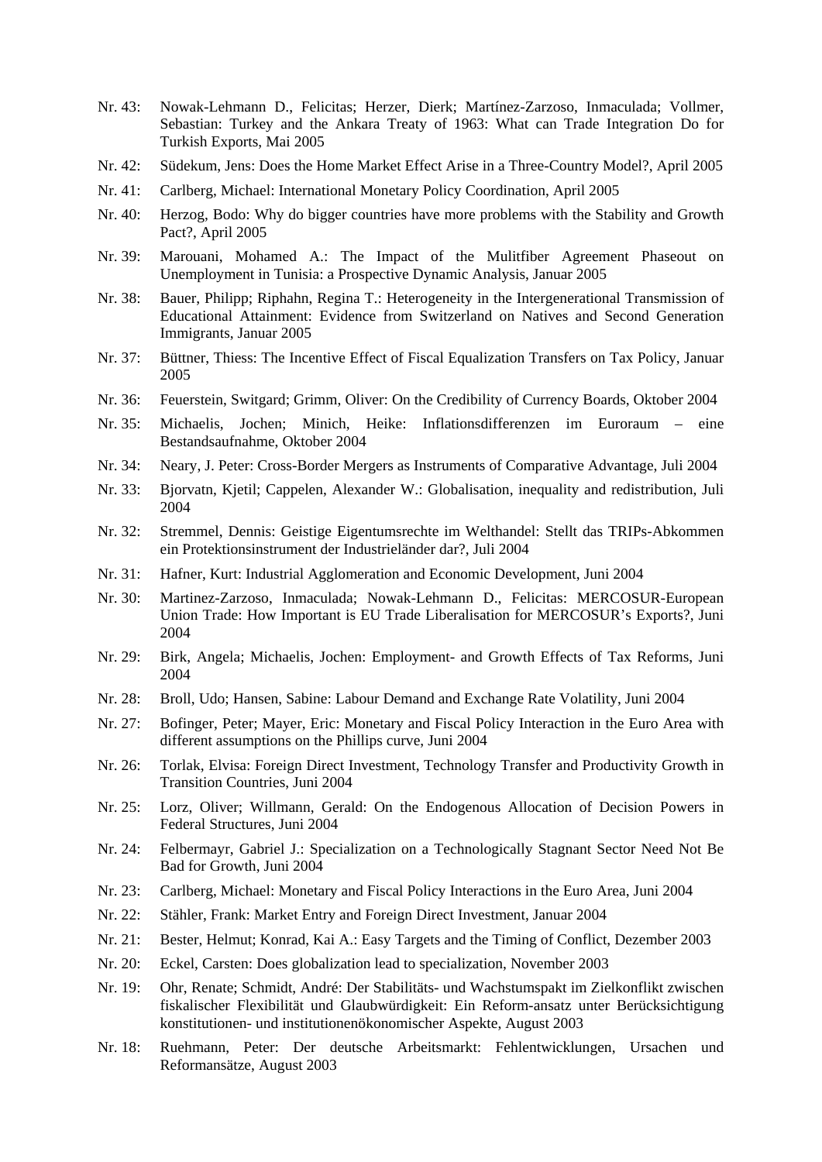- Nr. 43: Nowak-Lehmann D., Felicitas; Herzer, Dierk; Martínez-Zarzoso, Inmaculada; Vollmer, Sebastian: Turkey and the Ankara Treaty of 1963: What can Trade Integration Do for Turkish Exports, Mai 2005
- Nr. 42: Südekum, Jens: Does the Home Market Effect Arise in a Three-Country Model?, April 2005
- Nr. 41: Carlberg, Michael: International Monetary Policy Coordination, April 2005
- Nr. 40: Herzog, Bodo: Why do bigger countries have more problems with the Stability and Growth Pact?, April 2005
- Nr. 39: Marouani, Mohamed A.: The Impact of the Mulitfiber Agreement Phaseout on Unemployment in Tunisia: a Prospective Dynamic Analysis, Januar 2005
- Nr. 38: Bauer, Philipp; Riphahn, Regina T.: Heterogeneity in the Intergenerational Transmission of Educational Attainment: Evidence from Switzerland on Natives and Second Generation Immigrants, Januar 2005
- Nr. 37: Büttner, Thiess: The Incentive Effect of Fiscal Equalization Transfers on Tax Policy, Januar 2005
- Nr. 36: Feuerstein, Switgard; Grimm, Oliver: On the Credibility of Currency Boards, Oktober 2004
- Nr. 35: Michaelis, Jochen; Minich, Heike: Inflationsdifferenzen im Euroraum eine Bestandsaufnahme, Oktober 2004
- Nr. 34: Neary, J. Peter: Cross-Border Mergers as Instruments of Comparative Advantage, Juli 2004
- Nr. 33: Bjorvatn, Kjetil; Cappelen, Alexander W.: Globalisation, inequality and redistribution, Juli 2004
- Nr. 32: Stremmel, Dennis: Geistige Eigentumsrechte im Welthandel: Stellt das TRIPs-Abkommen ein Protektionsinstrument der Industrieländer dar?, Juli 2004
- Nr. 31: Hafner, Kurt: Industrial Agglomeration and Economic Development, Juni 2004
- Nr. 30: Martinez-Zarzoso, Inmaculada; Nowak-Lehmann D., Felicitas: MERCOSUR-European Union Trade: How Important is EU Trade Liberalisation for MERCOSUR's Exports?, Juni 2004
- Nr. 29: Birk, Angela; Michaelis, Jochen: Employment- and Growth Effects of Tax Reforms, Juni 2004
- Nr. 28: Broll, Udo; Hansen, Sabine: Labour Demand and Exchange Rate Volatility, Juni 2004
- Nr. 27: Bofinger, Peter; Mayer, Eric: Monetary and Fiscal Policy Interaction in the Euro Area with different assumptions on the Phillips curve, Juni 2004
- Nr. 26: Torlak, Elvisa: Foreign Direct Investment, Technology Transfer and Productivity Growth in Transition Countries, Juni 2004
- Nr. 25: Lorz, Oliver; Willmann, Gerald: On the Endogenous Allocation of Decision Powers in Federal Structures, Juni 2004
- Nr. 24: Felbermayr, Gabriel J.: Specialization on a Technologically Stagnant Sector Need Not Be Bad for Growth, Juni 2004
- Nr. 23: Carlberg, Michael: Monetary and Fiscal Policy Interactions in the Euro Area, Juni 2004
- Nr. 22: Stähler, Frank: Market Entry and Foreign Direct Investment, Januar 2004
- Nr. 21: Bester, Helmut; Konrad, Kai A.: Easy Targets and the Timing of Conflict, Dezember 2003
- Nr. 20: Eckel, Carsten: Does globalization lead to specialization, November 2003
- Nr. 19: Ohr, Renate; Schmidt, André: Der Stabilitäts- und Wachstumspakt im Zielkonflikt zwischen fiskalischer Flexibilität und Glaubwürdigkeit: Ein Reform-ansatz unter Berücksichtigung konstitutionen- und institutionenökonomischer Aspekte, August 2003
- Nr. 18: Ruehmann, Peter: Der deutsche Arbeitsmarkt: Fehlentwicklungen, Ursachen und Reformansätze, August 2003